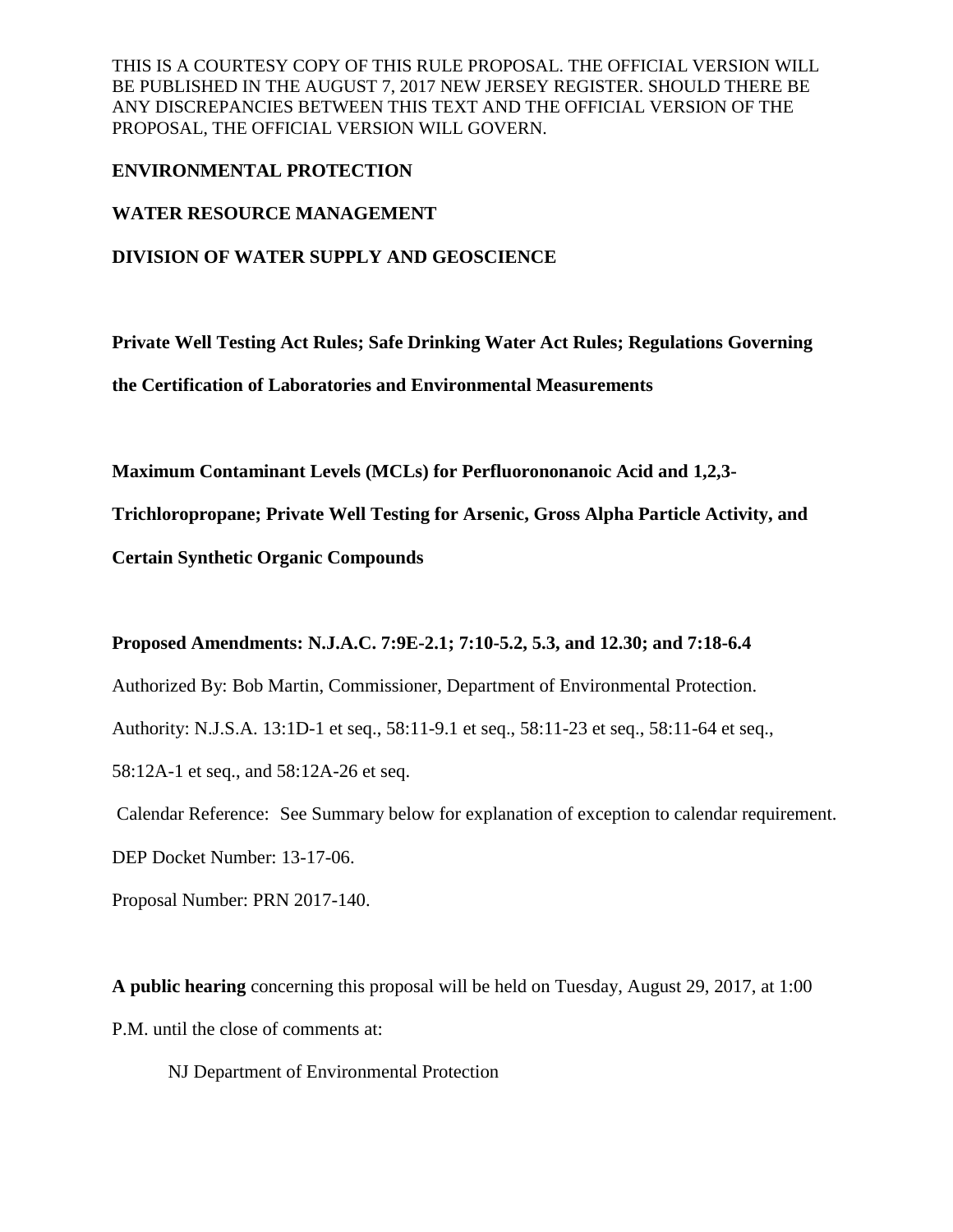## **ENVIRONMENTAL PROTECTION**

**WATER RESOURCE MANAGEMENT**

**DIVISION OF WATER SUPPLY AND GEOSCIENCE**

**Private Well Testing Act Rules; Safe Drinking Water Act Rules; Regulations Governing the Certification of Laboratories and Environmental Measurements**

**Maximum Contaminant Levels (MCLs) for Perfluorononanoic Acid and 1,2,3-**

**Trichloropropane; Private Well Testing for Arsenic, Gross Alpha Particle Activity, and** 

**Certain Synthetic Organic Compounds**

# **Proposed Amendments: N.J.A.C. 7:9E-2.1; 7:10-5.2, 5.3, and 12.30; and 7:18-6.4**

Authorized By: Bob Martin, Commissioner, Department of Environmental Protection.

Authority: N.J.S.A. 13:1D-1 et seq., 58:11-9.1 et seq., 58:11-23 et seq., 58:11-64 et seq.,

58:12A-1 et seq., and 58:12A-26 et seq.

Calendar Reference: See Summary below for explanation of exception to calendar requirement.

DEP Docket Number: 13-17-06.

Proposal Number: PRN 2017-140.

**A public hearing** concerning this proposal will be held on Tuesday, August 29, 2017, at 1:00 P.M. until the close of comments at:

NJ Department of Environmental Protection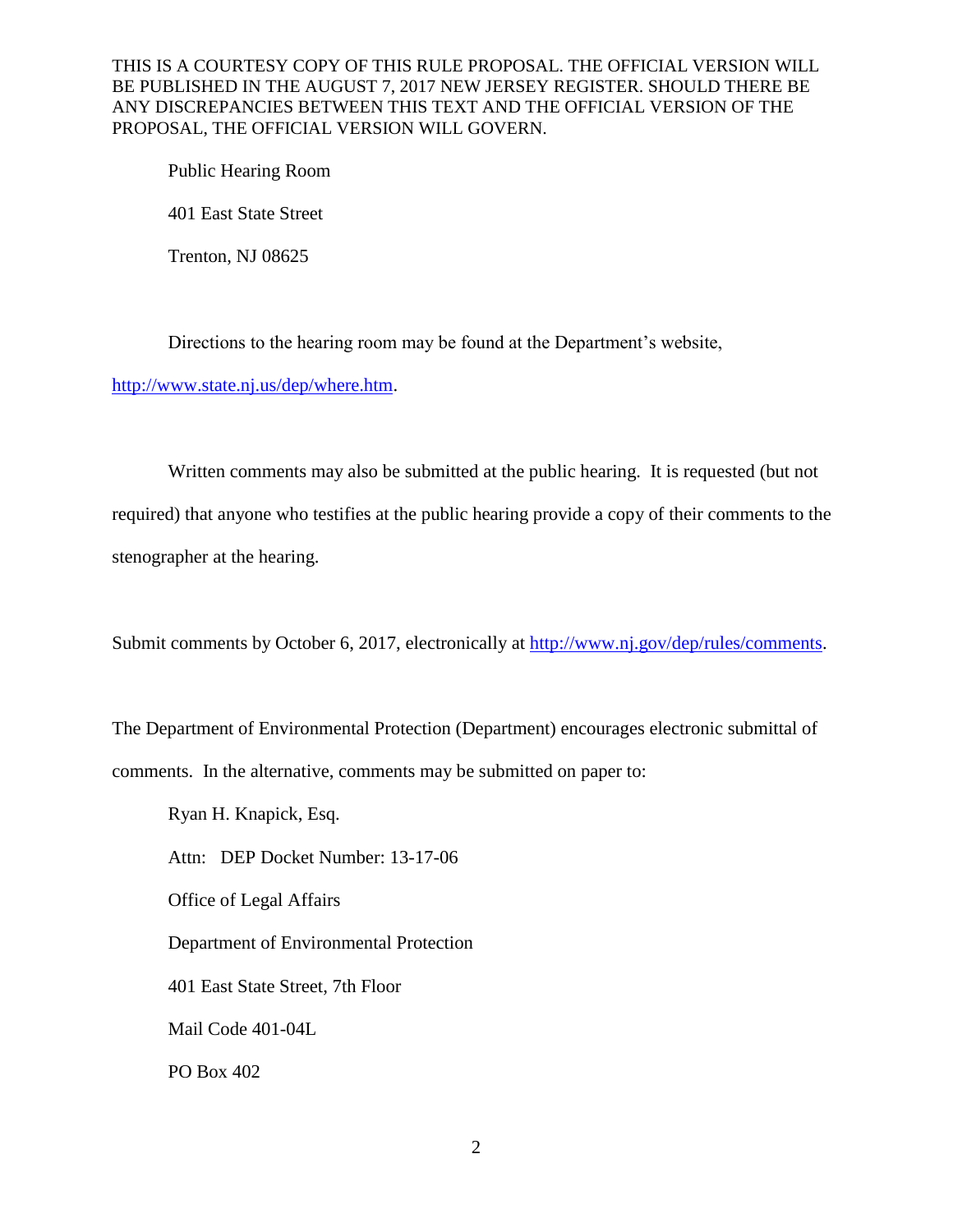Public Hearing Room 401 East State Street Trenton, NJ 08625

Directions to the hearing room may be found at the Department's website,

http://www.state.nj.us/dep/where.htm.

Written comments may also be submitted at the public hearing. It is requested (but not required) that anyone who testifies at the public hearing provide a copy of their comments to the

stenographer at the hearing.

Submit comments by October 6, 2017, electronically at [http://www.nj.gov/dep/rules/comments.](http://www.nj.gov/dep/rules/comments)

The Department of Environmental Protection (Department) encourages electronic submittal of comments. In the alternative, comments may be submitted on paper to:

Ryan H. Knapick, Esq.

Attn: DEP Docket Number: 13-17-06

Office of Legal Affairs

Department of Environmental Protection

401 East State Street, 7th Floor

Mail Code 401-04L

PO Box 402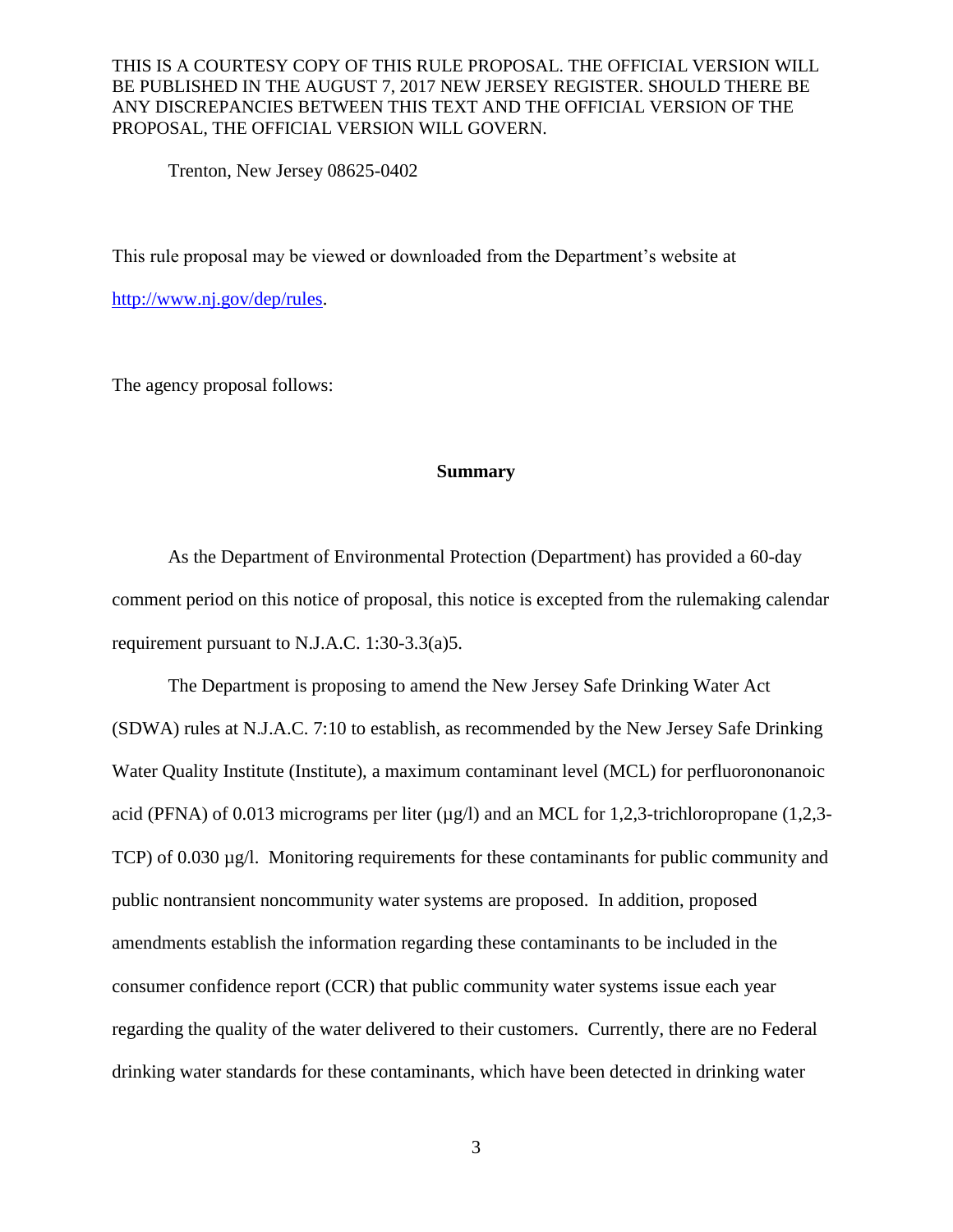Trenton, New Jersey 08625-0402

This rule proposal may be viewed or downloaded from the Department's website at

[http://www.nj.gov/dep/rules.](http://www.nj.gov/dep/rules/)

The agency proposal follows:

#### **Summary**

As the Department of Environmental Protection (Department) has provided a 60-day comment period on this notice of proposal, this notice is excepted from the rulemaking calendar requirement pursuant to N.J.A.C. 1:30-3.3(a)5.

The Department is proposing to amend the New Jersey Safe Drinking Water Act (SDWA) rules at N.J.A.C. 7:10 to establish, as recommended by the New Jersey Safe Drinking Water Quality Institute (Institute), a maximum contaminant level (MCL) for perfluorononanoic acid (PFNA) of 0.013 micrograms per liter  $(\mu g/l)$  and an MCL for 1,2,3-trichloropropane (1,2,3-TCP) of 0.030 µg/l. Monitoring requirements for these contaminants for public community and public nontransient noncommunity water systems are proposed. In addition, proposed amendments establish the information regarding these contaminants to be included in the consumer confidence report (CCR) that public community water systems issue each year regarding the quality of the water delivered to their customers. Currently, there are no Federal drinking water standards for these contaminants, which have been detected in drinking water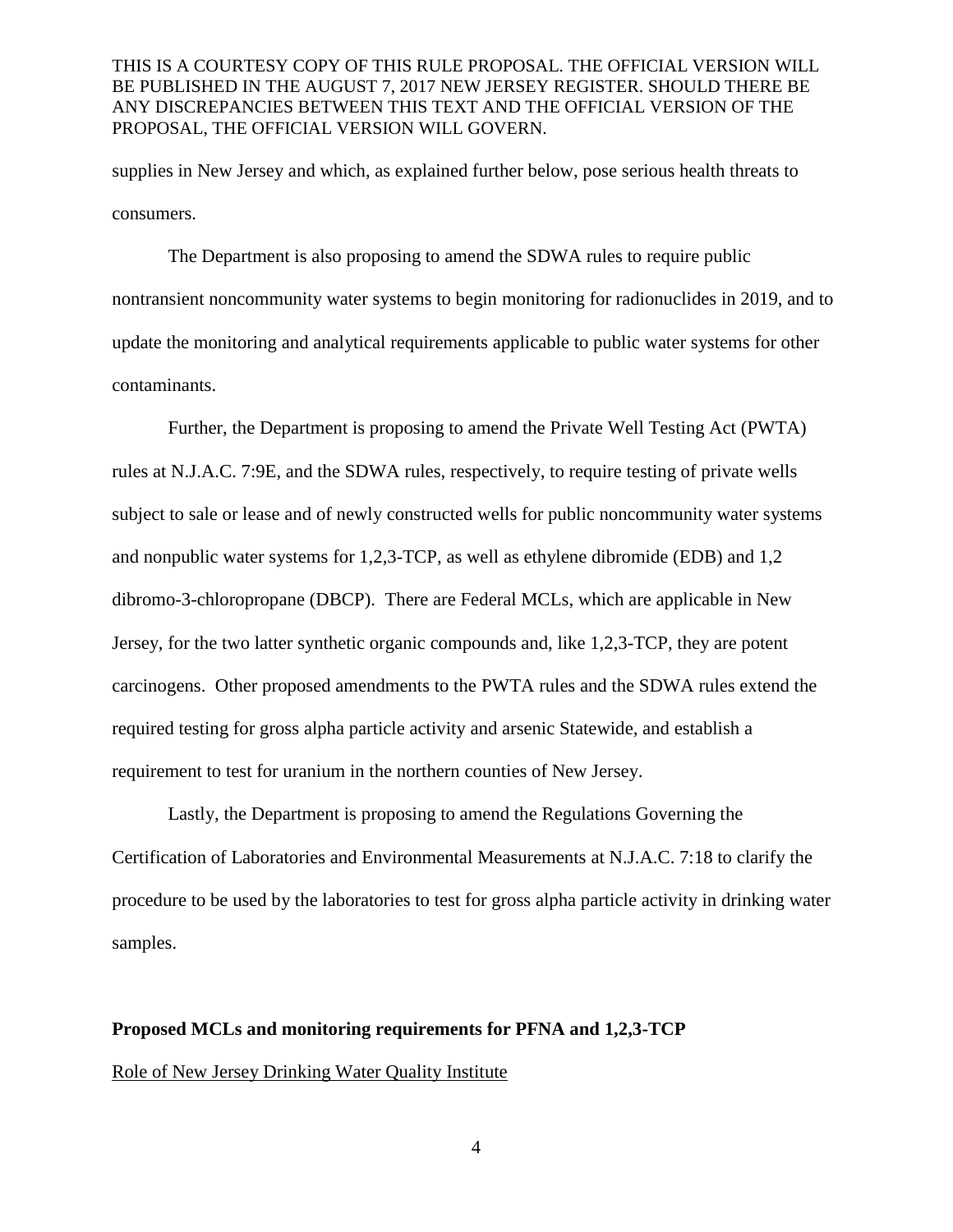supplies in New Jersey and which, as explained further below, pose serious health threats to consumers.

The Department is also proposing to amend the SDWA rules to require public nontransient noncommunity water systems to begin monitoring for radionuclides in 2019, and to update the monitoring and analytical requirements applicable to public water systems for other contaminants.

Further, the Department is proposing to amend the Private Well Testing Act (PWTA) rules at N.J.A.C. 7:9E, and the SDWA rules, respectively, to require testing of private wells subject to sale or lease and of newly constructed wells for public noncommunity water systems and nonpublic water systems for 1,2,3-TCP, as well as ethylene dibromide (EDB) and 1,2 dibromo-3-chloropropane (DBCP). There are Federal MCLs, which are applicable in New Jersey, for the two latter synthetic organic compounds and, like 1,2,3-TCP, they are potent carcinogens. Other proposed amendments to the PWTA rules and the SDWA rules extend the required testing for gross alpha particle activity and arsenic Statewide, and establish a requirement to test for uranium in the northern counties of New Jersey.

Lastly, the Department is proposing to amend the Regulations Governing the Certification of Laboratories and Environmental Measurements at N.J.A.C. 7:18 to clarify the procedure to be used by the laboratories to test for gross alpha particle activity in drinking water samples.

# **Proposed MCLs and monitoring requirements for PFNA and 1,2,3-TCP**

#### Role of New Jersey Drinking Water Quality Institute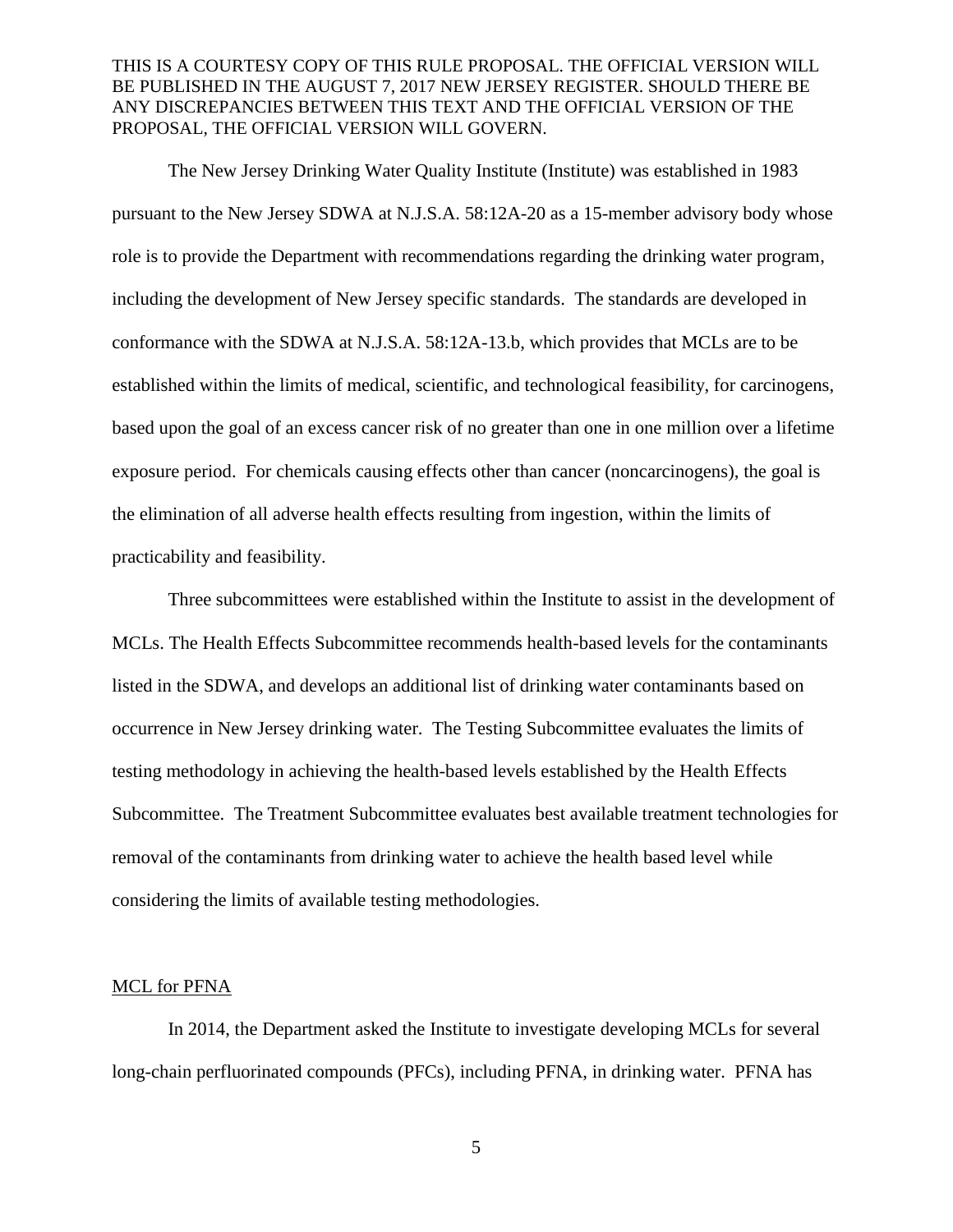The New Jersey Drinking Water Quality Institute (Institute) was established in 1983 pursuant to the New Jersey SDWA at N.J.S.A. 58:12A-20 as a 15-member advisory body whose role is to provide the Department with recommendations regarding the drinking water program, including the development of New Jersey specific standards. The standards are developed in conformance with the SDWA at N.J.S.A. 58:12A-13.b, which provides that MCLs are to be established within the limits of medical, scientific, and technological feasibility, for carcinogens, based upon the goal of an excess cancer risk of no greater than one in one million over a lifetime exposure period. For chemicals causing effects other than cancer (noncarcinogens), the goal is the elimination of all adverse health effects resulting from ingestion, within the limits of practicability and feasibility.

Three subcommittees were established within the Institute to assist in the development of MCLs. The Health Effects Subcommittee recommends health-based levels for the contaminants listed in the SDWA, and develops an additional list of drinking water contaminants based on occurrence in New Jersey drinking water. The Testing Subcommittee evaluates the limits of testing methodology in achieving the health-based levels established by the Health Effects Subcommittee. The Treatment Subcommittee evaluates best available treatment technologies for removal of the contaminants from drinking water to achieve the health based level while considering the limits of available testing methodologies.

#### MCL for PFNA

In 2014, the Department asked the Institute to investigate developing MCLs for several long-chain perfluorinated compounds (PFCs), including PFNA, in drinking water. PFNA has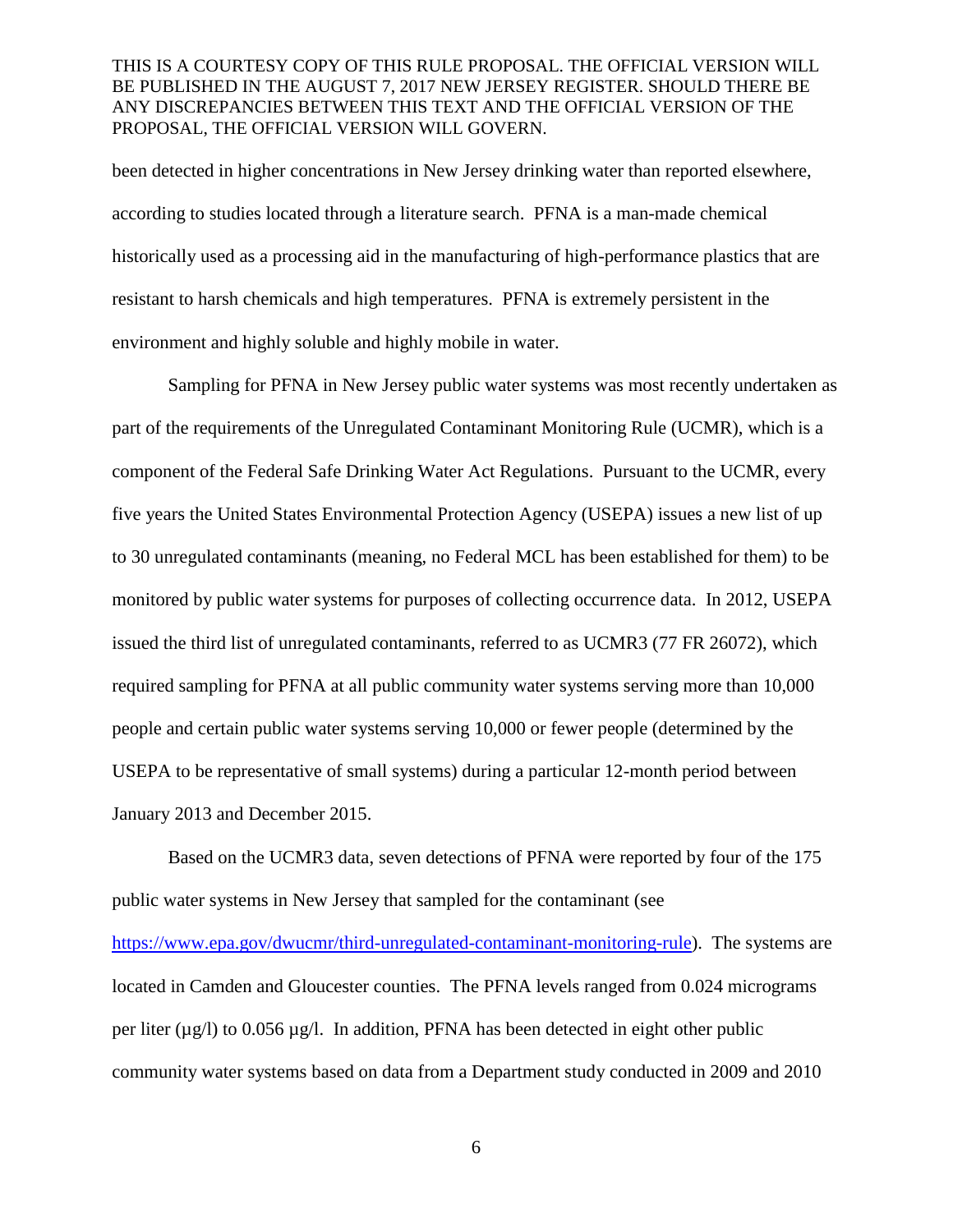been detected in higher concentrations in New Jersey drinking water than reported elsewhere, according to studies located through a literature search. PFNA is a man-made chemical historically used as a processing aid in the manufacturing of high-performance plastics that are resistant to harsh chemicals and high temperatures. PFNA is extremely persistent in the environment and highly soluble and highly mobile in water.

Sampling for PFNA in New Jersey public water systems was most recently undertaken as part of the requirements of the Unregulated Contaminant Monitoring Rule (UCMR), which is a component of the Federal Safe Drinking Water Act Regulations. Pursuant to the UCMR, every five years the United States Environmental Protection Agency (USEPA) issues a new list of up to 30 unregulated contaminants (meaning, no Federal MCL has been established for them) to be monitored by public water systems for purposes of collecting occurrence data. In 2012, USEPA issued the third list of unregulated contaminants, referred to as UCMR3 (77 FR 26072), which required sampling for PFNA at all public community water systems serving more than 10,000 people and certain public water systems serving 10,000 or fewer people (determined by the USEPA to be representative of small systems) during a particular 12-month period between January 2013 and December 2015.

Based on the UCMR3 data, seven detections of PFNA were reported by four of the 175 public water systems in New Jersey that sampled for the contaminant (see [https://www.epa.gov/dwucmr/third-unregulated-contaminant-monitoring-rule\)](https://www.epa.gov/dwucmr/third-unregulated-contaminant-monitoring-rule). The systems are located in Camden and Gloucester counties. The PFNA levels ranged from 0.024 micrograms per liter ( $\mu$ g/l) to 0.056  $\mu$ g/l. In addition, PFNA has been detected in eight other public community water systems based on data from a Department study conducted in 2009 and 2010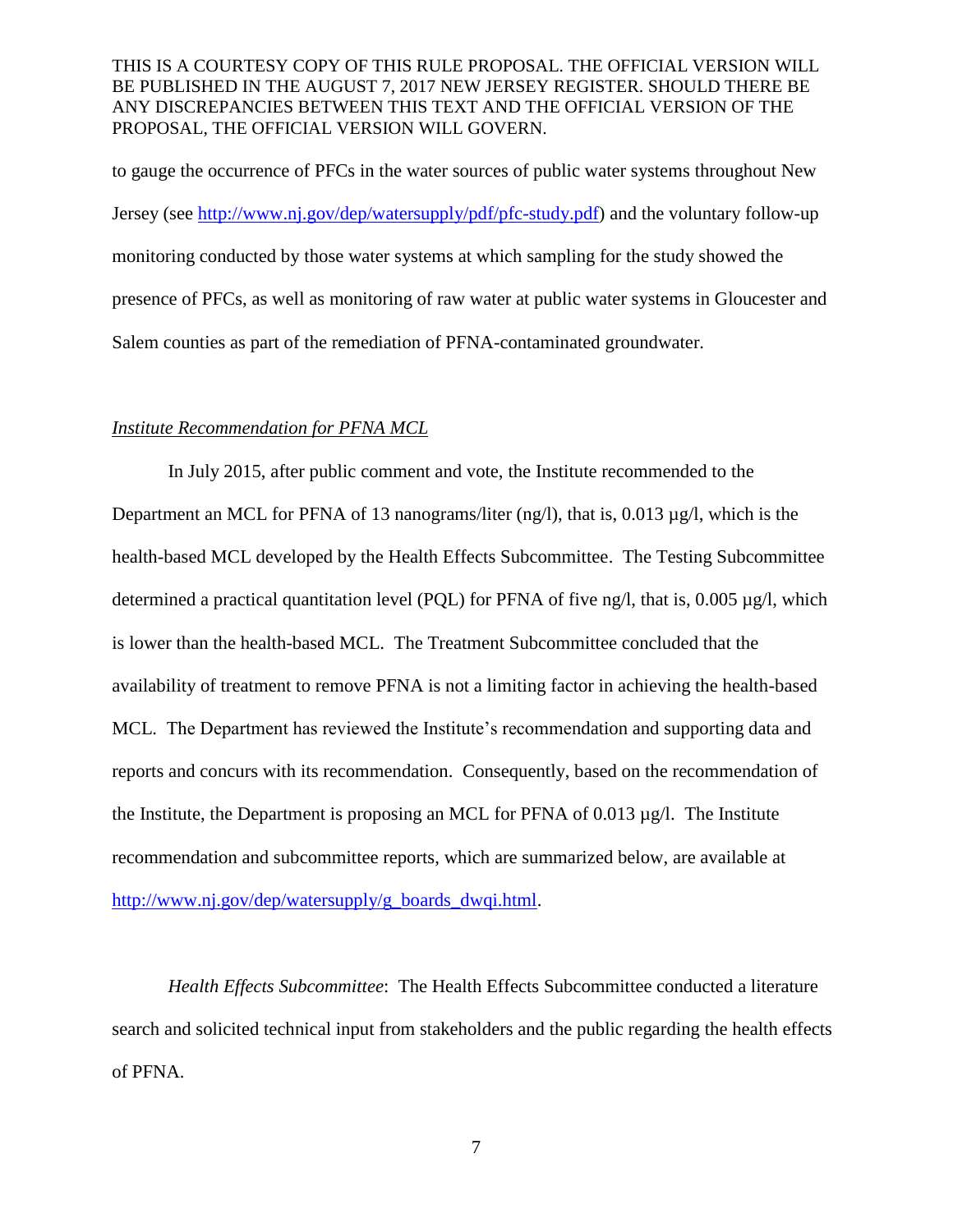to gauge the occurrence of PFCs in the water sources of public water systems throughout New Jersey (see [http://www.nj.gov/dep/watersupply/pdf/pfc-study.pdf\)](http://www.nj.gov/dep/watersupply/pdf/pfc-study.pdf) and the voluntary follow-up monitoring conducted by those water systems at which sampling for the study showed the presence of PFCs, as well as monitoring of raw water at public water systems in Gloucester and Salem counties as part of the remediation of PFNA-contaminated groundwater.

#### *Institute Recommendation for PFNA MCL*

In July 2015, after public comment and vote, the Institute recommended to the Department an MCL for PFNA of 13 nanograms/liter (ng/l), that is, 0.013  $\mu$ g/l, which is the health-based MCL developed by the Health Effects Subcommittee. The Testing Subcommittee determined a practical quantitation level (PQL) for PFNA of five ng/l, that is, 0.005 µg/l, which is lower than the health-based MCL. The Treatment Subcommittee concluded that the availability of treatment to remove PFNA is not a limiting factor in achieving the health-based MCL. The Department has reviewed the Institute's recommendation and supporting data and reports and concurs with its recommendation. Consequently, based on the recommendation of the Institute, the Department is proposing an MCL for PFNA of  $0.013 \mu g/l$ . The Institute recommendation and subcommittee reports, which are summarized below, are available at [http://www.nj.gov/dep/watersupply/g\\_boards\\_dwqi.html.](http://www.nj.gov/dep/watersupply/g_boards_dwqi.html)

*Health Effects Subcommittee*: The Health Effects Subcommittee conducted a literature search and solicited technical input from stakeholders and the public regarding the health effects of PFNA.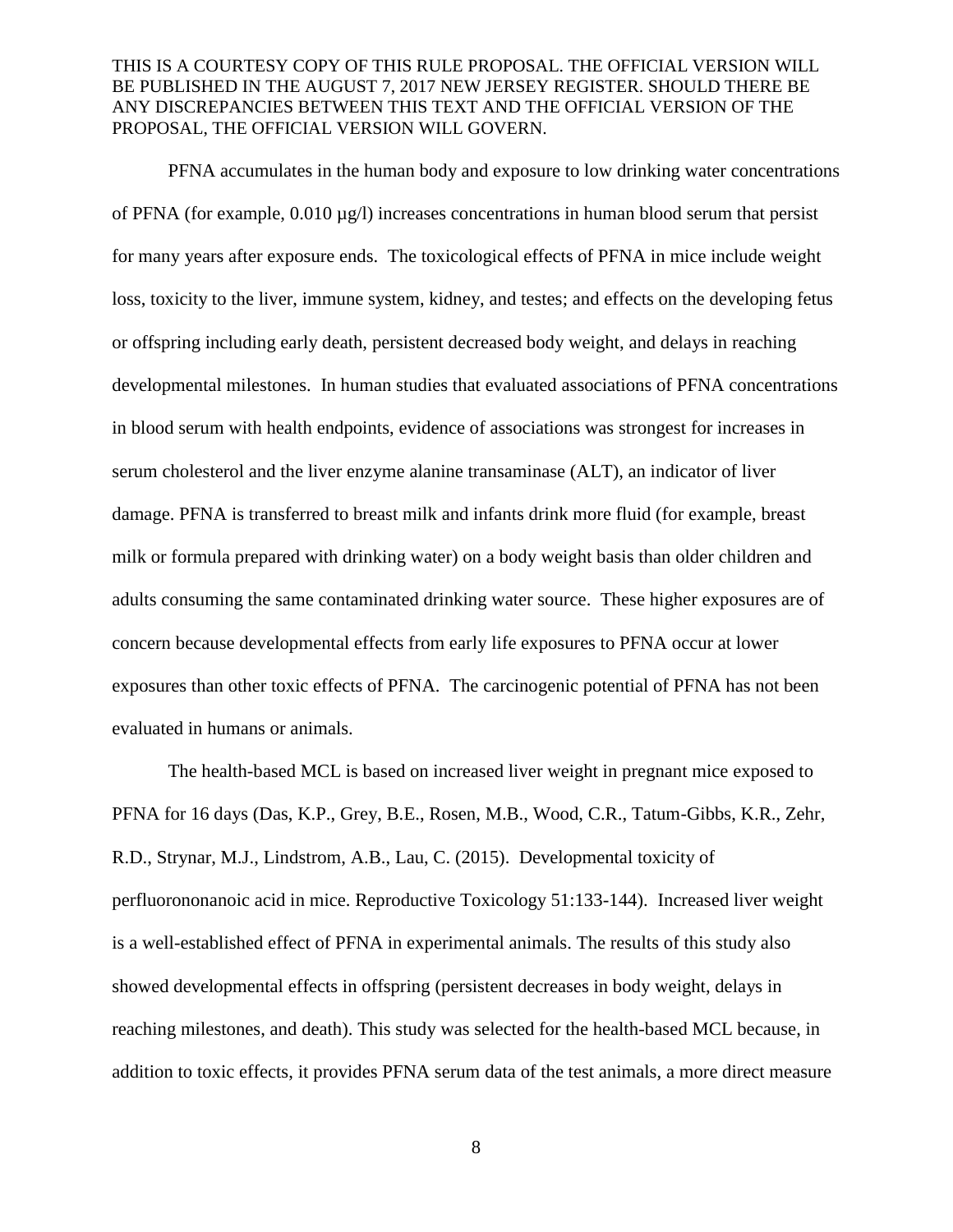PFNA accumulates in the human body and exposure to low drinking water concentrations of PFNA (for example, 0.010 µg/l) increases concentrations in human blood serum that persist for many years after exposure ends. The toxicological effects of PFNA in mice include weight loss, toxicity to the liver, immune system, kidney, and testes; and effects on the developing fetus or offspring including early death, persistent decreased body weight, and delays in reaching developmental milestones. In human studies that evaluated associations of PFNA concentrations in blood serum with health endpoints, evidence of associations was strongest for increases in serum cholesterol and the liver enzyme alanine transaminase (ALT), an indicator of liver damage. PFNA is transferred to breast milk and infants drink more fluid (for example, breast milk or formula prepared with drinking water) on a body weight basis than older children and adults consuming the same contaminated drinking water source. These higher exposures are of concern because developmental effects from early life exposures to PFNA occur at lower exposures than other toxic effects of PFNA. The carcinogenic potential of PFNA has not been evaluated in humans or animals.

The health-based MCL is based on increased liver weight in pregnant mice exposed to PFNA for 16 days (Das, K.P., Grey, B.E., Rosen, M.B., Wood, C.R., Tatum-Gibbs, K.R., Zehr, R.D., Strynar, M.J., Lindstrom, A.B., Lau, C. (2015). Developmental toxicity of perfluorononanoic acid in mice. Reproductive Toxicology 51:133-144). Increased liver weight is a well-established effect of PFNA in experimental animals. The results of this study also showed developmental effects in offspring (persistent decreases in body weight, delays in reaching milestones, and death). This study was selected for the health-based MCL because, in addition to toxic effects, it provides PFNA serum data of the test animals, a more direct measure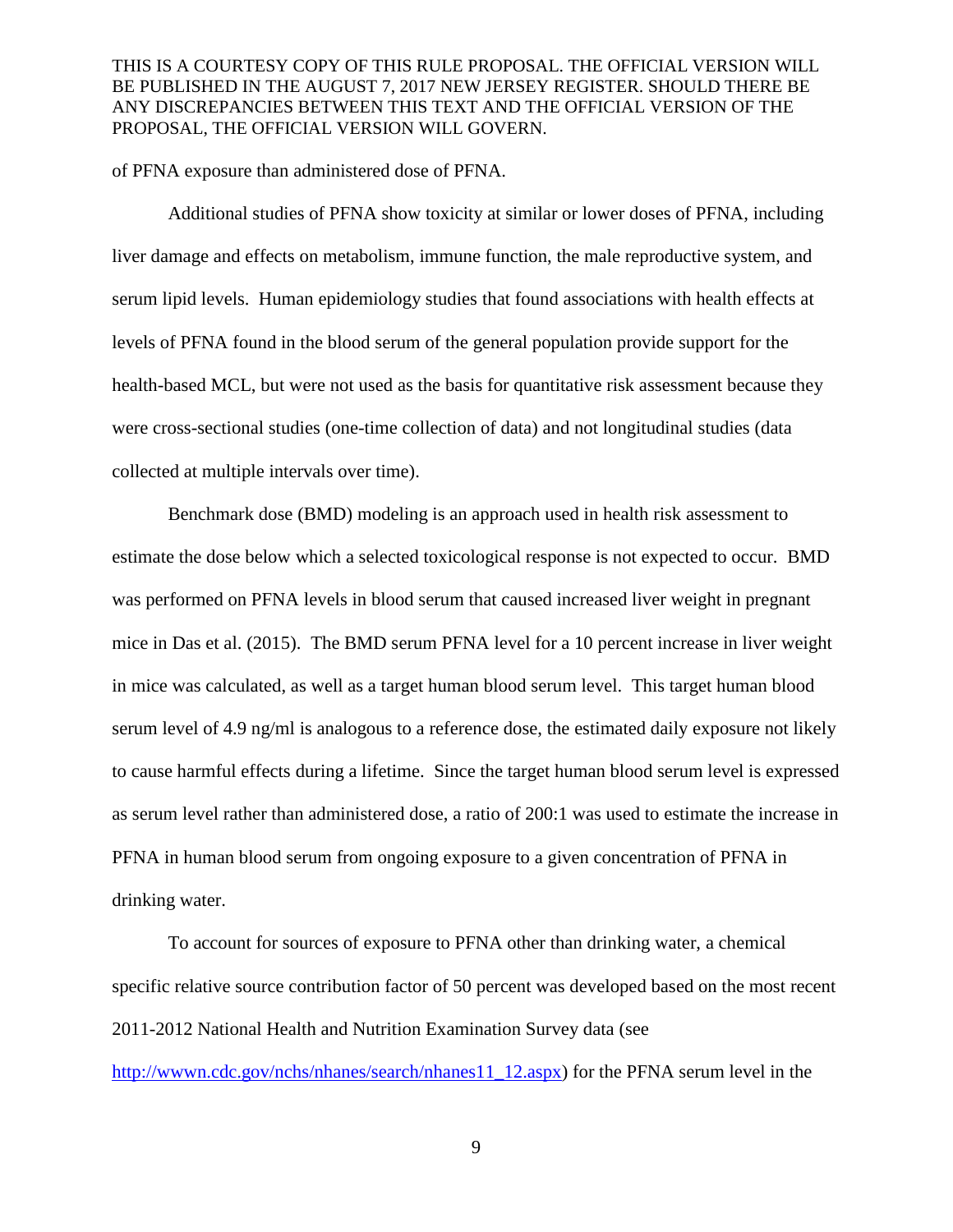of PFNA exposure than administered dose of PFNA.

Additional studies of PFNA show toxicity at similar or lower doses of PFNA, including liver damage and effects on metabolism, immune function, the male reproductive system, and serum lipid levels. Human epidemiology studies that found associations with health effects at levels of PFNA found in the blood serum of the general population provide support for the health-based MCL, but were not used as the basis for quantitative risk assessment because they were cross-sectional studies (one-time collection of data) and not longitudinal studies (data collected at multiple intervals over time).

Benchmark dose (BMD) modeling is an approach used in health risk assessment to estimate the dose below which a selected toxicological response is not expected to occur. BMD was performed on PFNA levels in blood serum that caused increased liver weight in pregnant mice in Das et al. (2015). The BMD serum PFNA level for a 10 percent increase in liver weight in mice was calculated, as well as a target human blood serum level. This target human blood serum level of 4.9 ng/ml is analogous to a reference dose, the estimated daily exposure not likely to cause harmful effects during a lifetime. Since the target human blood serum level is expressed as serum level rather than administered dose, a ratio of 200:1 was used to estimate the increase in PFNA in human blood serum from ongoing exposure to a given concentration of PFNA in drinking water.

To account for sources of exposure to PFNA other than drinking water, a chemical specific relative source contribution factor of 50 percent was developed based on the most recent 2011-2012 National Health and Nutrition Examination Survey data (see

[http://wwwn.cdc.gov/nchs/nhanes/search/nhanes11\\_12.aspx\)](http://wwwn.cdc.gov/nchs/nhanes/search/nhanes11_12.aspx) for the PFNA serum level in the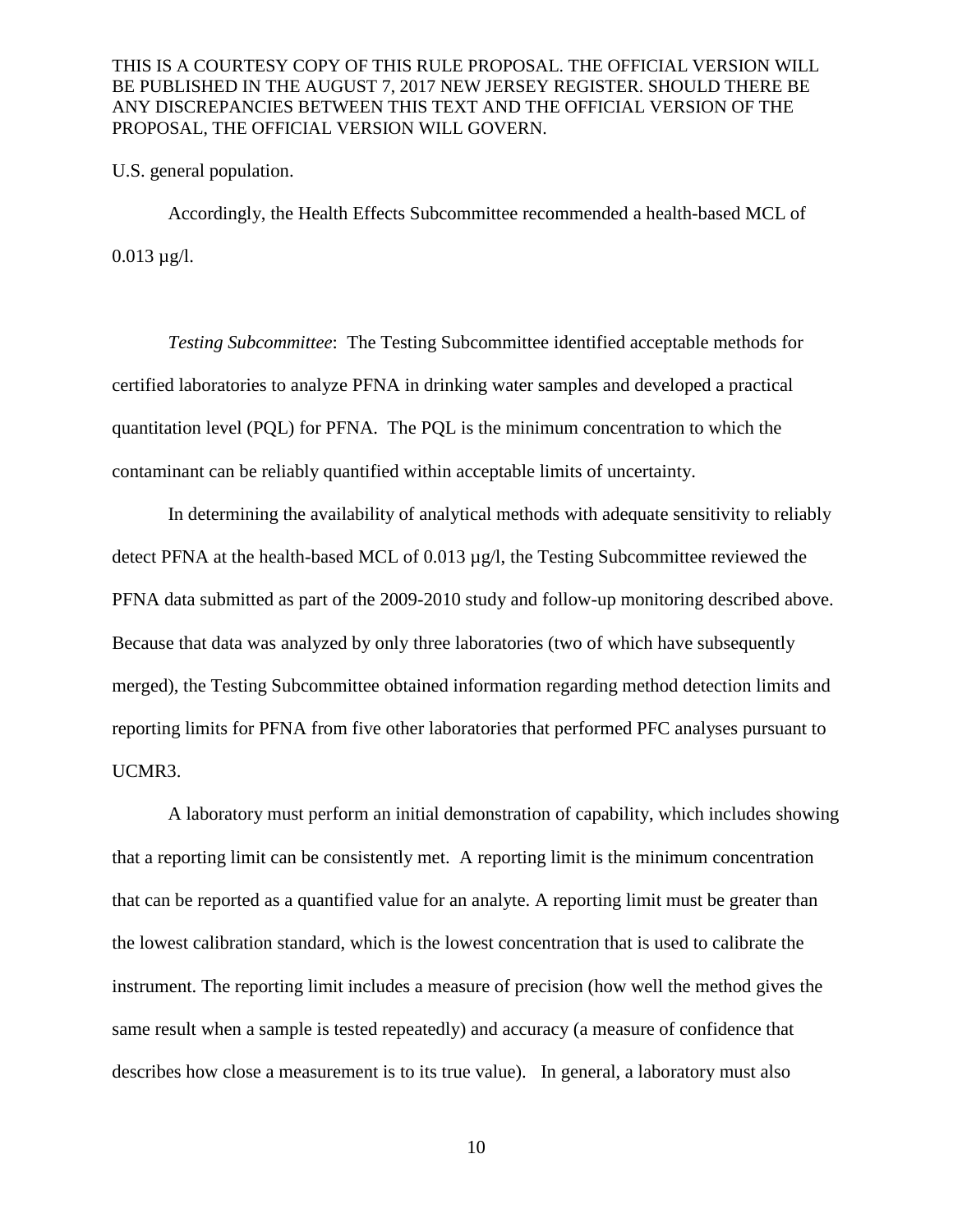U.S. general population.

Accordingly, the Health Effects Subcommittee recommended a health-based MCL of  $0.013 \mu g/l$ .

*Testing Subcommittee*: The Testing Subcommittee identified acceptable methods for certified laboratories to analyze PFNA in drinking water samples and developed a practical quantitation level (PQL) for PFNA. The PQL is the minimum concentration to which the contaminant can be reliably quantified within acceptable limits of uncertainty.

In determining the availability of analytical methods with adequate sensitivity to reliably detect PFNA at the health-based MCL of 0.013 µg/l, the Testing Subcommittee reviewed the PFNA data submitted as part of the 2009-2010 study and follow-up monitoring described above. Because that data was analyzed by only three laboratories (two of which have subsequently merged), the Testing Subcommittee obtained information regarding method detection limits and reporting limits for PFNA from five other laboratories that performed PFC analyses pursuant to UCMR3.

A laboratory must perform an initial demonstration of capability, which includes showing that a reporting limit can be consistently met. A reporting limit is the minimum concentration that can be reported as a quantified value for an analyte. A reporting limit must be greater than the lowest calibration standard, which is the lowest concentration that is used to calibrate the instrument. The reporting limit includes a measure of precision (how well the method gives the same result when a sample is tested repeatedly) and accuracy (a measure of confidence that describes how close a measurement is to its true value). In general, a laboratory must also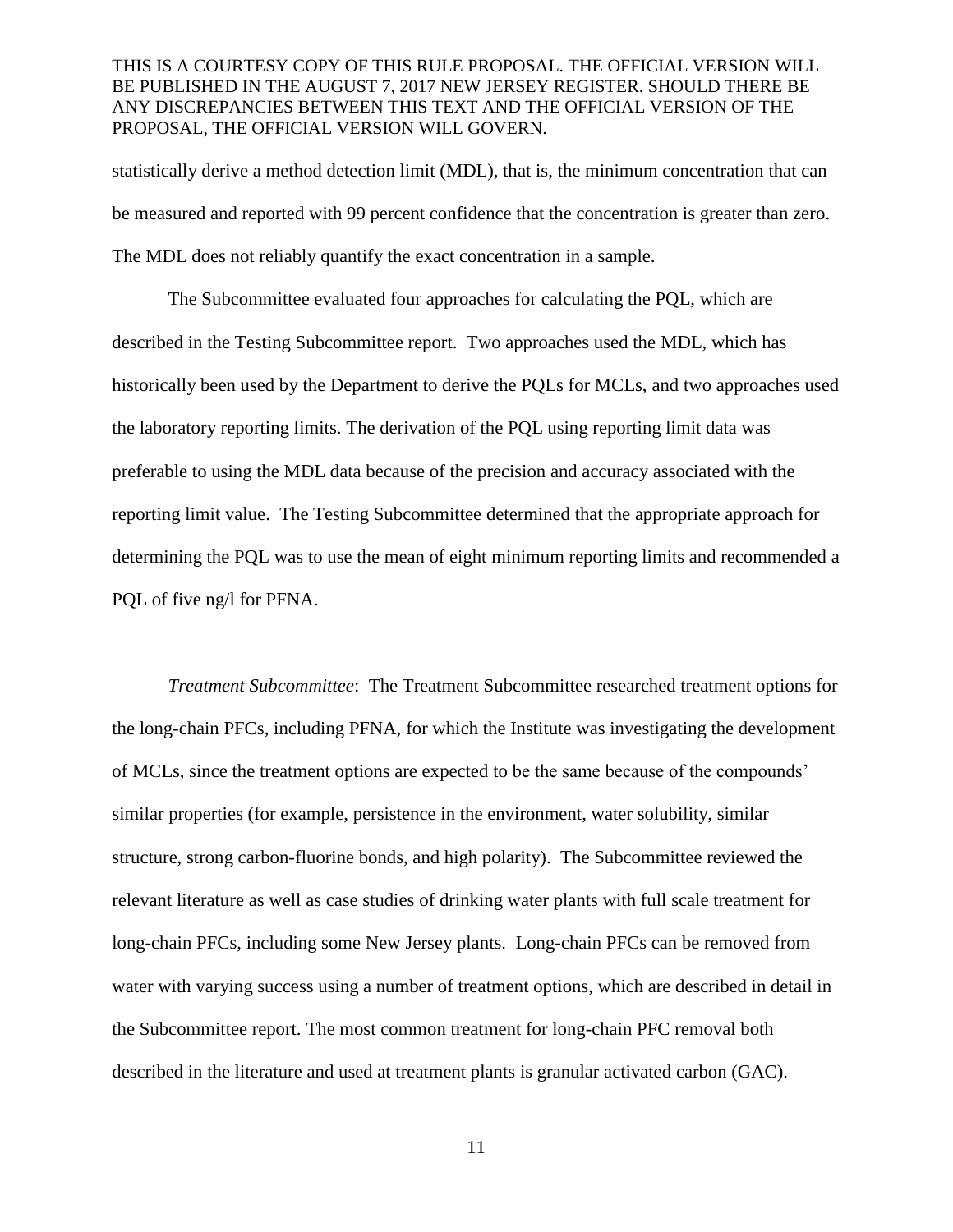statistically derive a method detection limit (MDL), that is, the minimum concentration that can be measured and reported with 99 percent confidence that the concentration is greater than zero. The MDL does not reliably quantify the exact concentration in a sample.

The Subcommittee evaluated four approaches for calculating the PQL, which are described in the Testing Subcommittee report. Two approaches used the MDL, which has historically been used by the Department to derive the PQLs for MCLs, and two approaches used the laboratory reporting limits. The derivation of the PQL using reporting limit data was preferable to using the MDL data because of the precision and accuracy associated with the reporting limit value. The Testing Subcommittee determined that the appropriate approach for determining the PQL was to use the mean of eight minimum reporting limits and recommended a PQL of five ng/l for PFNA.

*Treatment Subcommittee*: The Treatment Subcommittee researched treatment options for the long-chain PFCs, including PFNA, for which the Institute was investigating the development of MCLs, since the treatment options are expected to be the same because of the compounds' similar properties (for example, persistence in the environment, water solubility, similar structure, strong carbon-fluorine bonds, and high polarity). The Subcommittee reviewed the relevant literature as well as case studies of drinking water plants with full scale treatment for long-chain PFCs, including some New Jersey plants. Long-chain PFCs can be removed from water with varying success using a number of treatment options, which are described in detail in the Subcommittee report. The most common treatment for long-chain PFC removal both described in the literature and used at treatment plants is granular activated carbon (GAC).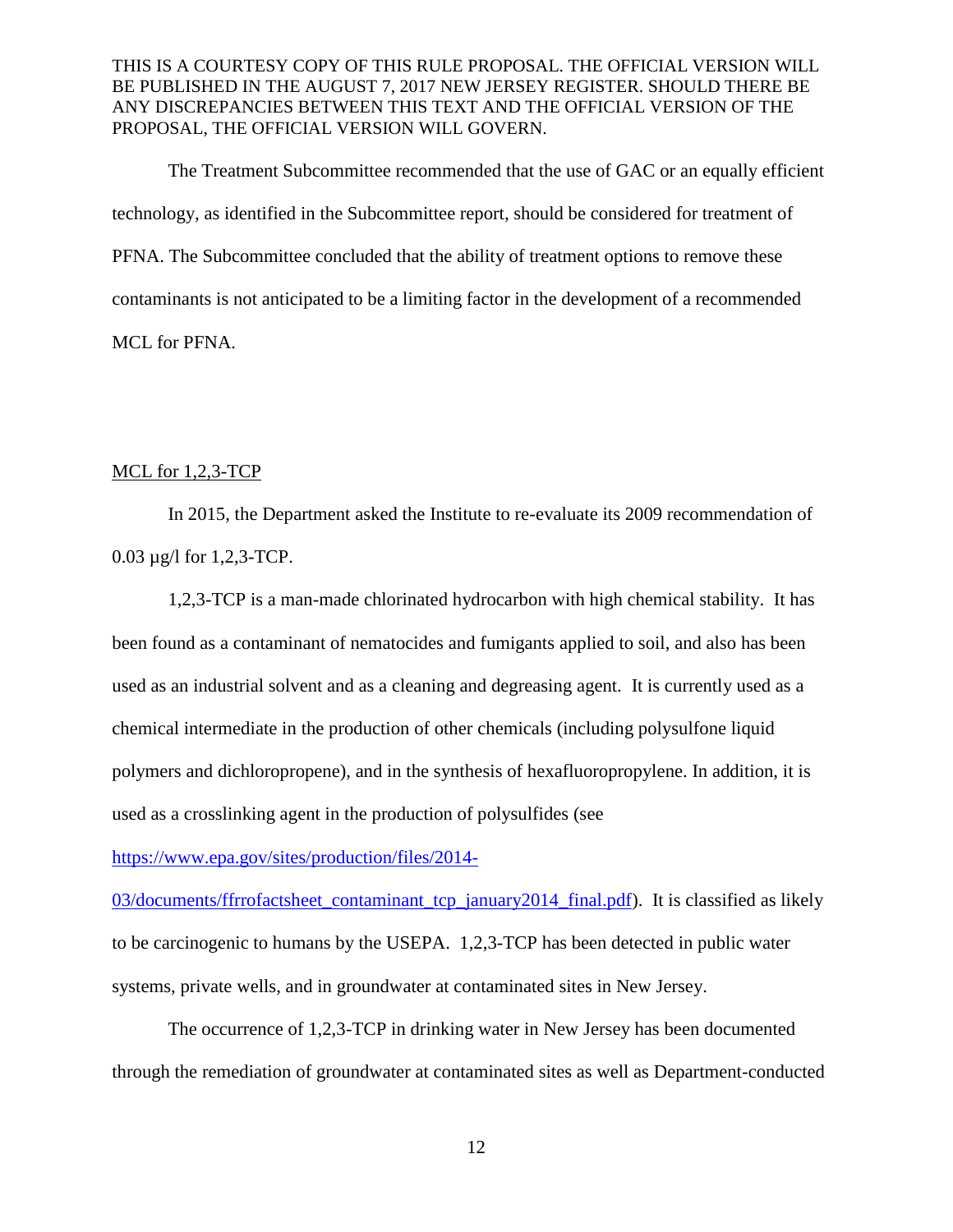The Treatment Subcommittee recommended that the use of GAC or an equally efficient technology, as identified in the Subcommittee report, should be considered for treatment of PFNA. The Subcommittee concluded that the ability of treatment options to remove these contaminants is not anticipated to be a limiting factor in the development of a recommended MCL for PFNA.

## MCL for 1,2,3-TCP

In 2015, the Department asked the Institute to re-evaluate its 2009 recommendation of 0.03 µg/l for 1,2,3-TCP.

1,2,3-TCP is a man-made chlorinated hydrocarbon with high chemical stability. It has been found as a contaminant of nematocides and fumigants applied to soil, and also has been used as an industrial solvent and as a cleaning and degreasing agent. It is currently used as a chemical intermediate in the production of other chemicals (including polysulfone liquid polymers and dichloropropene), and in the synthesis of hexafluoropropylene. In addition, it is used as a crosslinking agent in the production of polysulfides (see

[https://www.epa.gov/sites/production/files/2014-](https://www.epa.gov/sites/production/files/2014-03/documents/ffrrofactsheet_contaminant_tcp_january2014_final.pdf)

[03/documents/ffrrofactsheet\\_contaminant\\_tcp\\_january2014\\_final.pdf\)](https://www.epa.gov/sites/production/files/2014-03/documents/ffrrofactsheet_contaminant_tcp_january2014_final.pdf). It is classified as likely to be carcinogenic to humans by the USEPA. 1,2,3-TCP has been detected in public water systems, private wells, and in groundwater at contaminated sites in New Jersey.

The occurrence of 1,2,3-TCP in drinking water in New Jersey has been documented through the remediation of groundwater at contaminated sites as well as Department-conducted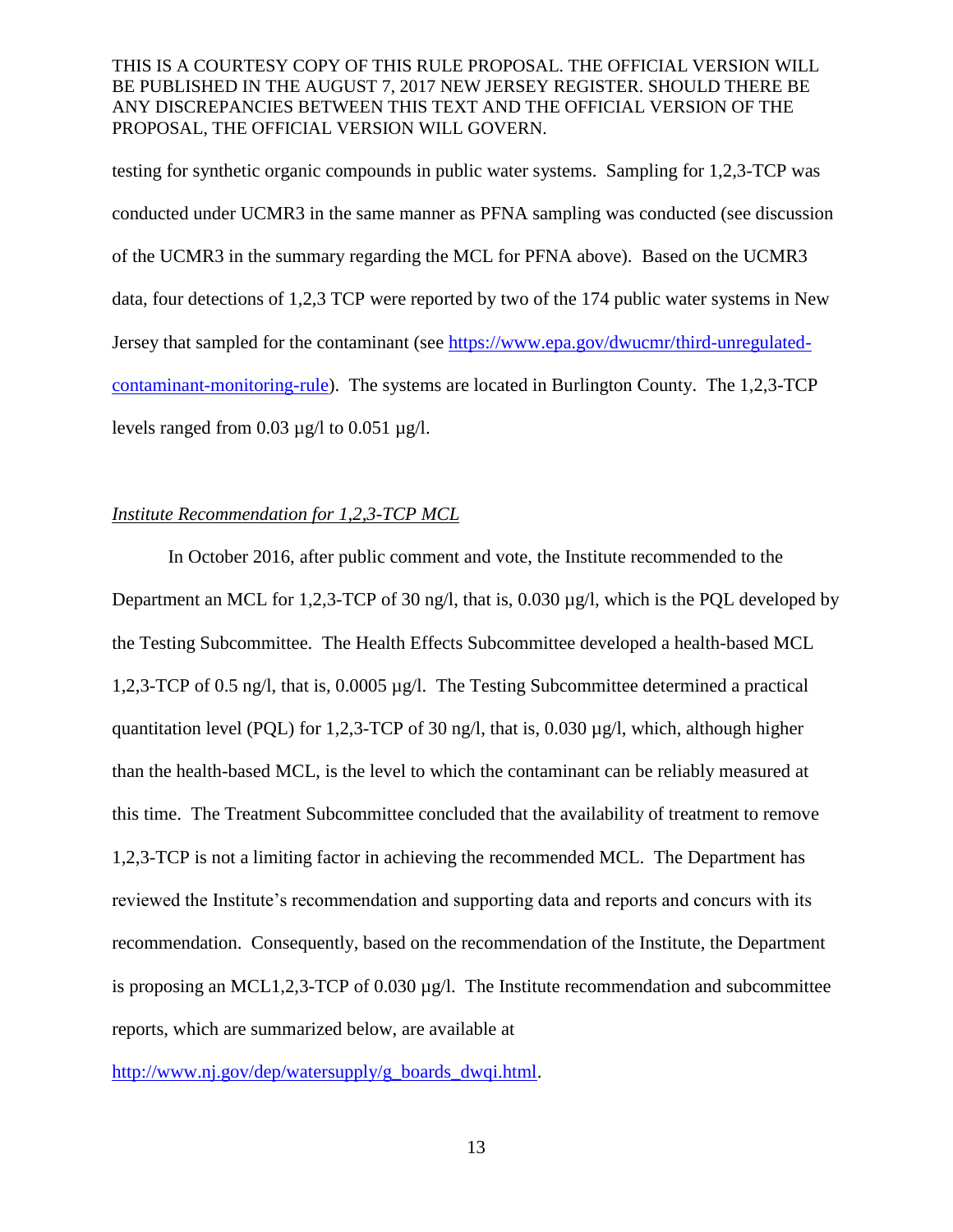testing for synthetic organic compounds in public water systems. Sampling for 1,2,3-TCP was conducted under UCMR3 in the same manner as PFNA sampling was conducted (see discussion of the UCMR3 in the summary regarding the MCL for PFNA above). Based on the UCMR3 data, four detections of 1,2,3 TCP were reported by two of the 174 public water systems in New Jersey that sampled for the contaminant (see [https://www.epa.gov/dwucmr/third-unregulated](https://www.epa.gov/dwucmr/third-unregulated-contaminant-monitoring-rule)[contaminant-monitoring-rule\)](https://www.epa.gov/dwucmr/third-unregulated-contaminant-monitoring-rule). The systems are located in Burlington County. The 1,2,3-TCP levels ranged from  $0.03 \mu g/l$  to  $0.051 \mu g/l$ .

# *Institute Recommendation for 1,2,3-TCP MCL*

In October 2016, after public comment and vote, the Institute recommended to the Department an MCL for 1,2,3-TCP of 30 ng/l, that is,  $0.030 \mu g/l$ , which is the POL developed by the Testing Subcommittee. The Health Effects Subcommittee developed a health-based MCL 1,2,3-TCP of 0.5 ng/l, that is, 0.0005 µg/l. The Testing Subcommittee determined a practical quantitation level (PQL) for 1,2,3-TCP of 30 ng/l, that is, 0.030 µg/l, which, although higher than the health-based MCL, is the level to which the contaminant can be reliably measured at this time. The Treatment Subcommittee concluded that the availability of treatment to remove 1,2,3-TCP is not a limiting factor in achieving the recommended MCL. The Department has reviewed the Institute's recommendation and supporting data and reports and concurs with its recommendation. Consequently, based on the recommendation of the Institute, the Department is proposing an MCL1,2,3-TCP of 0.030 µg/l. The Institute recommendation and subcommittee reports, which are summarized below, are available at

[http://www.nj.gov/dep/watersupply/g\\_boards\\_dwqi.html.](http://www.nj.gov/dep/watersupply/g_boards_dwqi.html)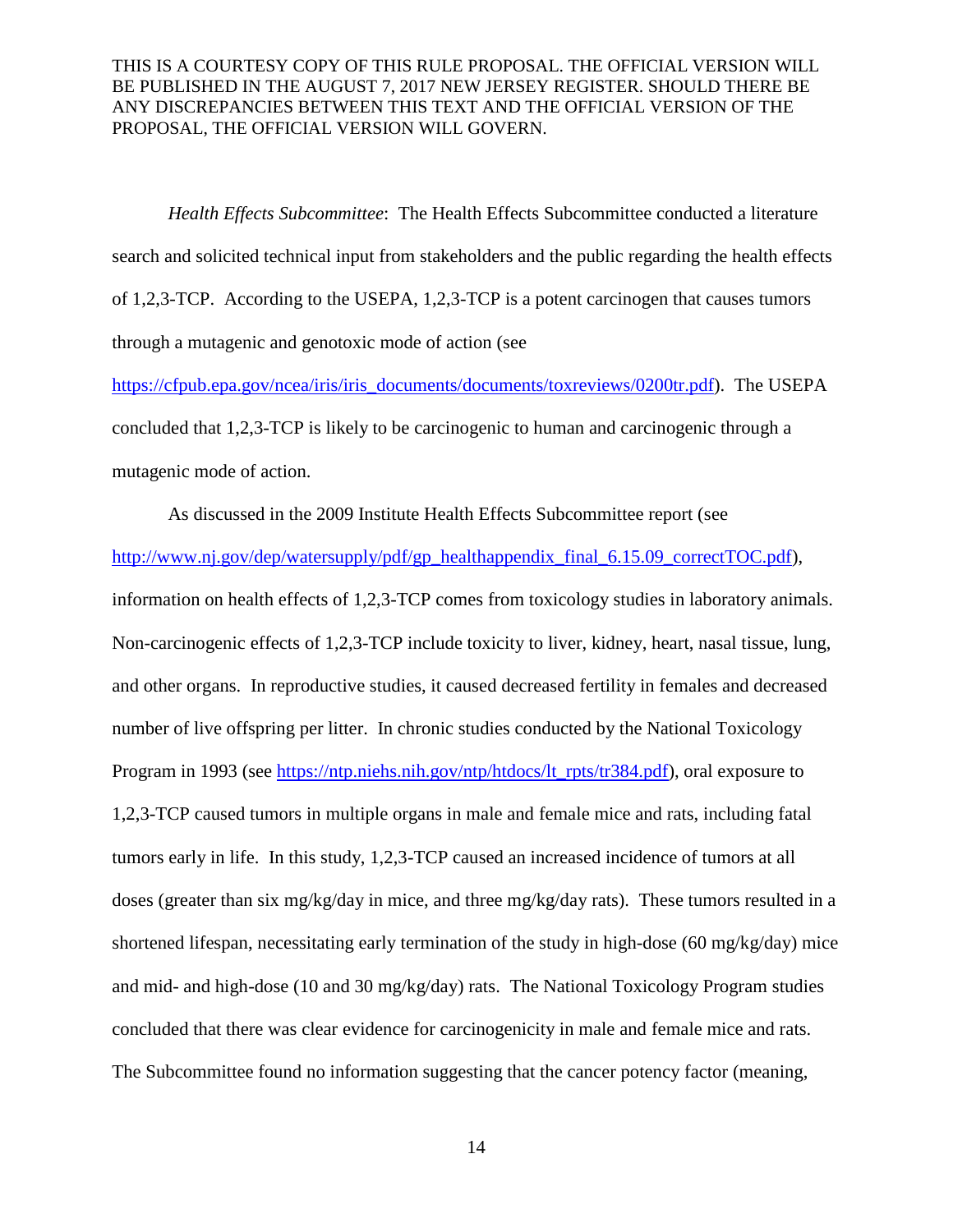*Health Effects Subcommittee*: The Health Effects Subcommittee conducted a literature search and solicited technical input from stakeholders and the public regarding the health effects of 1,2,3-TCP. According to the USEPA, 1,2,3-TCP is a potent carcinogen that causes tumors through a mutagenic and genotoxic mode of action (see

[https://cfpub.epa.gov/ncea/iris/iris\\_documents/documents/toxreviews/0200tr.pdf\)](https://cfpub.epa.gov/ncea/iris/iris_documents/documents/toxreviews/0200tr.pdf). The USEPA concluded that 1,2,3-TCP is likely to be carcinogenic to human and carcinogenic through a mutagenic mode of action.

As discussed in the 2009 Institute Health Effects Subcommittee report (see

[http://www.nj.gov/dep/watersupply/pdf/gp\\_healthappendix\\_final\\_6.15.09\\_correctTOC.pdf\)](http://www.nj.gov/dep/watersupply/pdf/gp_healthappendix_final_6.15.09_correctTOC.pdf), information on health effects of 1,2,3-TCP comes from toxicology studies in laboratory animals. Non-carcinogenic effects of 1,2,3-TCP include toxicity to liver, kidney, heart, nasal tissue, lung, and other organs. In reproductive studies, it caused decreased fertility in females and decreased number of live offspring per litter. In chronic studies conducted by the National Toxicology Program in 1993 (see [https://ntp.niehs.nih.gov/ntp/htdocs/lt\\_rpts/tr384.pdf\)](https://ntp.niehs.nih.gov/ntp/htdocs/lt_rpts/tr384.pdf), oral exposure to 1,2,3-TCP caused tumors in multiple organs in male and female mice and rats, including fatal tumors early in life. In this study, 1,2,3-TCP caused an increased incidence of tumors at all doses (greater than six mg/kg/day in mice, and three mg/kg/day rats). These tumors resulted in a shortened lifespan, necessitating early termination of the study in high-dose (60 mg/kg/day) mice and mid- and high-dose (10 and 30 mg/kg/day) rats. The National Toxicology Program studies concluded that there was clear evidence for carcinogenicity in male and female mice and rats. The Subcommittee found no information suggesting that the cancer potency factor (meaning,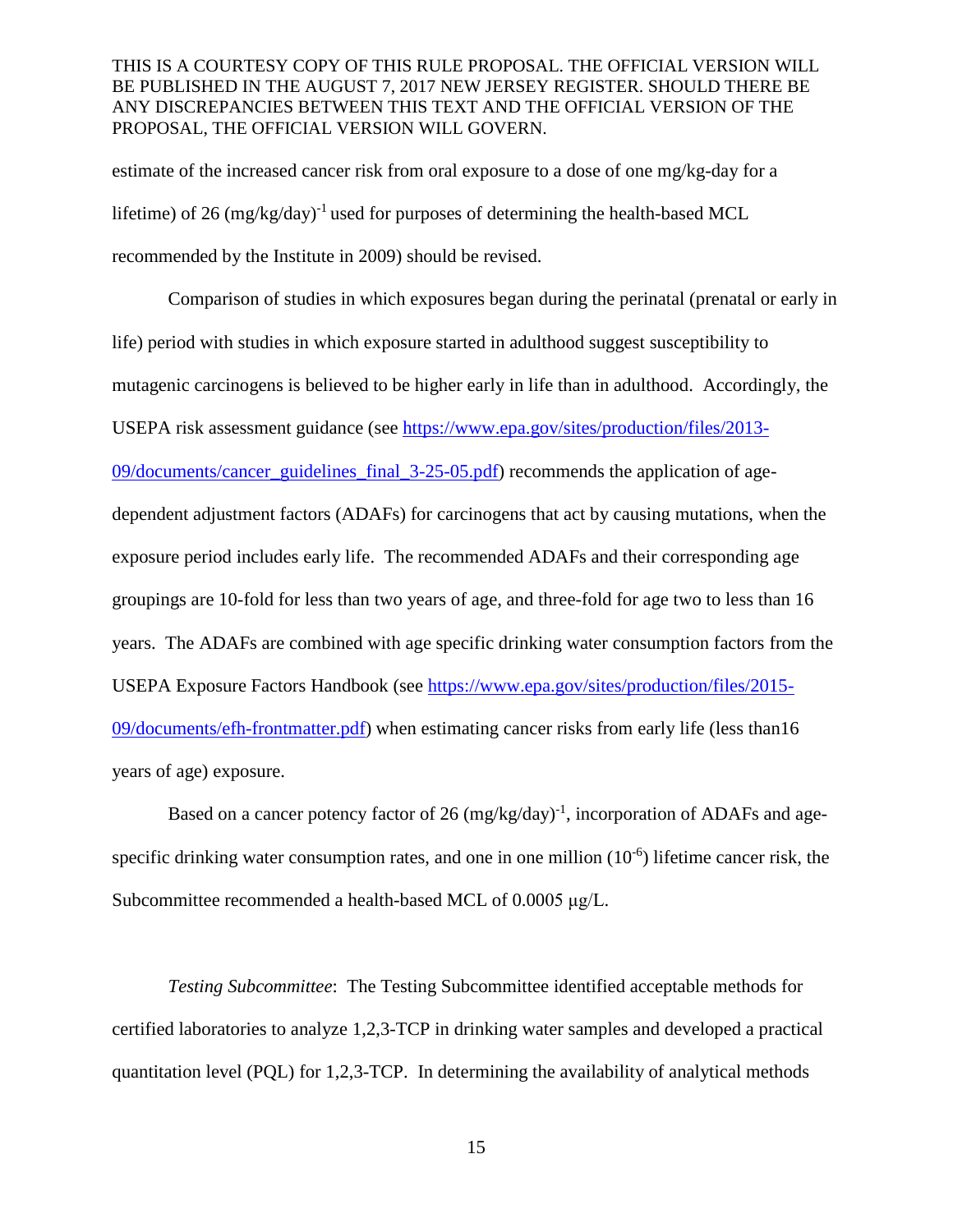estimate of the increased cancer risk from oral exposure to a dose of one mg/kg-day for a lifetime) of 26  $(mg/kg/day)^{-1}$  used for purposes of determining the health-based MCL recommended by the Institute in 2009) should be revised.

Comparison of studies in which exposures began during the perinatal (prenatal or early in life) period with studies in which exposure started in adulthood suggest susceptibility to mutagenic carcinogens is believed to be higher early in life than in adulthood. Accordingly, the USEPA risk assessment guidance (see [https://www.epa.gov/sites/production/files/2013-](https://www.epa.gov/sites/production/files/2013-09/documents/cancer_guidelines_final_3-25-05.pdf) [09/documents/cancer\\_guidelines\\_final\\_3-25-05.pdf\)](https://www.epa.gov/sites/production/files/2013-09/documents/cancer_guidelines_final_3-25-05.pdf) recommends the application of agedependent adjustment factors (ADAFs) for carcinogens that act by causing mutations, when the exposure period includes early life. The recommended ADAFs and their corresponding age groupings are 10-fold for less than two years of age, and three-fold for age two to less than 16 years. The ADAFs are combined with age specific drinking water consumption factors from the USEPA Exposure Factors Handbook (see [https://www.epa.gov/sites/production/files/2015-](https://www.epa.gov/sites/production/files/2015-09/documents/efh-frontmatter.pdf) [09/documents/efh-frontmatter.pdf\)](https://www.epa.gov/sites/production/files/2015-09/documents/efh-frontmatter.pdf) when estimating cancer risks from early life (less than16 years of age) exposure.

Based on a cancer potency factor of 26  $(mg/kg/day)^{-1}$ , incorporation of ADAFs and agespecific drinking water consumption rates, and one in one million  $(10^{-6})$  lifetime cancer risk, the Subcommittee recommended a health-based MCL of 0.0005 μg/L.

*Testing Subcommittee*: The Testing Subcommittee identified acceptable methods for certified laboratories to analyze 1,2,3-TCP in drinking water samples and developed a practical quantitation level (PQL) for 1,2,3-TCP. In determining the availability of analytical methods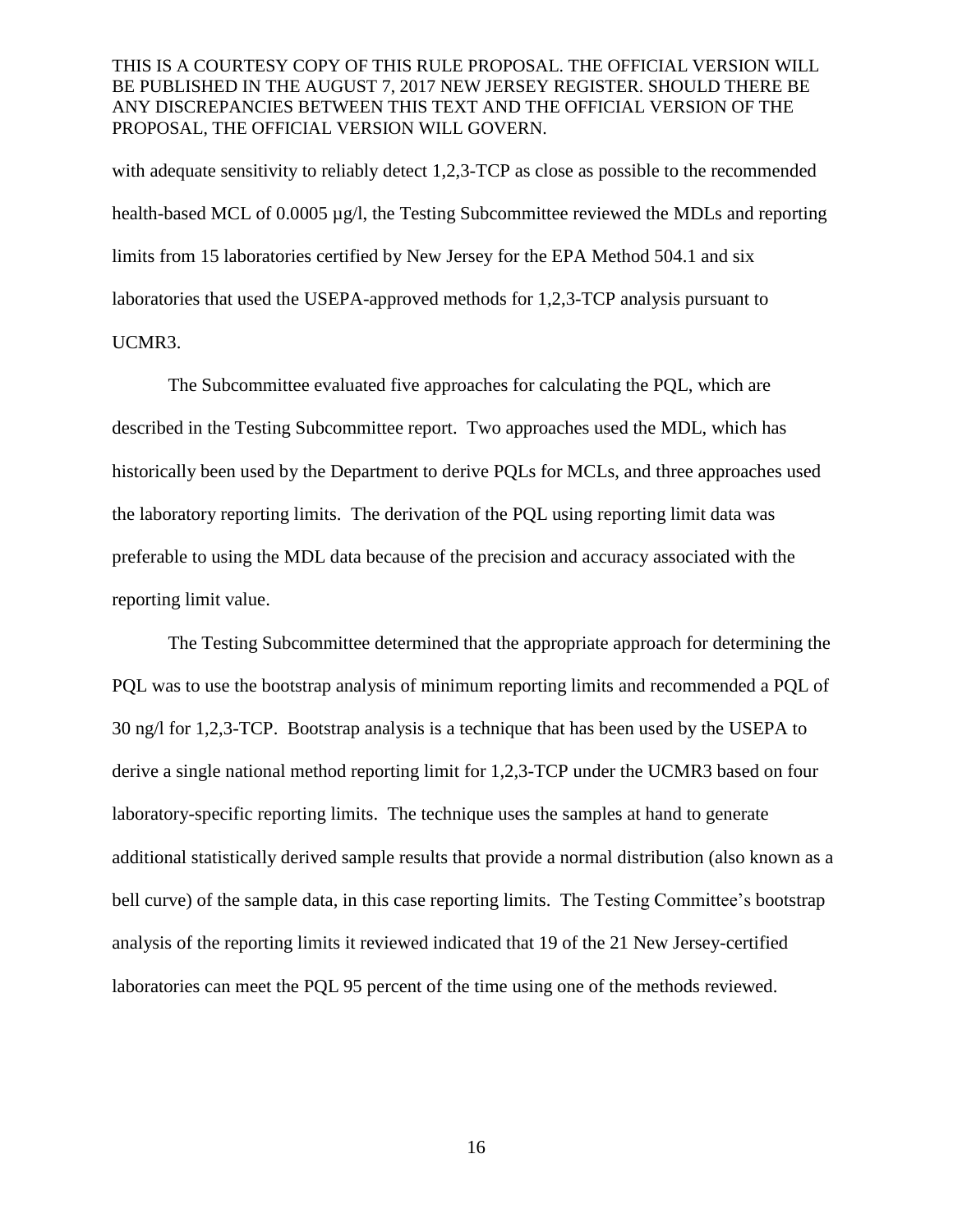with adequate sensitivity to reliably detect 1,2,3-TCP as close as possible to the recommended health-based MCL of 0.0005 µg/l, the Testing Subcommittee reviewed the MDLs and reporting limits from 15 laboratories certified by New Jersey for the EPA Method 504.1 and six laboratories that used the USEPA-approved methods for 1,2,3-TCP analysis pursuant to UCMR3.

The Subcommittee evaluated five approaches for calculating the PQL, which are described in the Testing Subcommittee report. Two approaches used the MDL, which has historically been used by the Department to derive PQLs for MCLs, and three approaches used the laboratory reporting limits. The derivation of the PQL using reporting limit data was preferable to using the MDL data because of the precision and accuracy associated with the reporting limit value.

The Testing Subcommittee determined that the appropriate approach for determining the PQL was to use the bootstrap analysis of minimum reporting limits and recommended a PQL of 30 ng/l for 1,2,3-TCP. Bootstrap analysis is a technique that has been used by the USEPA to derive a single national method reporting limit for 1,2,3-TCP under the UCMR3 based on four laboratory-specific reporting limits. The technique uses the samples at hand to generate additional statistically derived sample results that provide a normal distribution (also known as a bell curve) of the sample data, in this case reporting limits. The Testing Committee's bootstrap analysis of the reporting limits it reviewed indicated that 19 of the 21 New Jersey-certified laboratories can meet the PQL 95 percent of the time using one of the methods reviewed.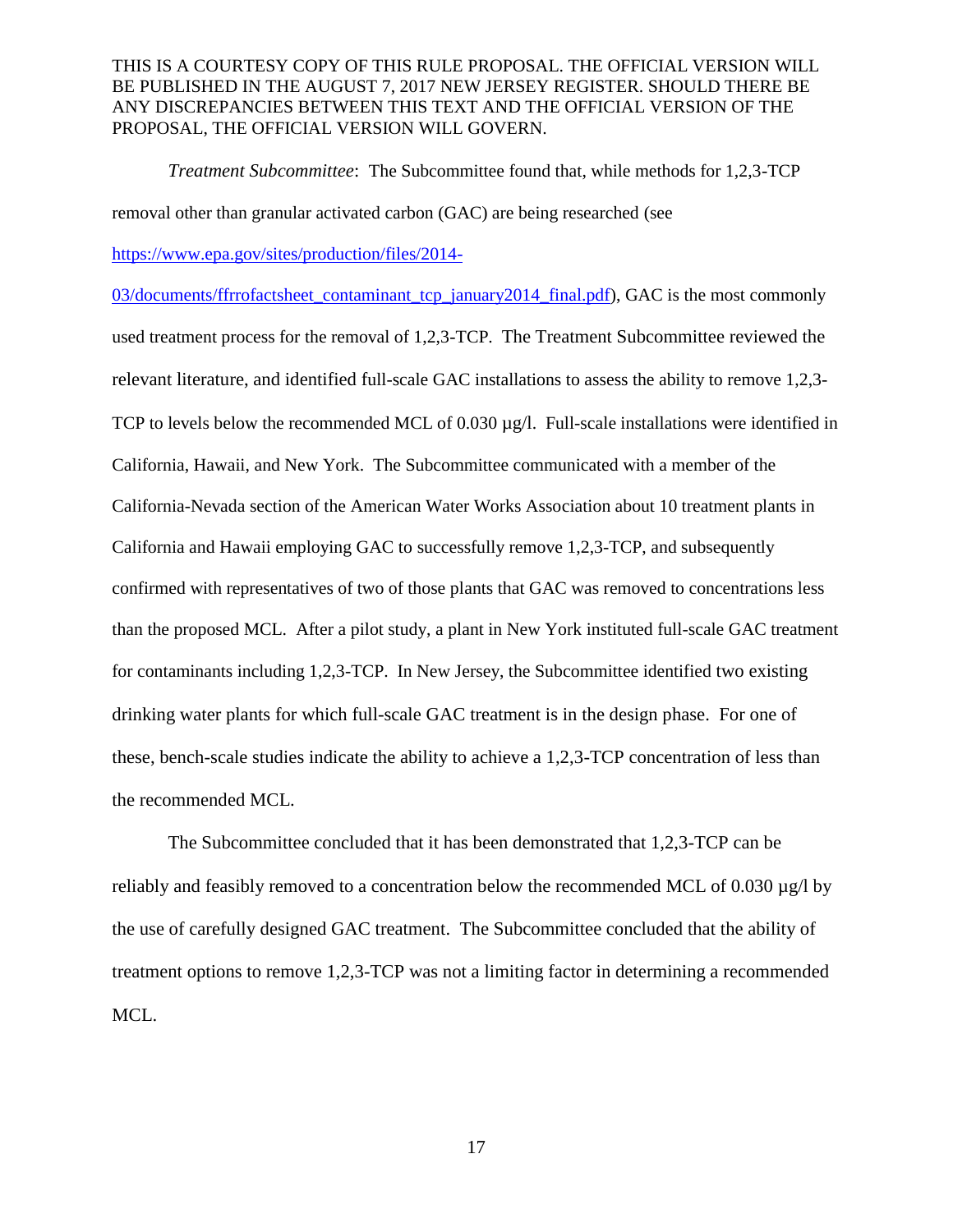*Treatment Subcommittee*: The Subcommittee found that, while methods for 1,2,3-TCP removal other than granular activated carbon (GAC) are being researched (see [https://www.epa.gov/sites/production/files/2014-](https://www.epa.gov/sites/production/files/2014-03/documents/ffrrofactsheet_contaminant_tcp_january2014_final.pdf)

[03/documents/ffrrofactsheet\\_contaminant\\_tcp\\_january2014\\_final.pdf\)](https://www.epa.gov/sites/production/files/2014-03/documents/ffrrofactsheet_contaminant_tcp_january2014_final.pdf), GAC is the most commonly used treatment process for the removal of 1,2,3-TCP. The Treatment Subcommittee reviewed the relevant literature, and identified full-scale GAC installations to assess the ability to remove 1,2,3- TCP to levels below the recommended MCL of  $0.030 \mu g/l$ . Full-scale installations were identified in California, Hawaii, and New York. The Subcommittee communicated with a member of the California-Nevada section of the American Water Works Association about 10 treatment plants in California and Hawaii employing GAC to successfully remove 1,2,3-TCP, and subsequently confirmed with representatives of two of those plants that GAC was removed to concentrations less than the proposed MCL. After a pilot study, a plant in New York instituted full-scale GAC treatment for contaminants including 1,2,3-TCP. In New Jersey, the Subcommittee identified two existing drinking water plants for which full-scale GAC treatment is in the design phase. For one of these, bench-scale studies indicate the ability to achieve a 1,2,3-TCP concentration of less than the recommended MCL.

The Subcommittee concluded that it has been demonstrated that 1,2,3-TCP can be reliably and feasibly removed to a concentration below the recommended MCL of 0.030 µg/l by the use of carefully designed GAC treatment. The Subcommittee concluded that the ability of treatment options to remove 1,2,3-TCP was not a limiting factor in determining a recommended MCL.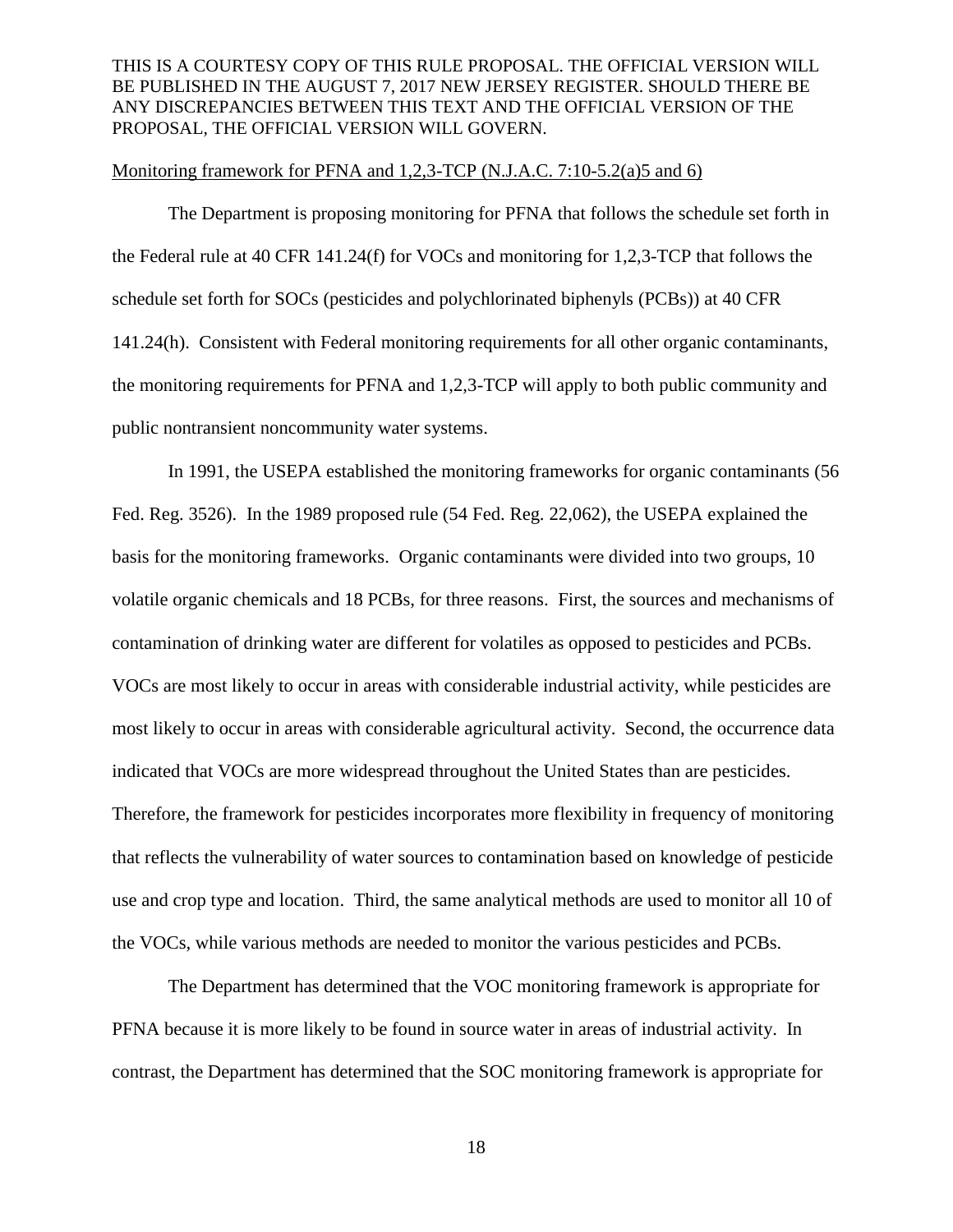#### Monitoring framework for PFNA and 1,2,3-TCP (N.J.A.C. 7:10-5.2(a)5 and 6)

The Department is proposing monitoring for PFNA that follows the schedule set forth in the Federal rule at 40 CFR 141.24(f) for VOCs and monitoring for 1,2,3-TCP that follows the schedule set forth for SOCs (pesticides and polychlorinated biphenyls (PCBs)) at 40 CFR 141.24(h). Consistent with Federal monitoring requirements for all other organic contaminants, the monitoring requirements for PFNA and 1,2,3-TCP will apply to both public community and public nontransient noncommunity water systems.

In 1991, the USEPA established the monitoring frameworks for organic contaminants (56 Fed. Reg. 3526). In the 1989 proposed rule (54 Fed. Reg. 22,062), the USEPA explained the basis for the monitoring frameworks. Organic contaminants were divided into two groups, 10 volatile organic chemicals and 18 PCBs, for three reasons. First, the sources and mechanisms of contamination of drinking water are different for volatiles as opposed to pesticides and PCBs. VOCs are most likely to occur in areas with considerable industrial activity, while pesticides are most likely to occur in areas with considerable agricultural activity. Second, the occurrence data indicated that VOCs are more widespread throughout the United States than are pesticides. Therefore, the framework for pesticides incorporates more flexibility in frequency of monitoring that reflects the vulnerability of water sources to contamination based on knowledge of pesticide use and crop type and location. Third, the same analytical methods are used to monitor all 10 of the VOCs, while various methods are needed to monitor the various pesticides and PCBs.

The Department has determined that the VOC monitoring framework is appropriate for PFNA because it is more likely to be found in source water in areas of industrial activity. In contrast, the Department has determined that the SOC monitoring framework is appropriate for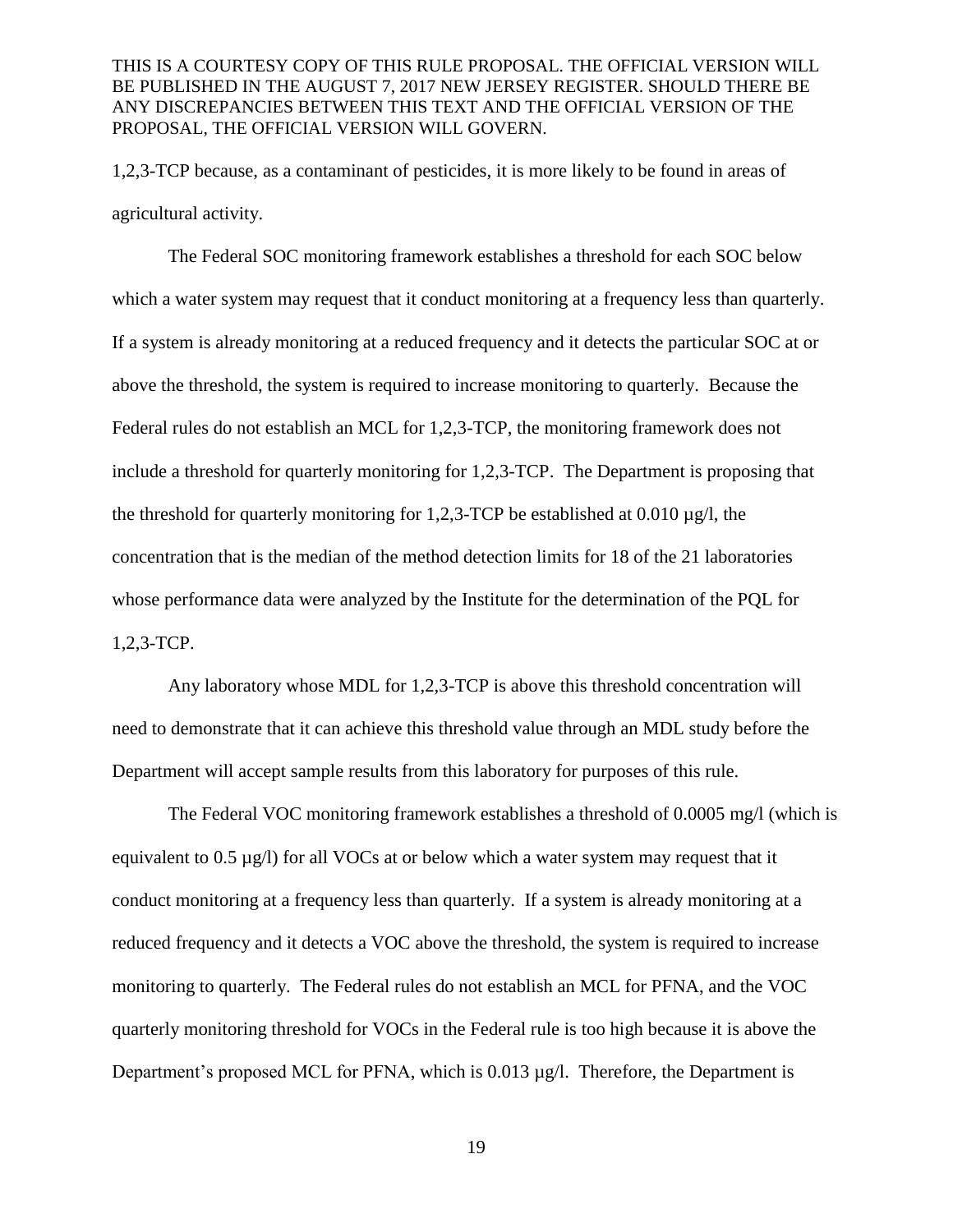1,2,3-TCP because, as a contaminant of pesticides, it is more likely to be found in areas of agricultural activity.

The Federal SOC monitoring framework establishes a threshold for each SOC below which a water system may request that it conduct monitoring at a frequency less than quarterly. If a system is already monitoring at a reduced frequency and it detects the particular SOC at or above the threshold, the system is required to increase monitoring to quarterly. Because the Federal rules do not establish an MCL for 1,2,3-TCP, the monitoring framework does not include a threshold for quarterly monitoring for 1,2,3-TCP. The Department is proposing that the threshold for quarterly monitoring for 1,2,3-TCP be established at 0.010  $\mu$ g/l, the concentration that is the median of the method detection limits for 18 of the 21 laboratories whose performance data were analyzed by the Institute for the determination of the PQL for 1,2,3-TCP.

Any laboratory whose MDL for 1,2,3-TCP is above this threshold concentration will need to demonstrate that it can achieve this threshold value through an MDL study before the Department will accept sample results from this laboratory for purposes of this rule.

The Federal VOC monitoring framework establishes a threshold of 0.0005 mg/l (which is equivalent to  $0.5 \mu g/l$  for all VOCs at or below which a water system may request that it conduct monitoring at a frequency less than quarterly. If a system is already monitoring at a reduced frequency and it detects a VOC above the threshold, the system is required to increase monitoring to quarterly. The Federal rules do not establish an MCL for PFNA, and the VOC quarterly monitoring threshold for VOCs in the Federal rule is too high because it is above the Department's proposed MCL for PFNA, which is  $0.013 \mu g/l$ . Therefore, the Department is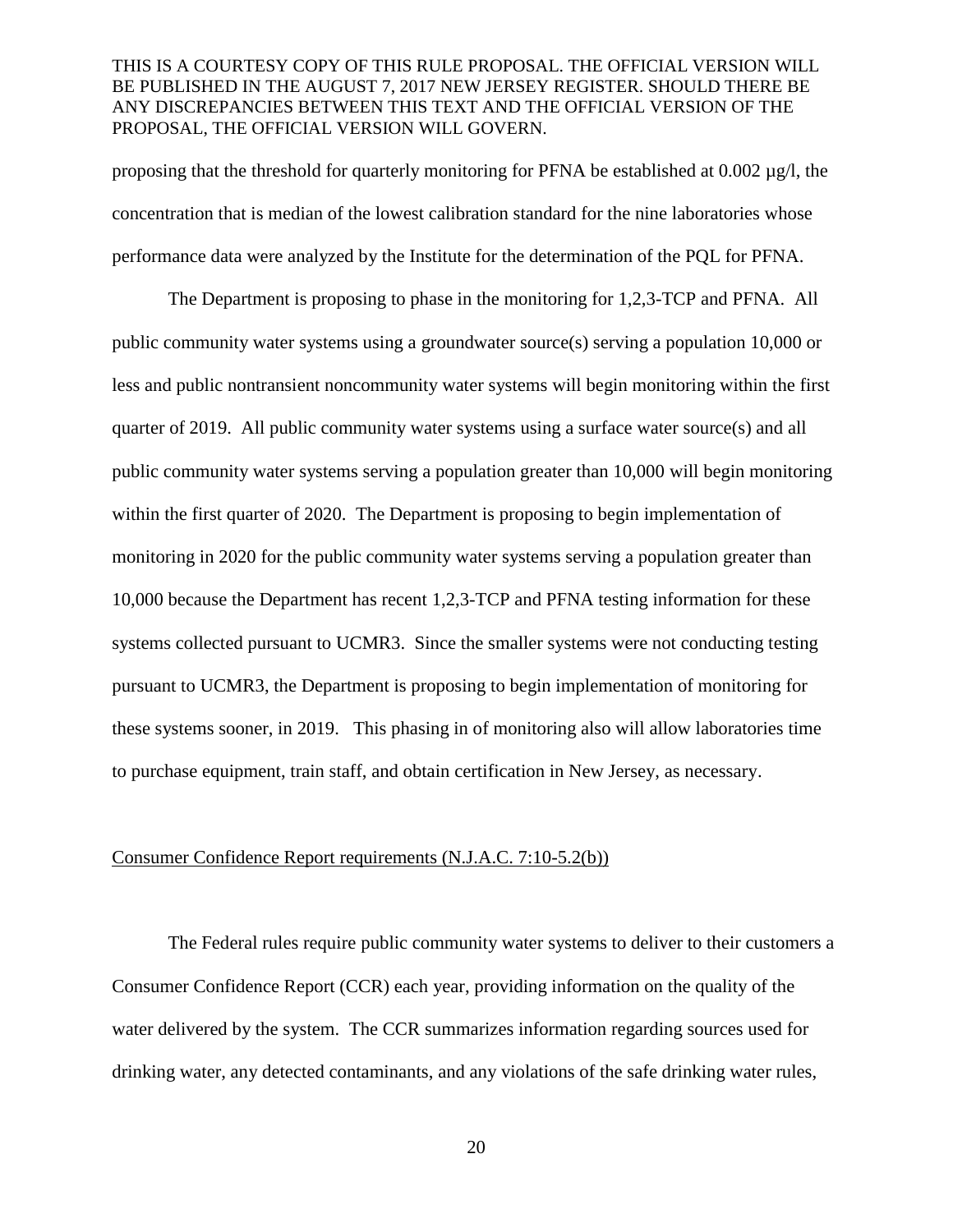proposing that the threshold for quarterly monitoring for PFNA be established at 0.002 µg/l, the concentration that is median of the lowest calibration standard for the nine laboratories whose performance data were analyzed by the Institute for the determination of the PQL for PFNA.

The Department is proposing to phase in the monitoring for 1,2,3-TCP and PFNA. All public community water systems using a groundwater source(s) serving a population 10,000 or less and public nontransient noncommunity water systems will begin monitoring within the first quarter of 2019. All public community water systems using a surface water source(s) and all public community water systems serving a population greater than 10,000 will begin monitoring within the first quarter of 2020. The Department is proposing to begin implementation of monitoring in 2020 for the public community water systems serving a population greater than 10,000 because the Department has recent 1,2,3-TCP and PFNA testing information for these systems collected pursuant to UCMR3. Since the smaller systems were not conducting testing pursuant to UCMR3, the Department is proposing to begin implementation of monitoring for these systems sooner, in 2019. This phasing in of monitoring also will allow laboratories time to purchase equipment, train staff, and obtain certification in New Jersey, as necessary.

#### Consumer Confidence Report requirements (N.J.A.C. 7:10-5.2(b))

The Federal rules require public community water systems to deliver to their customers a Consumer Confidence Report (CCR) each year, providing information on the quality of the water delivered by the system. The CCR summarizes information regarding sources used for drinking water, any detected contaminants, and any violations of the safe drinking water rules,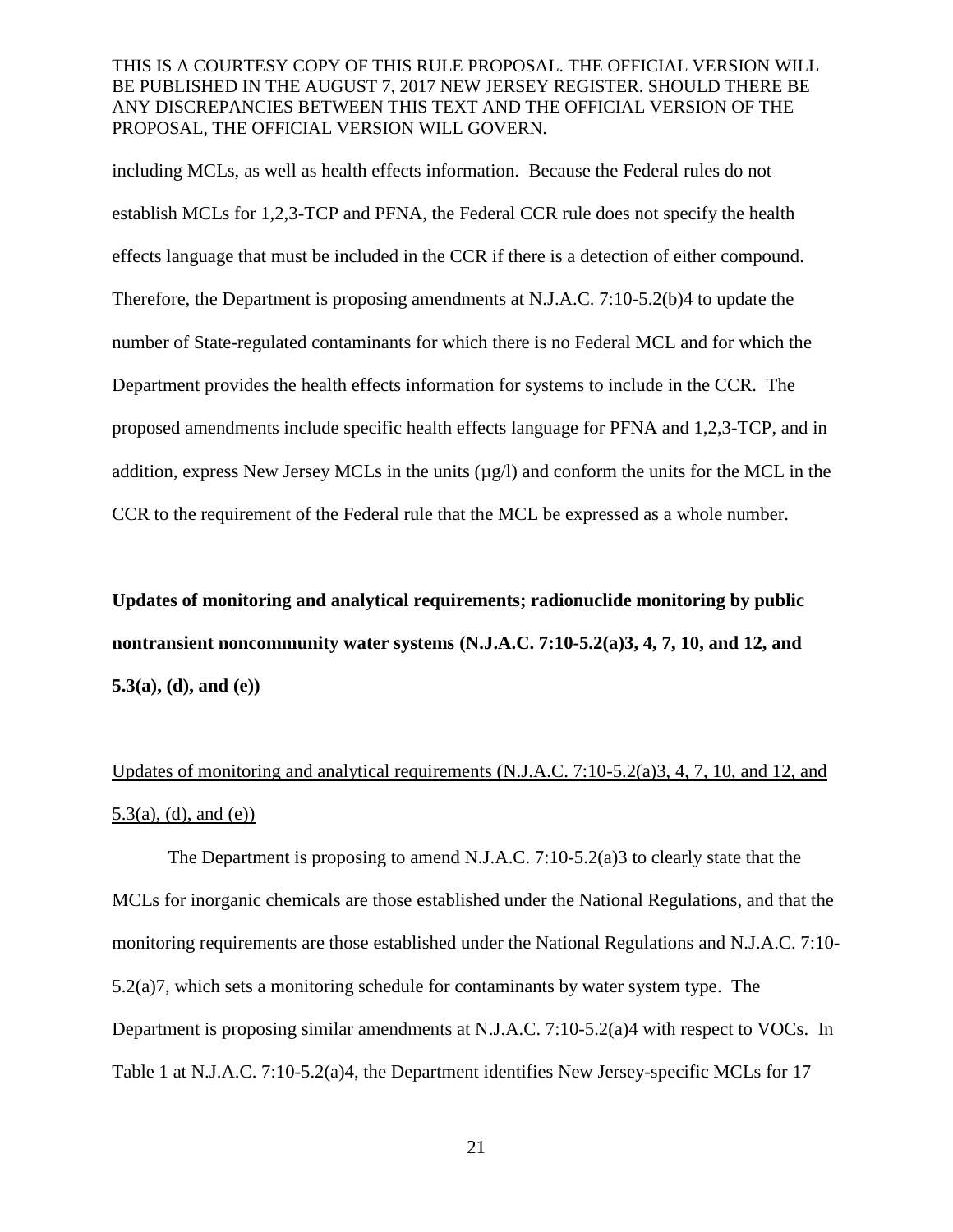including MCLs, as well as health effects information. Because the Federal rules do not establish MCLs for 1,2,3-TCP and PFNA, the Federal CCR rule does not specify the health effects language that must be included in the CCR if there is a detection of either compound. Therefore, the Department is proposing amendments at N.J.A.C. 7:10-5.2(b)4 to update the number of State-regulated contaminants for which there is no Federal MCL and for which the Department provides the health effects information for systems to include in the CCR. The proposed amendments include specific health effects language for PFNA and 1,2,3-TCP, and in addition, express New Jersey MCLs in the units  $(\mu g/l)$  and conform the units for the MCL in the CCR to the requirement of the Federal rule that the MCL be expressed as a whole number.

**Updates of monitoring and analytical requirements; radionuclide monitoring by public nontransient noncommunity water systems (N.J.A.C. 7:10-5.2(a)3, 4, 7, 10, and 12, and 5.3(a), (d), and (e))**

# Updates of monitoring and analytical requirements (N.J.A.C. 7:10-5.2(a)3, 4, 7, 10, and 12, and  $5.3(a)$ , (d), and (e))

The Department is proposing to amend N.J.A.C. 7:10-5.2(a)3 to clearly state that the MCLs for inorganic chemicals are those established under the National Regulations, and that the monitoring requirements are those established under the National Regulations and N.J.A.C. 7:10- 5.2(a)7, which sets a monitoring schedule for contaminants by water system type. The Department is proposing similar amendments at N.J.A.C. 7:10-5.2(a)4 with respect to VOCs. In Table 1 at N.J.A.C. 7:10-5.2(a)4, the Department identifies New Jersey-specific MCLs for 17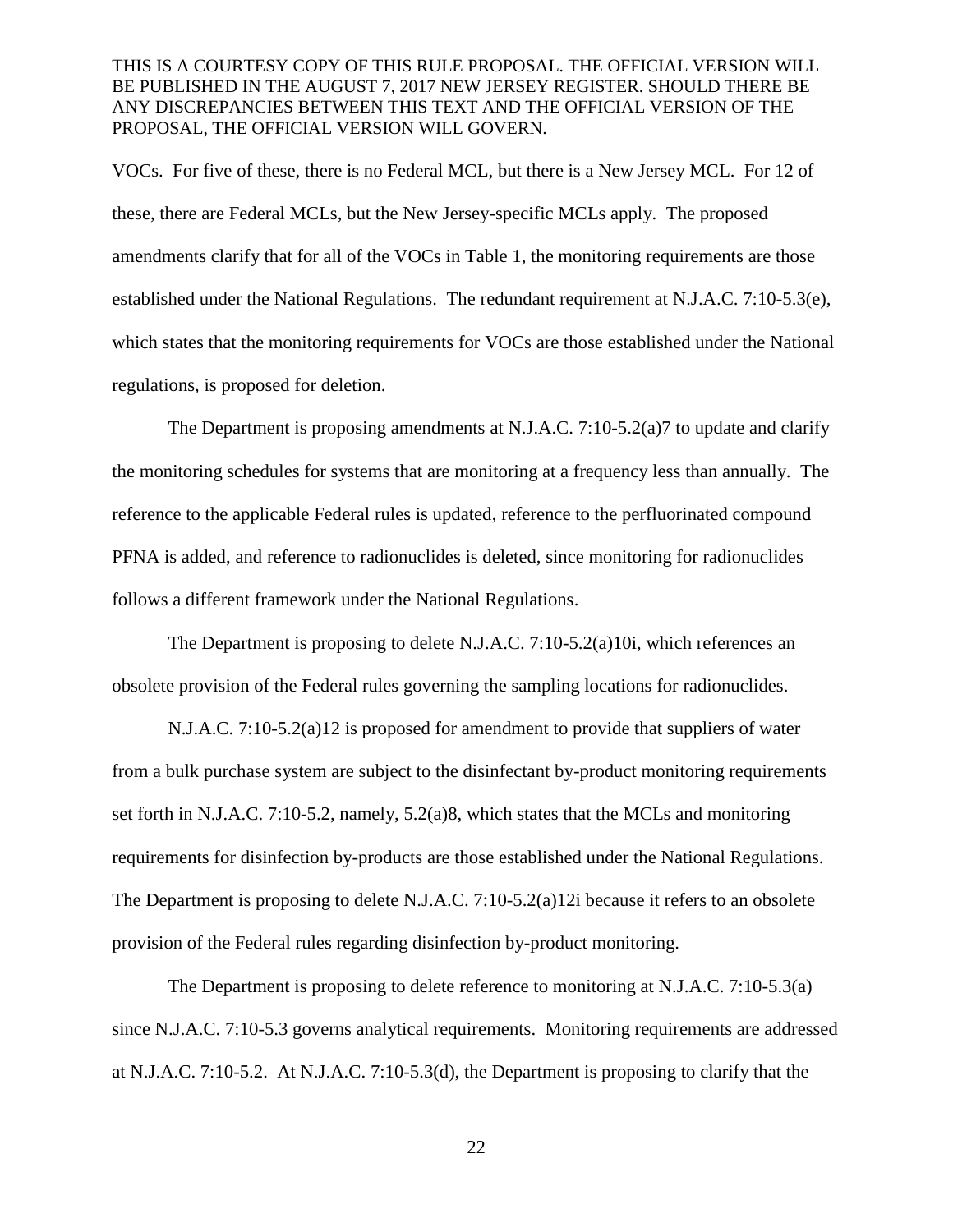VOCs. For five of these, there is no Federal MCL, but there is a New Jersey MCL. For 12 of these, there are Federal MCLs, but the New Jersey-specific MCLs apply. The proposed amendments clarify that for all of the VOCs in Table 1, the monitoring requirements are those established under the National Regulations. The redundant requirement at N.J.A.C. 7:10-5.3(e), which states that the monitoring requirements for VOCs are those established under the National regulations, is proposed for deletion.

The Department is proposing amendments at N.J.A.C. 7:10-5.2(a)7 to update and clarify the monitoring schedules for systems that are monitoring at a frequency less than annually. The reference to the applicable Federal rules is updated, reference to the perfluorinated compound PFNA is added, and reference to radionuclides is deleted, since monitoring for radionuclides follows a different framework under the National Regulations.

The Department is proposing to delete N.J.A.C. 7:10-5.2(a)10i, which references an obsolete provision of the Federal rules governing the sampling locations for radionuclides.

N.J.A.C. 7:10-5.2(a)12 is proposed for amendment to provide that suppliers of water from a bulk purchase system are subject to the disinfectant by-product monitoring requirements set forth in N.J.A.C. 7:10-5.2, namely, 5.2(a)8, which states that the MCLs and monitoring requirements for disinfection by-products are those established under the National Regulations. The Department is proposing to delete N.J.A.C. 7:10-5.2(a)12i because it refers to an obsolete provision of the Federal rules regarding disinfection by-product monitoring.

The Department is proposing to delete reference to monitoring at N.J.A.C. 7:10-5.3(a) since N.J.A.C. 7:10-5.3 governs analytical requirements. Monitoring requirements are addressed at N.J.A.C. 7:10-5.2. At N.J.A.C. 7:10-5.3(d), the Department is proposing to clarify that the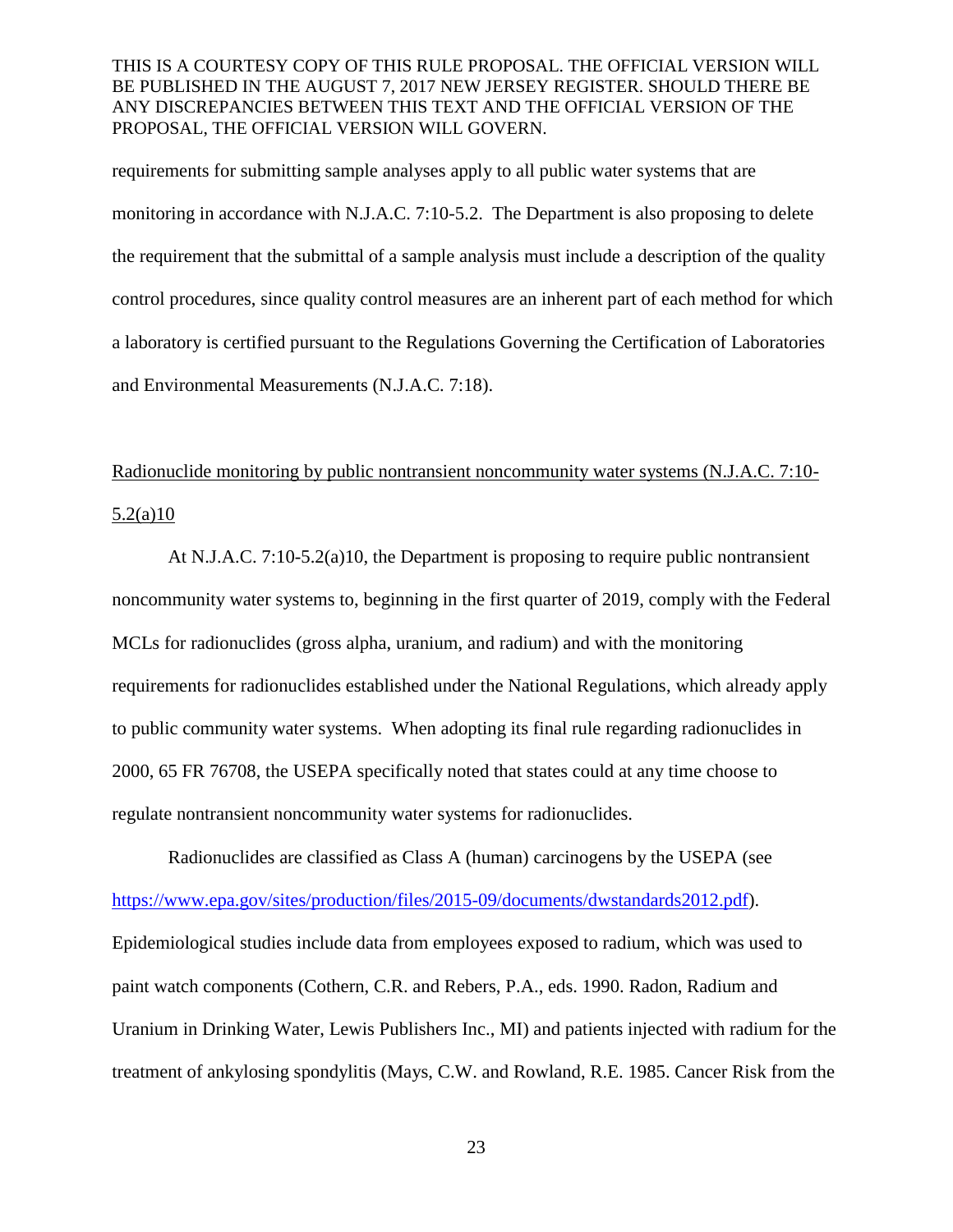requirements for submitting sample analyses apply to all public water systems that are monitoring in accordance with N.J.A.C. 7:10-5.2. The Department is also proposing to delete the requirement that the submittal of a sample analysis must include a description of the quality control procedures, since quality control measures are an inherent part of each method for which a laboratory is certified pursuant to the Regulations Governing the Certification of Laboratories and Environmental Measurements (N.J.A.C. 7:18).

# Radionuclide monitoring by public nontransient noncommunity water systems (N.J.A.C. 7:10- 5.2(a)10

At N.J.A.C. 7:10-5.2(a)10, the Department is proposing to require public nontransient noncommunity water systems to, beginning in the first quarter of 2019, comply with the Federal MCLs for radionuclides (gross alpha, uranium, and radium) and with the monitoring requirements for radionuclides established under the National Regulations, which already apply to public community water systems. When adopting its final rule regarding radionuclides in 2000, 65 FR 76708, the USEPA specifically noted that states could at any time choose to regulate nontransient noncommunity water systems for radionuclides.

Radionuclides are classified as Class A (human) carcinogens by the USEPA (see [https://www.epa.gov/sites/production/files/2015-09/documents/dwstandards2012.pdf\)](https://www.epa.gov/sites/production/files/2015-09/documents/dwstandards2012.pdf). Epidemiological studies include data from employees exposed to radium, which was used to paint watch components (Cothern, C.R. and Rebers, P.A., eds. 1990. Radon, Radium and Uranium in Drinking Water, Lewis Publishers Inc., MI) and patients injected with radium for the treatment of ankylosing spondylitis (Mays, C.W. and Rowland, R.E. 1985. Cancer Risk from the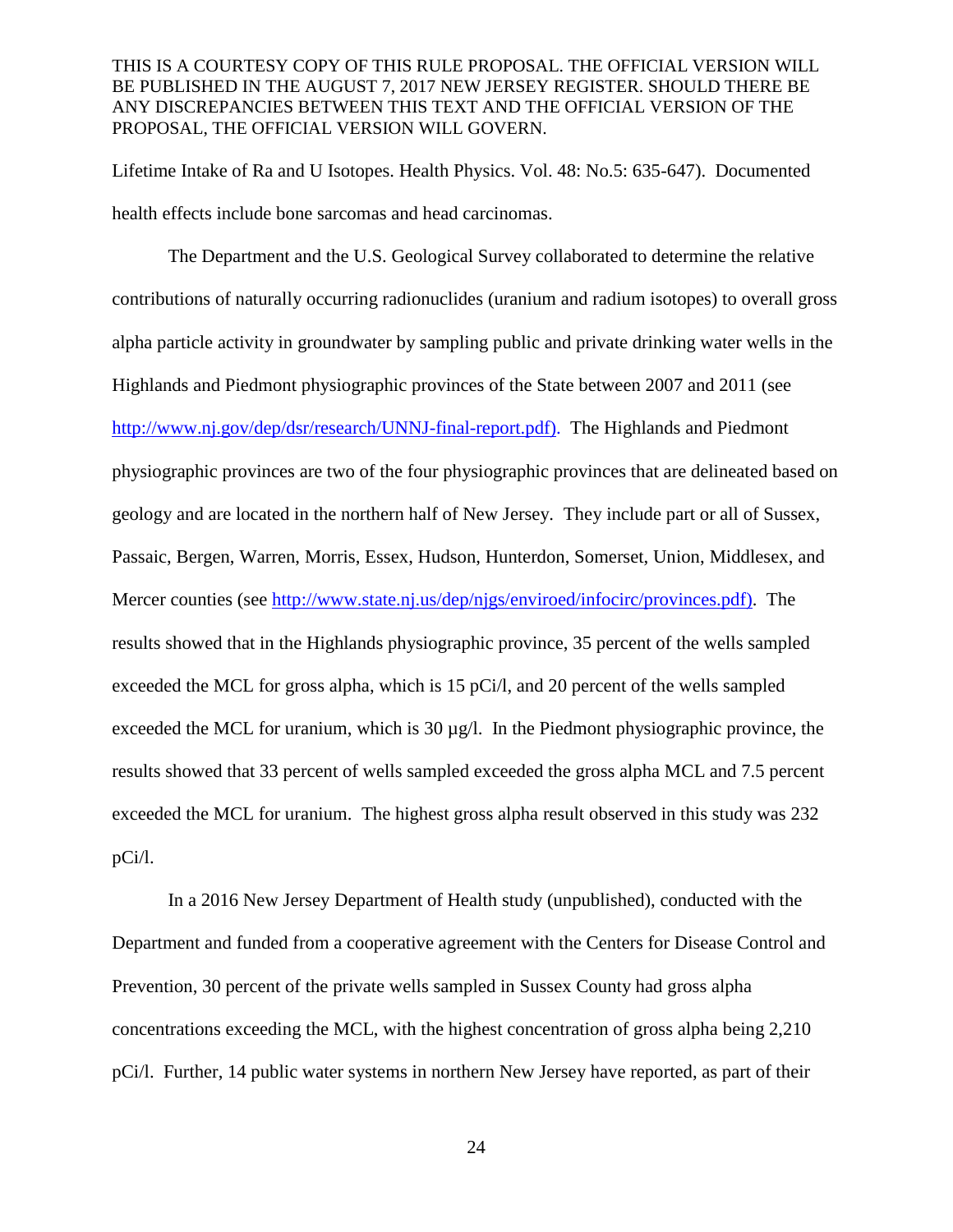Lifetime Intake of Ra and U Isotopes. Health Physics. Vol. 48: No.5: 635-647). Documented health effects include bone sarcomas and head carcinomas.

The Department and the U.S. Geological Survey collaborated to determine the relative contributions of naturally occurring radionuclides (uranium and radium isotopes) to overall gross alpha particle activity in groundwater by sampling public and private drinking water wells in the Highlands and Piedmont physiographic provinces of the State between 2007 and 2011 (see [http://www.nj.gov/dep/dsr/research/UNNJ-final-report.pdf\)](http://www.nj.gov/dep/dsr/research/UNNJ-final-report.pdf). The Highlands and Piedmont physiographic provinces are two of the four physiographic provinces that are delineated based on geology and are located in the northern half of New Jersey. They include part or all of Sussex, Passaic, Bergen, Warren, Morris, Essex, Hudson, Hunterdon, Somerset, Union, Middlesex, and Mercer counties (see [http://www.state.nj.us/dep/njgs/enviroed/infocirc/provinces.pdf\)](http://www.state.nj.us/dep/njgs/enviroed/infocirc/provinces.pdf). The results showed that in the Highlands physiographic province, 35 percent of the wells sampled exceeded the MCL for gross alpha, which is 15 pCi/l, and 20 percent of the wells sampled exceeded the MCL for uranium, which is  $30 \mu g/l$ . In the Piedmont physiographic province, the results showed that 33 percent of wells sampled exceeded the gross alpha MCL and 7.5 percent exceeded the MCL for uranium. The highest gross alpha result observed in this study was 232 pCi/l.

In a 2016 New Jersey Department of Health study (unpublished), conducted with the Department and funded from a cooperative agreement with the Centers for Disease Control and Prevention, 30 percent of the private wells sampled in Sussex County had gross alpha concentrations exceeding the MCL, with the highest concentration of gross alpha being 2,210 pCi/l. Further, 14 public water systems in northern New Jersey have reported, as part of their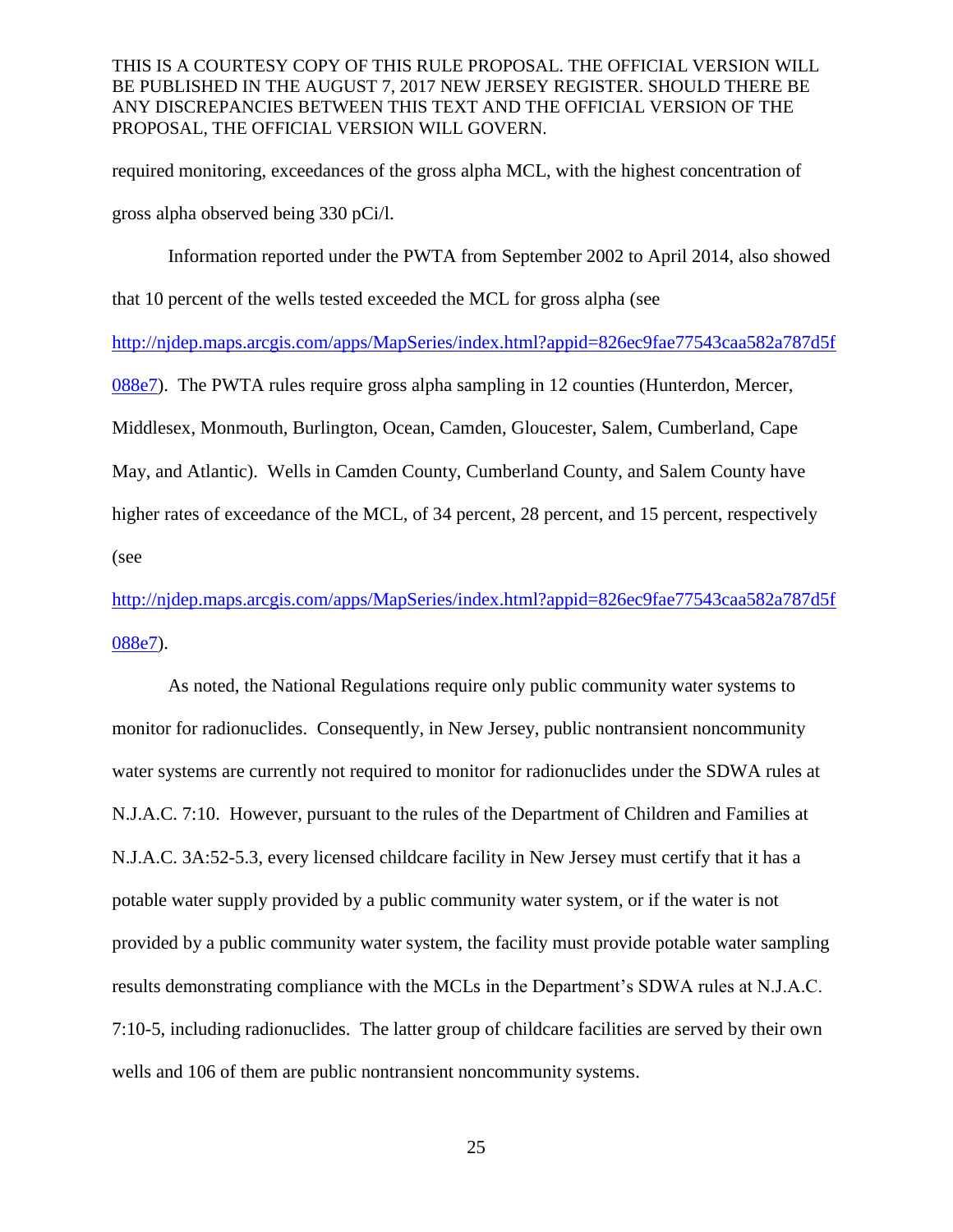required monitoring, exceedances of the gross alpha MCL, with the highest concentration of gross alpha observed being 330 pCi/l.

Information reported under the PWTA from September 2002 to April 2014, also showed that 10 percent of the wells tested exceeded the MCL for gross alpha (see [http://njdep.maps.arcgis.com/apps/MapSeries/index.html?appid=826ec9fae77543caa582a787d5f](http://njdep.maps.arcgis.com/apps/MapSeries/index.html?appid=826ec9fae77543caa582a787d5f088e7) [088e7\)](http://njdep.maps.arcgis.com/apps/MapSeries/index.html?appid=826ec9fae77543caa582a787d5f088e7). The PWTA rules require gross alpha sampling in 12 counties (Hunterdon, Mercer, Middlesex, Monmouth, Burlington, Ocean, Camden, Gloucester, Salem, Cumberland, Cape May, and Atlantic). Wells in Camden County, Cumberland County, and Salem County have higher rates of exceedance of the MCL, of 34 percent, 28 percent, and 15 percent, respectively (see

[http://njdep.maps.arcgis.com/apps/MapSeries/index.html?appid=826ec9fae77543caa582a787d5f](http://njdep.maps.arcgis.com/apps/MapSeries/index.html?appid=826ec9fae77543caa582a787d5f088e7) [088e7\)](http://njdep.maps.arcgis.com/apps/MapSeries/index.html?appid=826ec9fae77543caa582a787d5f088e7).

As noted, the National Regulations require only public community water systems to monitor for radionuclides. Consequently, in New Jersey, public nontransient noncommunity water systems are currently not required to monitor for radionuclides under the SDWA rules at N.J.A.C. 7:10. However, pursuant to the rules of the Department of Children and Families at N.J.A.C. 3A:52-5.3, every licensed childcare facility in New Jersey must certify that it has a potable water supply provided by a public community water system, or if the water is not provided by a public community water system, the facility must provide potable water sampling results demonstrating compliance with the MCLs in the Department's SDWA rules at N.J.A.C. 7:10-5, including radionuclides. The latter group of childcare facilities are served by their own wells and 106 of them are public nontransient noncommunity systems.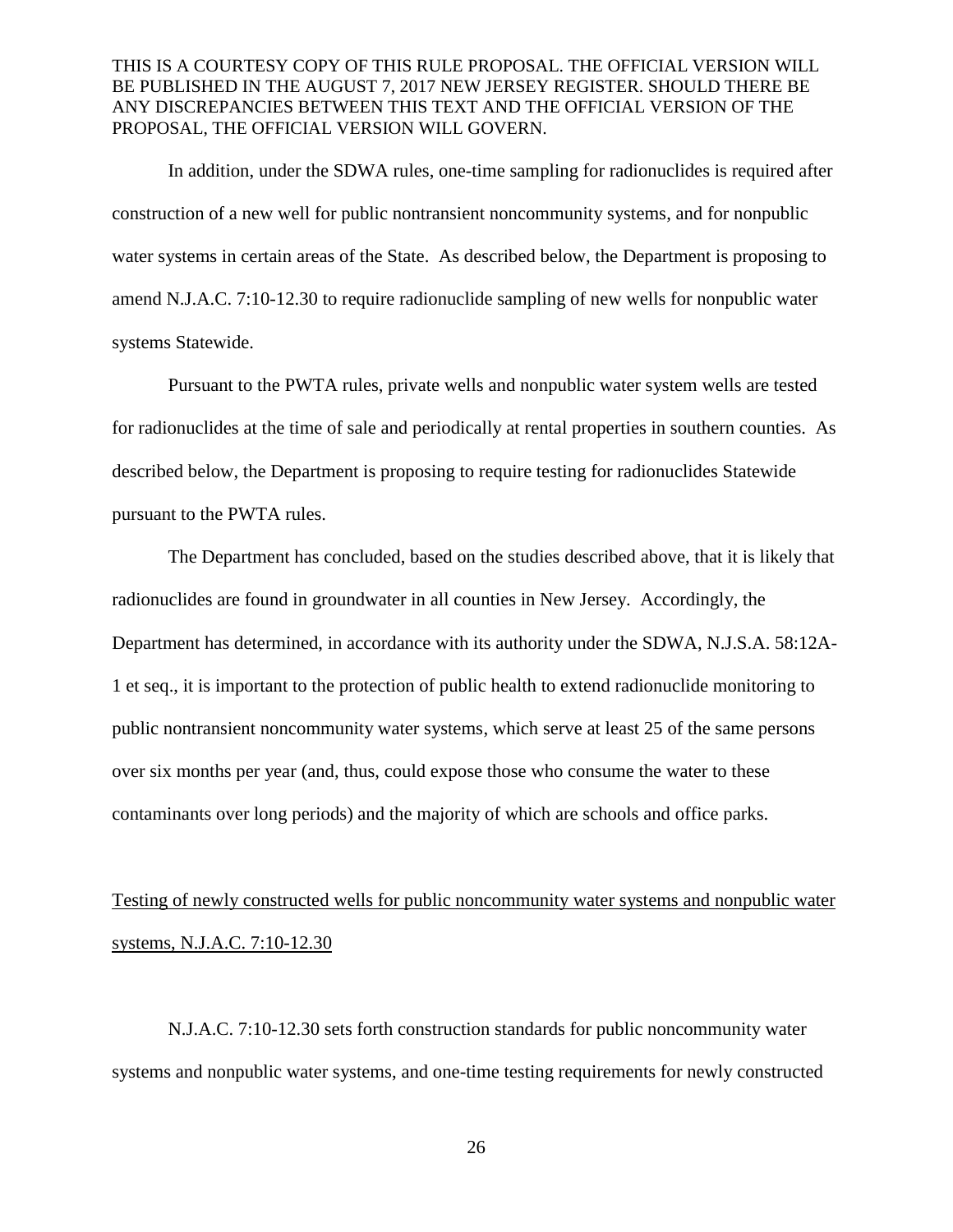In addition, under the SDWA rules, one-time sampling for radionuclides is required after construction of a new well for public nontransient noncommunity systems, and for nonpublic water systems in certain areas of the State. As described below, the Department is proposing to amend N.J.A.C. 7:10-12.30 to require radionuclide sampling of new wells for nonpublic water systems Statewide.

Pursuant to the PWTA rules, private wells and nonpublic water system wells are tested for radionuclides at the time of sale and periodically at rental properties in southern counties. As described below, the Department is proposing to require testing for radionuclides Statewide pursuant to the PWTA rules.

The Department has concluded, based on the studies described above, that it is likely that radionuclides are found in groundwater in all counties in New Jersey. Accordingly, the Department has determined, in accordance with its authority under the SDWA, N.J.S.A. 58:12A-1 et seq., it is important to the protection of public health to extend radionuclide monitoring to public nontransient noncommunity water systems, which serve at least 25 of the same persons over six months per year (and, thus, could expose those who consume the water to these contaminants over long periods) and the majority of which are schools and office parks.

# Testing of newly constructed wells for public noncommunity water systems and nonpublic water systems, N.J.A.C. 7:10-12.30

N.J.A.C. 7:10-12.30 sets forth construction standards for public noncommunity water systems and nonpublic water systems, and one-time testing requirements for newly constructed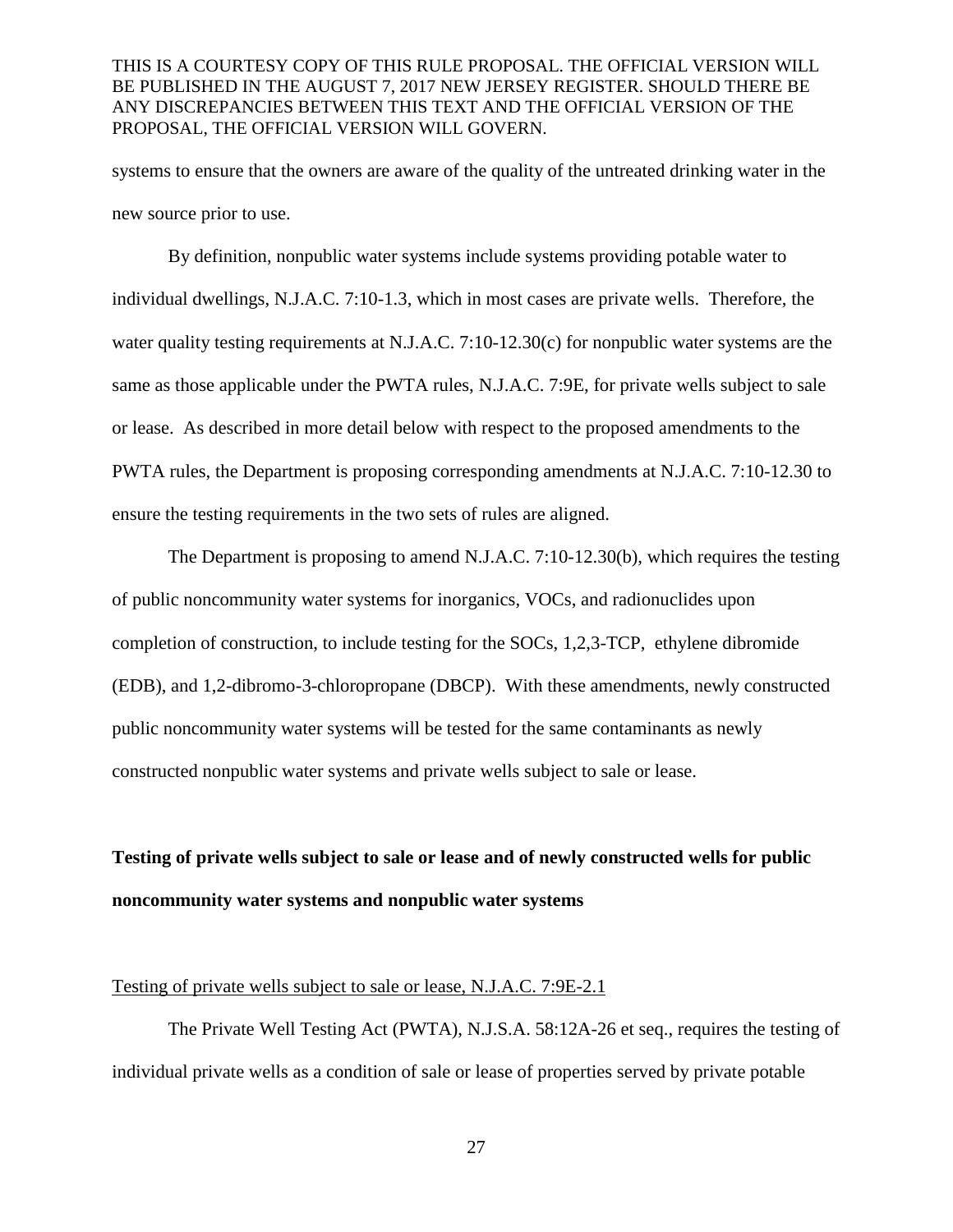systems to ensure that the owners are aware of the quality of the untreated drinking water in the new source prior to use.

By definition, nonpublic water systems include systems providing potable water to individual dwellings, N.J.A.C. 7:10-1.3, which in most cases are private wells. Therefore, the water quality testing requirements at N.J.A.C. 7:10-12.30(c) for nonpublic water systems are the same as those applicable under the PWTA rules, N.J.A.C. 7:9E, for private wells subject to sale or lease. As described in more detail below with respect to the proposed amendments to the PWTA rules, the Department is proposing corresponding amendments at N.J.A.C. 7:10-12.30 to ensure the testing requirements in the two sets of rules are aligned.

The Department is proposing to amend N.J.A.C. 7:10-12.30(b), which requires the testing of public noncommunity water systems for inorganics, VOCs, and radionuclides upon completion of construction, to include testing for the SOCs, 1,2,3-TCP, ethylene dibromide (EDB), and 1,2-dibromo-3-chloropropane (DBCP). With these amendments, newly constructed public noncommunity water systems will be tested for the same contaminants as newly constructed nonpublic water systems and private wells subject to sale or lease.

# **Testing of private wells subject to sale or lease and of newly constructed wells for public noncommunity water systems and nonpublic water systems**

# Testing of private wells subject to sale or lease, N.J.A.C. 7:9E-2.1

The Private Well Testing Act (PWTA), N.J.S.A. 58:12A-26 et seq., requires the testing of individual private wells as a condition of sale or lease of properties served by private potable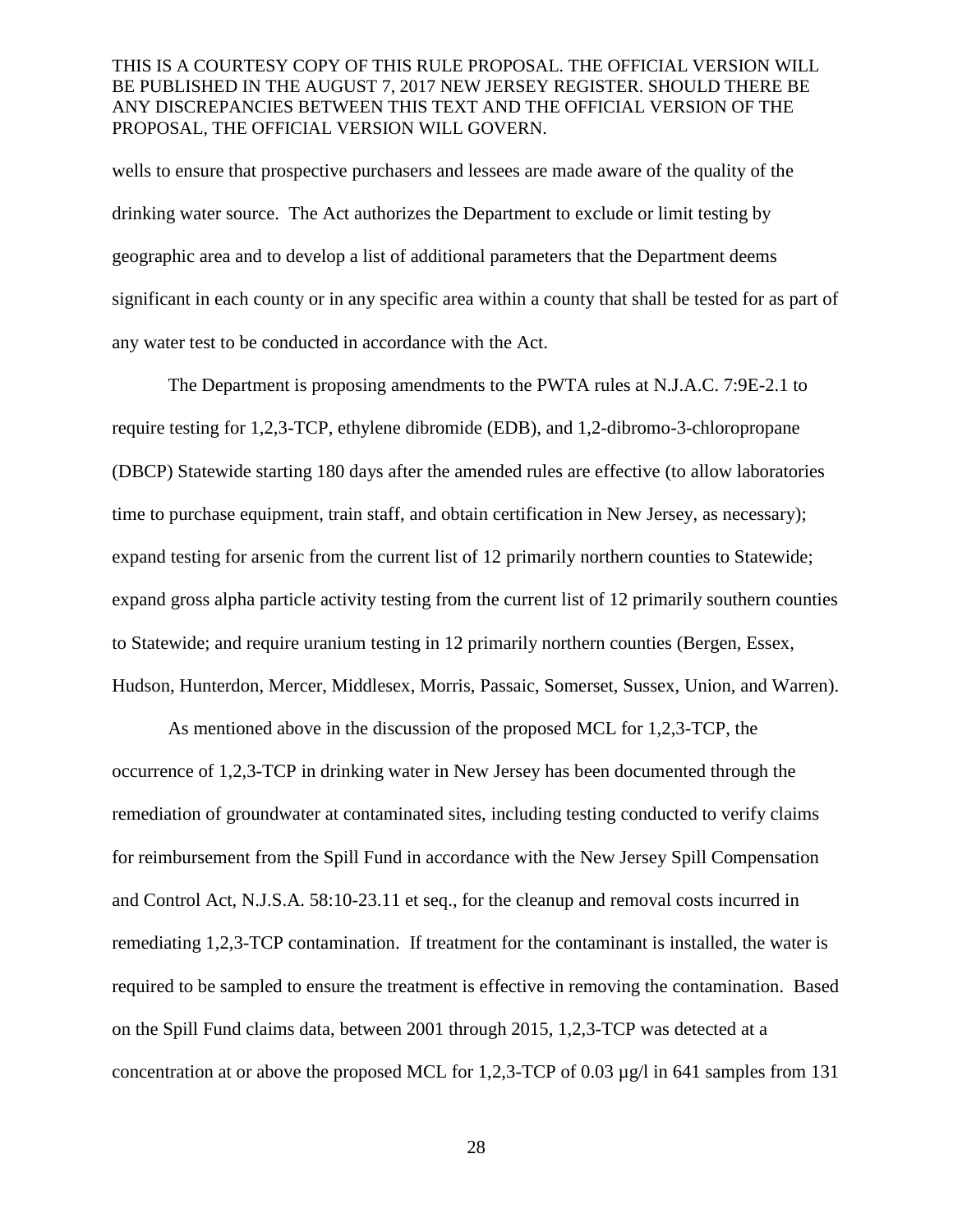wells to ensure that prospective purchasers and lessees are made aware of the quality of the drinking water source. The Act authorizes the Department to exclude or limit testing by geographic area and to develop a list of additional parameters that the Department deems significant in each county or in any specific area within a county that shall be tested for as part of any water test to be conducted in accordance with the Act.

The Department is proposing amendments to the PWTA rules at N.J.A.C. 7:9E-2.1 to require testing for 1,2,3-TCP, ethylene dibromide (EDB), and 1,2-dibromo-3-chloropropane (DBCP) Statewide starting 180 days after the amended rules are effective (to allow laboratories time to purchase equipment, train staff, and obtain certification in New Jersey, as necessary); expand testing for arsenic from the current list of 12 primarily northern counties to Statewide; expand gross alpha particle activity testing from the current list of 12 primarily southern counties to Statewide; and require uranium testing in 12 primarily northern counties (Bergen, Essex, Hudson, Hunterdon, Mercer, Middlesex, Morris, Passaic, Somerset, Sussex, Union, and Warren).

As mentioned above in the discussion of the proposed MCL for 1,2,3-TCP, the occurrence of 1,2,3-TCP in drinking water in New Jersey has been documented through the remediation of groundwater at contaminated sites, including testing conducted to verify claims for reimbursement from the Spill Fund in accordance with the New Jersey Spill Compensation and Control Act, N.J.S.A. 58:10-23.11 et seq., for the cleanup and removal costs incurred in remediating 1,2,3-TCP contamination. If treatment for the contaminant is installed, the water is required to be sampled to ensure the treatment is effective in removing the contamination. Based on the Spill Fund claims data, between 2001 through 2015, 1,2,3-TCP was detected at a concentration at or above the proposed MCL for 1,2,3-TCP of 0.03  $\mu$ g/l in 641 samples from 131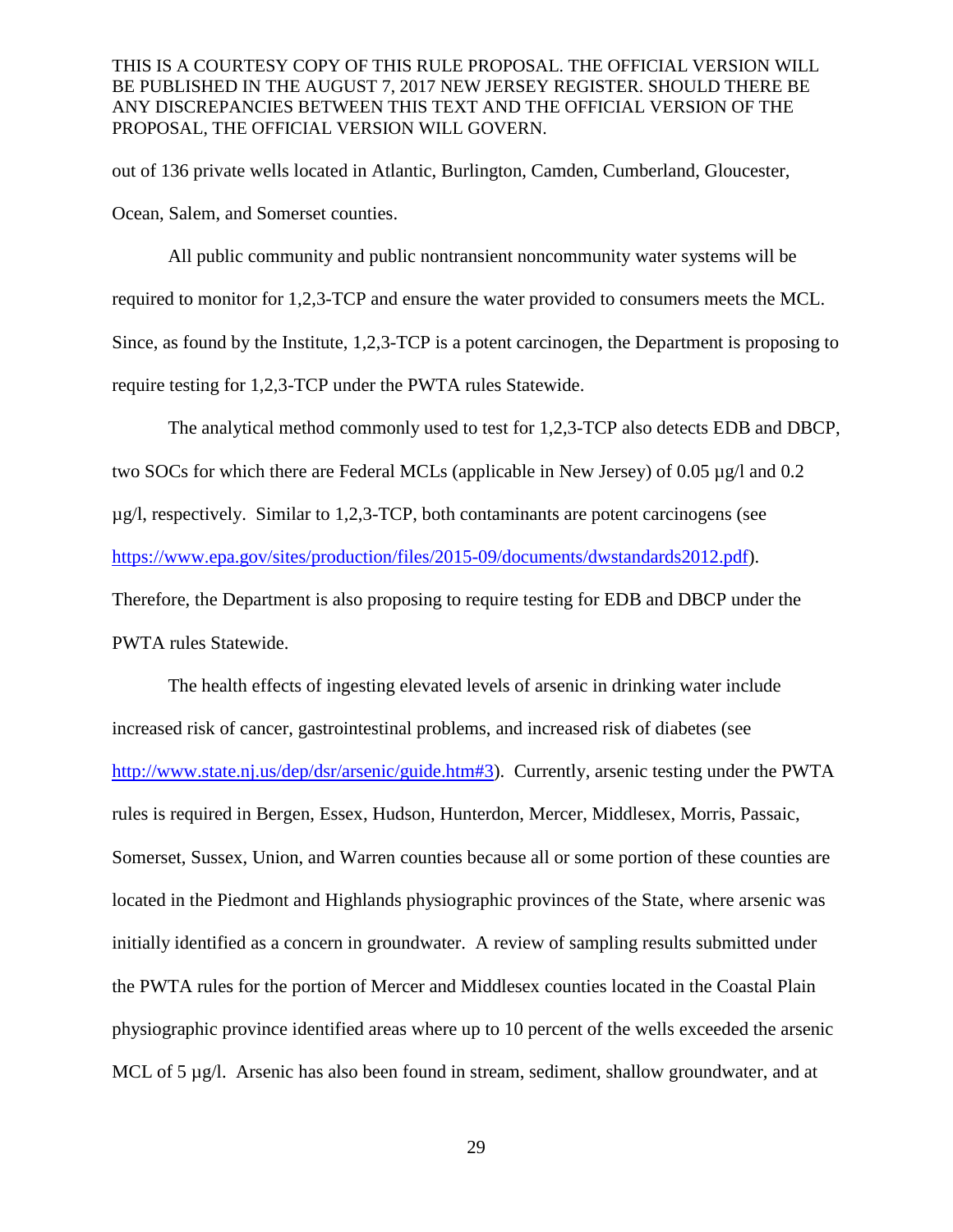out of 136 private wells located in Atlantic, Burlington, Camden, Cumberland, Gloucester, Ocean, Salem, and Somerset counties.

All public community and public nontransient noncommunity water systems will be required to monitor for 1,2,3-TCP and ensure the water provided to consumers meets the MCL. Since, as found by the Institute, 1,2,3-TCP is a potent carcinogen, the Department is proposing to require testing for 1,2,3-TCP under the PWTA rules Statewide.

The analytical method commonly used to test for 1,2,3-TCP also detects EDB and DBCP, two SOCs for which there are Federal MCLs (applicable in New Jersey) of 0.05 µg/l and 0.2 µg/l, respectively. Similar to 1,2,3-TCP, both contaminants are potent carcinogens (see [https://www.epa.gov/sites/production/files/2015-09/documents/dwstandards2012.pdf\)](https://www.epa.gov/sites/production/files/2015-09/documents/dwstandards2012.pdf). Therefore, the Department is also proposing to require testing for EDB and DBCP under the PWTA rules Statewide.

The health effects of ingesting elevated levels of arsenic in drinking water include increased risk of cancer, gastrointestinal problems, and increased risk of diabetes (see [http://www.state.nj.us/dep/dsr/arsenic/guide.htm#3\)](http://www.state.nj.us/dep/dsr/arsenic/guide.htm#3). Currently, arsenic testing under the PWTA rules is required in Bergen, Essex, Hudson, Hunterdon, Mercer, Middlesex, Morris, Passaic, Somerset, Sussex, Union, and Warren counties because all or some portion of these counties are located in the Piedmont and Highlands physiographic provinces of the State, where arsenic was initially identified as a concern in groundwater. A review of sampling results submitted under the PWTA rules for the portion of Mercer and Middlesex counties located in the Coastal Plain physiographic province identified areas where up to 10 percent of the wells exceeded the arsenic MCL of 5  $\mu$ g/l. Arsenic has also been found in stream, sediment, shallow groundwater, and at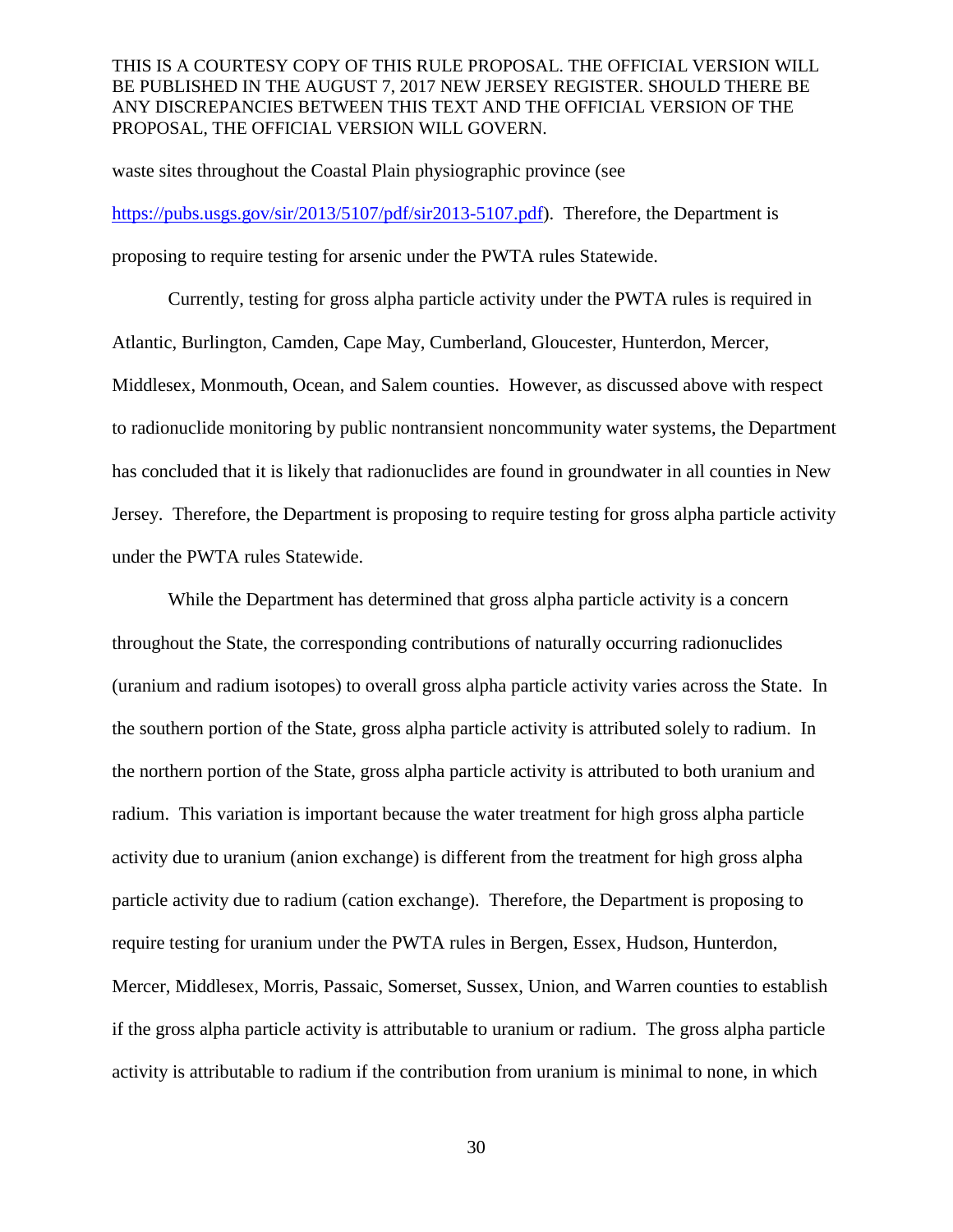waste sites throughout the Coastal Plain physiographic province (see

[https://pubs.usgs.gov/sir/2013/5107/pdf/sir2013-5107.pdf\)](https://pubs.usgs.gov/sir/2013/5107/pdf/sir2013-5107.pdf). Therefore, the Department is proposing to require testing for arsenic under the PWTA rules Statewide.

Currently, testing for gross alpha particle activity under the PWTA rules is required in Atlantic, Burlington, Camden, Cape May, Cumberland, Gloucester, Hunterdon, Mercer, Middlesex, Monmouth, Ocean, and Salem counties. However, as discussed above with respect to radionuclide monitoring by public nontransient noncommunity water systems, the Department has concluded that it is likely that radionuclides are found in groundwater in all counties in New Jersey. Therefore, the Department is proposing to require testing for gross alpha particle activity under the PWTA rules Statewide.

While the Department has determined that gross alpha particle activity is a concern throughout the State, the corresponding contributions of naturally occurring radionuclides (uranium and radium isotopes) to overall gross alpha particle activity varies across the State. In the southern portion of the State, gross alpha particle activity is attributed solely to radium. In the northern portion of the State, gross alpha particle activity is attributed to both uranium and radium. This variation is important because the water treatment for high gross alpha particle activity due to uranium (anion exchange) is different from the treatment for high gross alpha particle activity due to radium (cation exchange). Therefore, the Department is proposing to require testing for uranium under the PWTA rules in Bergen, Essex, Hudson, Hunterdon, Mercer, Middlesex, Morris, Passaic, Somerset, Sussex, Union, and Warren counties to establish if the gross alpha particle activity is attributable to uranium or radium. The gross alpha particle activity is attributable to radium if the contribution from uranium is minimal to none, in which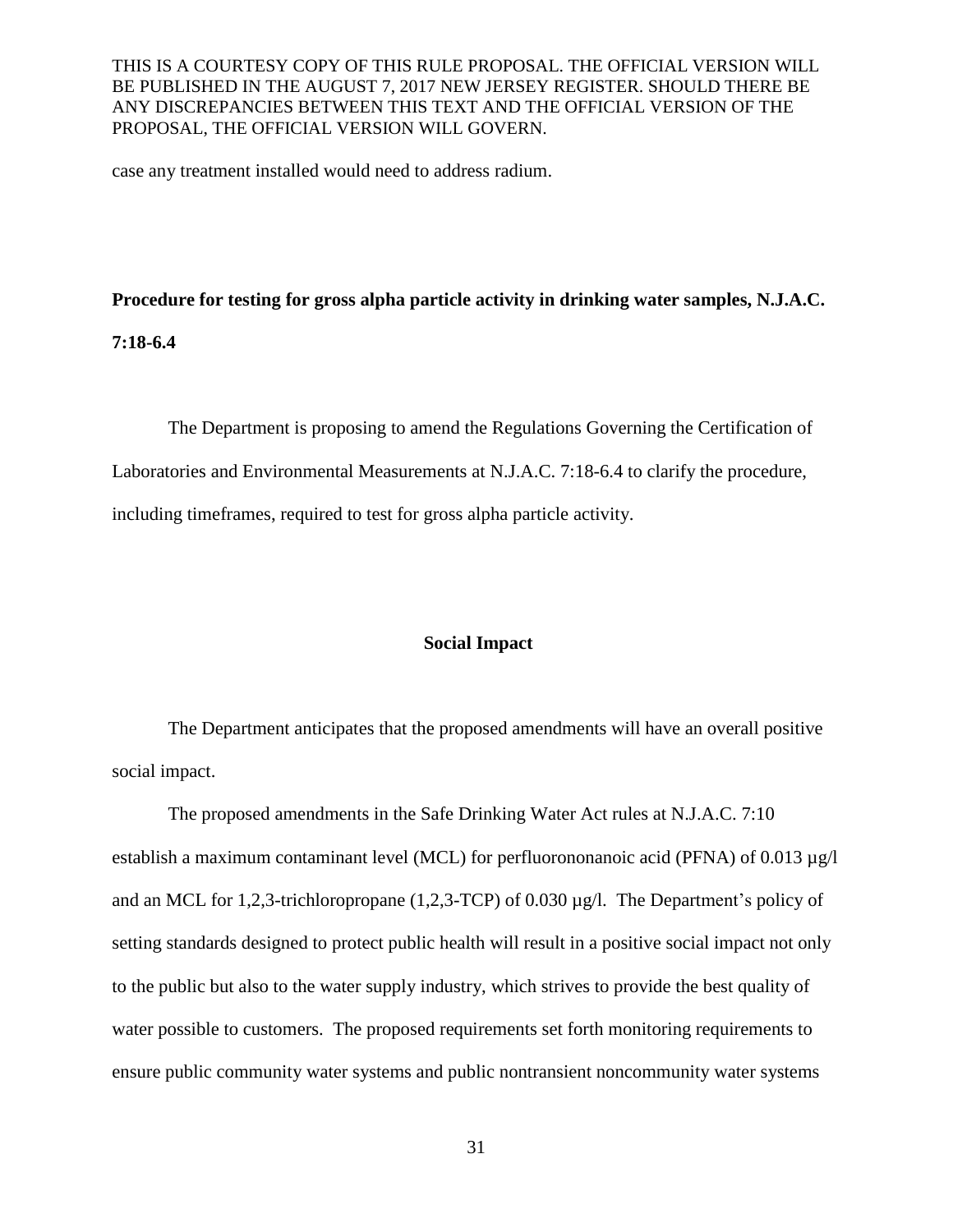case any treatment installed would need to address radium.

**Procedure for testing for gross alpha particle activity in drinking water samples, N.J.A.C.** 

**7:18-6.4**

The Department is proposing to amend the Regulations Governing the Certification of Laboratories and Environmental Measurements at N.J.A.C. 7:18-6.4 to clarify the procedure, including timeframes, required to test for gross alpha particle activity.

#### **Social Impact**

The Department anticipates that the proposed amendments will have an overall positive social impact.

The proposed amendments in the Safe Drinking Water Act rules at N.J.A.C. 7:10 establish a maximum contaminant level (MCL) for perfluorononanoic acid (PFNA) of 0.013  $\mu$ g/l and an MCL for 1,2,3-trichloropropane (1,2,3-TCP) of 0.030 µg/l. The Department's policy of setting standards designed to protect public health will result in a positive social impact not only to the public but also to the water supply industry, which strives to provide the best quality of water possible to customers. The proposed requirements set forth monitoring requirements to ensure public community water systems and public nontransient noncommunity water systems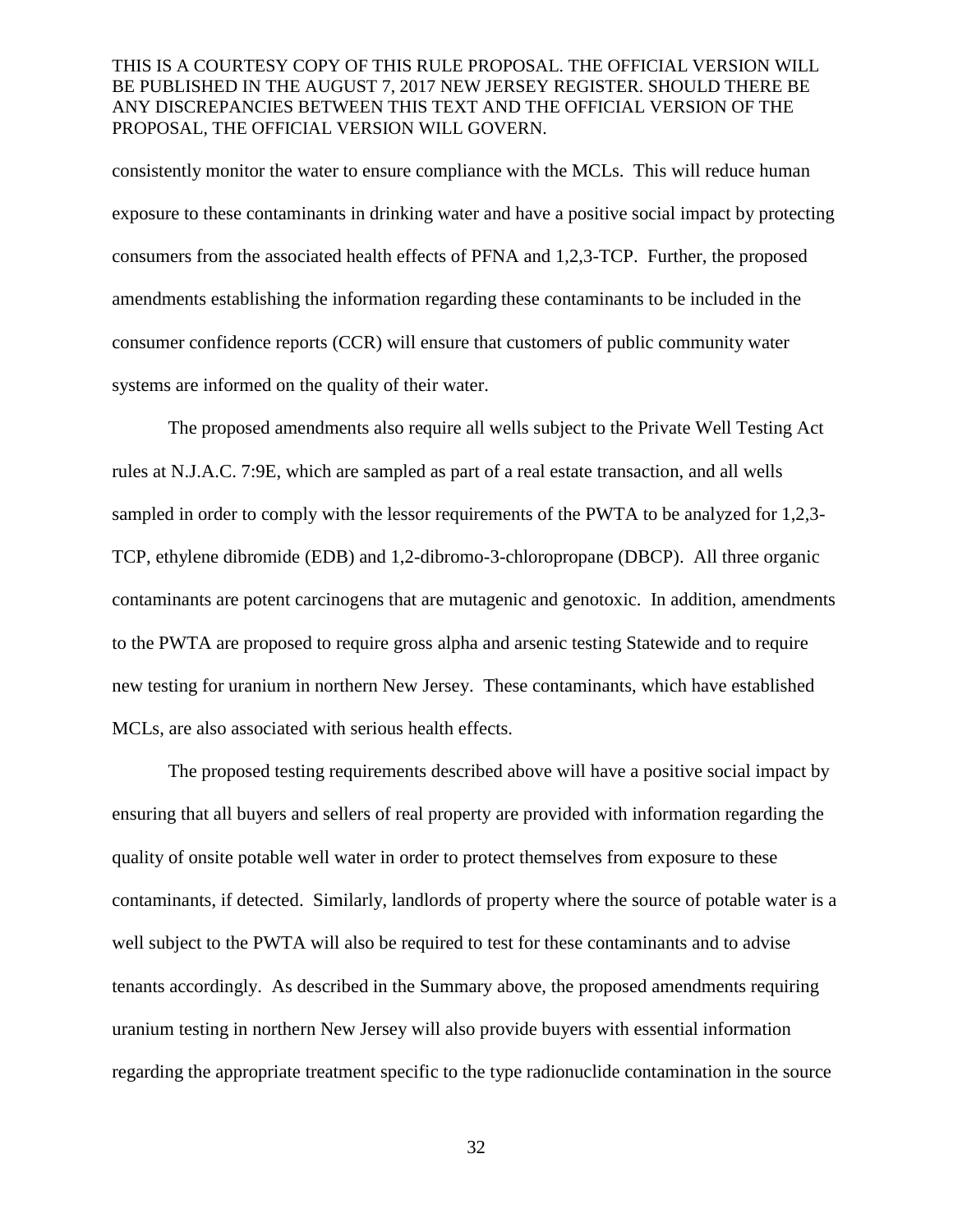consistently monitor the water to ensure compliance with the MCLs. This will reduce human exposure to these contaminants in drinking water and have a positive social impact by protecting consumers from the associated health effects of PFNA and 1,2,3-TCP. Further, the proposed amendments establishing the information regarding these contaminants to be included in the consumer confidence reports (CCR) will ensure that customers of public community water systems are informed on the quality of their water.

The proposed amendments also require all wells subject to the Private Well Testing Act rules at N.J.A.C. 7:9E, which are sampled as part of a real estate transaction, and all wells sampled in order to comply with the lessor requirements of the PWTA to be analyzed for 1,2,3- TCP, ethylene dibromide (EDB) and 1,2-dibromo-3-chloropropane (DBCP). All three organic contaminants are potent carcinogens that are mutagenic and genotoxic. In addition, amendments to the PWTA are proposed to require gross alpha and arsenic testing Statewide and to require new testing for uranium in northern New Jersey. These contaminants, which have established MCLs, are also associated with serious health effects.

The proposed testing requirements described above will have a positive social impact by ensuring that all buyers and sellers of real property are provided with information regarding the quality of onsite potable well water in order to protect themselves from exposure to these contaminants, if detected. Similarly, landlords of property where the source of potable water is a well subject to the PWTA will also be required to test for these contaminants and to advise tenants accordingly. As described in the Summary above, the proposed amendments requiring uranium testing in northern New Jersey will also provide buyers with essential information regarding the appropriate treatment specific to the type radionuclide contamination in the source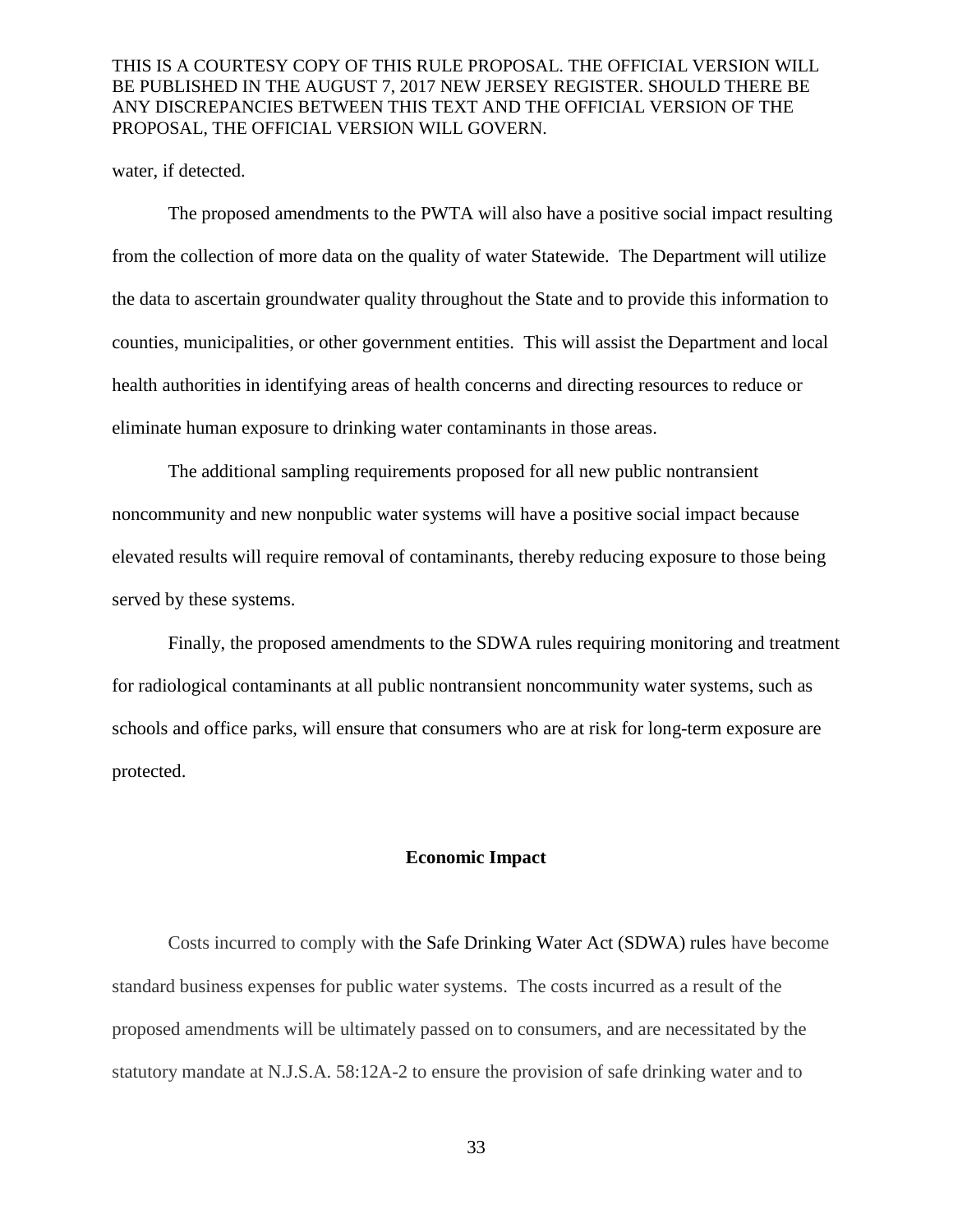water, if detected.

The proposed amendments to the PWTA will also have a positive social impact resulting from the collection of more data on the quality of water Statewide. The Department will utilize the data to ascertain groundwater quality throughout the State and to provide this information to counties, municipalities, or other government entities. This will assist the Department and local health authorities in identifying areas of health concerns and directing resources to reduce or eliminate human exposure to drinking water contaminants in those areas.

The additional sampling requirements proposed for all new public nontransient noncommunity and new nonpublic water systems will have a positive social impact because elevated results will require removal of contaminants, thereby reducing exposure to those being served by these systems.

Finally, the proposed amendments to the SDWA rules requiring monitoring and treatment for radiological contaminants at all public nontransient noncommunity water systems, such as schools and office parks, will ensure that consumers who are at risk for long-term exposure are protected.

#### **Economic Impact**

Costs incurred to comply with the Safe Drinking Water Act (SDWA) rules have become standard business expenses for public water systems. The costs incurred as a result of the proposed amendments will be ultimately passed on to consumers, and are necessitated by the statutory mandate at N.J.S.A. 58:12A-2 to ensure the provision of safe drinking water and to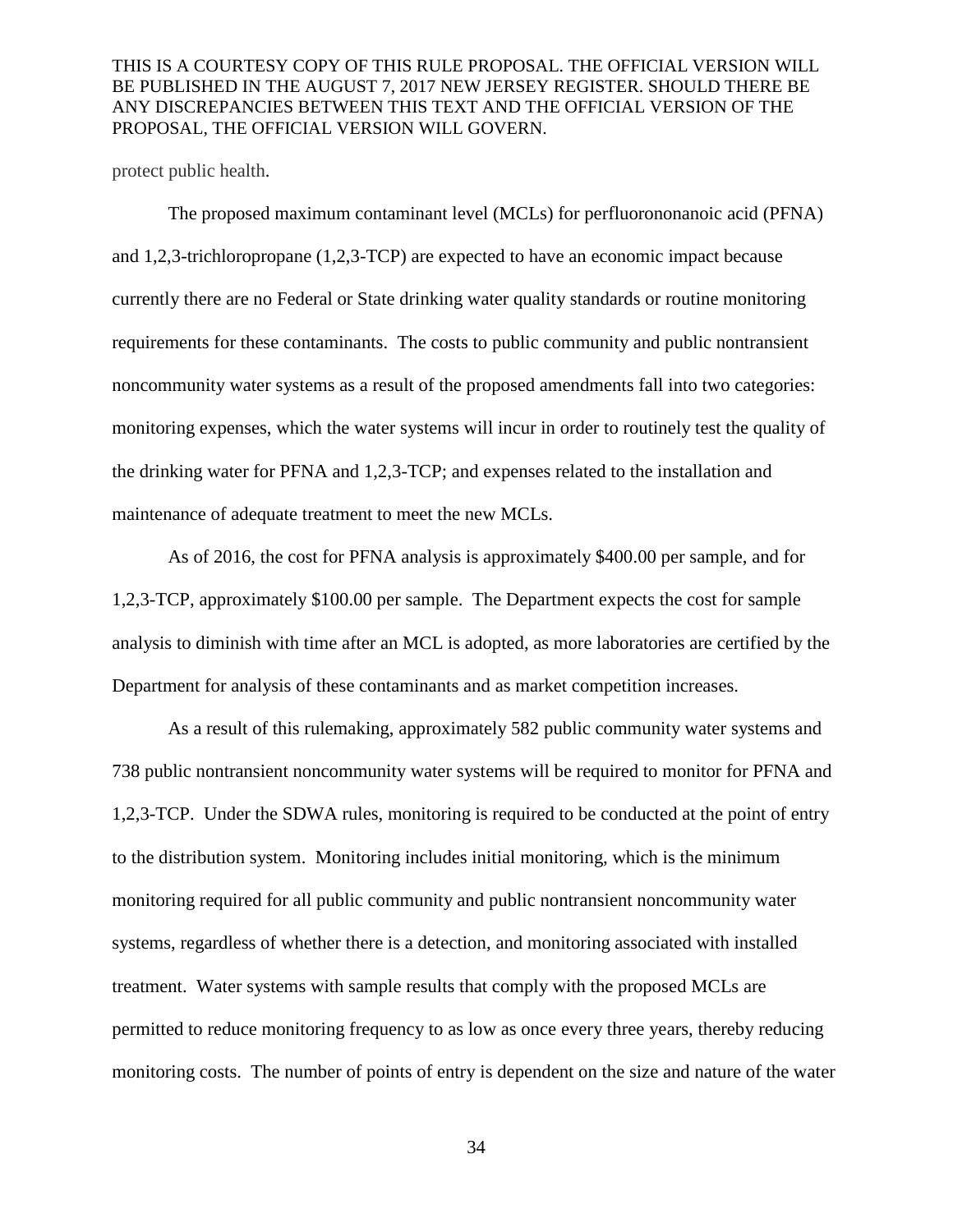protect public health.

The proposed maximum contaminant level (MCLs) for perfluorononanoic acid (PFNA) and 1,2,3-trichloropropane (1,2,3-TCP) are expected to have an economic impact because currently there are no Federal or State drinking water quality standards or routine monitoring requirements for these contaminants. The costs to public community and public nontransient noncommunity water systems as a result of the proposed amendments fall into two categories: monitoring expenses, which the water systems will incur in order to routinely test the quality of the drinking water for PFNA and 1,2,3-TCP; and expenses related to the installation and maintenance of adequate treatment to meet the new MCLs.

As of 2016, the cost for PFNA analysis is approximately \$400.00 per sample, and for 1,2,3-TCP, approximately \$100.00 per sample. The Department expects the cost for sample analysis to diminish with time after an MCL is adopted, as more laboratories are certified by the Department for analysis of these contaminants and as market competition increases.

As a result of this rulemaking, approximately 582 public community water systems and 738 public nontransient noncommunity water systems will be required to monitor for PFNA and 1,2,3-TCP. Under the SDWA rules, monitoring is required to be conducted at the point of entry to the distribution system. Monitoring includes initial monitoring, which is the minimum monitoring required for all public community and public nontransient noncommunity water systems, regardless of whether there is a detection, and monitoring associated with installed treatment. Water systems with sample results that comply with the proposed MCLs are permitted to reduce monitoring frequency to as low as once every three years, thereby reducing monitoring costs. The number of points of entry is dependent on the size and nature of the water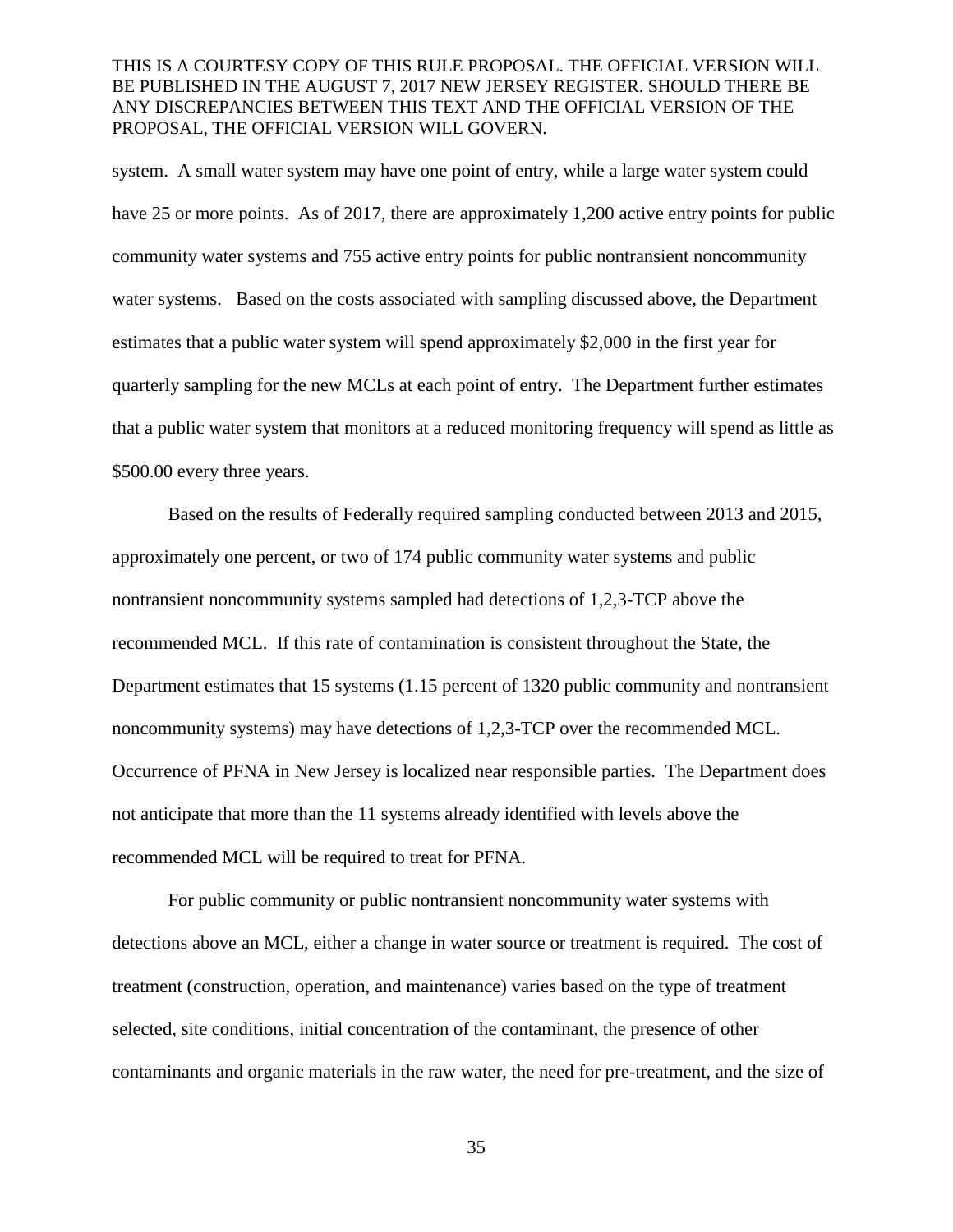system. A small water system may have one point of entry, while a large water system could have 25 or more points. As of 2017, there are approximately 1,200 active entry points for public community water systems and 755 active entry points for public nontransient noncommunity water systems. Based on the costs associated with sampling discussed above, the Department estimates that a public water system will spend approximately \$2,000 in the first year for quarterly sampling for the new MCLs at each point of entry. The Department further estimates that a public water system that monitors at a reduced monitoring frequency will spend as little as \$500.00 every three years.

Based on the results of Federally required sampling conducted between 2013 and 2015, approximately one percent, or two of 174 public community water systems and public nontransient noncommunity systems sampled had detections of 1,2,3-TCP above the recommended MCL. If this rate of contamination is consistent throughout the State, the Department estimates that 15 systems (1.15 percent of 1320 public community and nontransient noncommunity systems) may have detections of 1,2,3-TCP over the recommended MCL. Occurrence of PFNA in New Jersey is localized near responsible parties. The Department does not anticipate that more than the 11 systems already identified with levels above the recommended MCL will be required to treat for PFNA.

For public community or public nontransient noncommunity water systems with detections above an MCL, either a change in water source or treatment is required. The cost of treatment (construction, operation, and maintenance) varies based on the type of treatment selected, site conditions, initial concentration of the contaminant, the presence of other contaminants and organic materials in the raw water, the need for pre-treatment, and the size of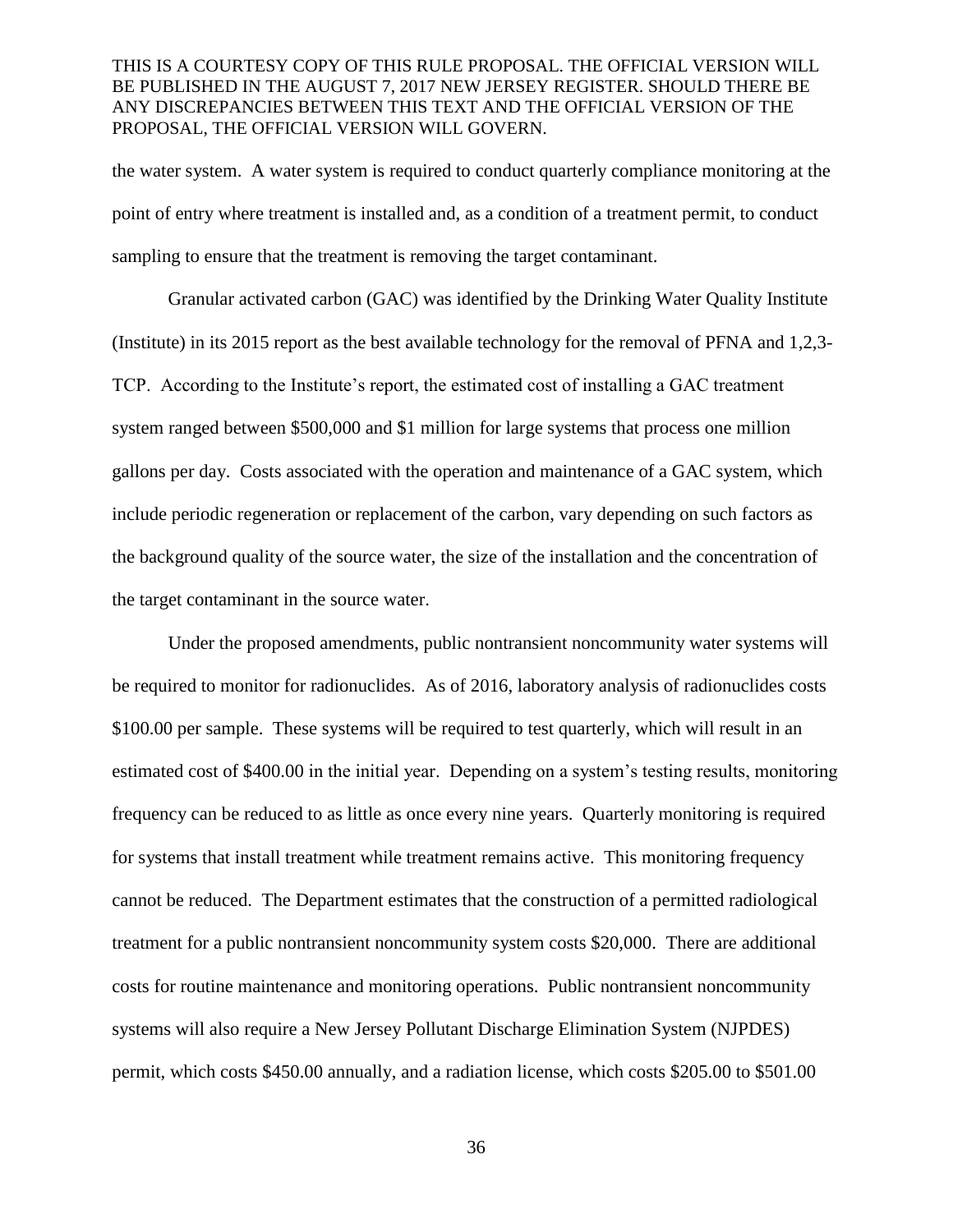the water system. A water system is required to conduct quarterly compliance monitoring at the point of entry where treatment is installed and, as a condition of a treatment permit, to conduct sampling to ensure that the treatment is removing the target contaminant.

Granular activated carbon (GAC) was identified by the Drinking Water Quality Institute (Institute) in its 2015 report as the best available technology for the removal of PFNA and 1,2,3- TCP. According to the Institute's report, the estimated cost of installing a GAC treatment system ranged between \$500,000 and \$1 million for large systems that process one million gallons per day. Costs associated with the operation and maintenance of a GAC system, which include periodic regeneration or replacement of the carbon, vary depending on such factors as the background quality of the source water, the size of the installation and the concentration of the target contaminant in the source water.

Under the proposed amendments, public nontransient noncommunity water systems will be required to monitor for radionuclides. As of 2016, laboratory analysis of radionuclides costs \$100.00 per sample. These systems will be required to test quarterly, which will result in an estimated cost of \$400.00 in the initial year. Depending on a system's testing results, monitoring frequency can be reduced to as little as once every nine years. Quarterly monitoring is required for systems that install treatment while treatment remains active. This monitoring frequency cannot be reduced. The Department estimates that the construction of a permitted radiological treatment for a public nontransient noncommunity system costs \$20,000. There are additional costs for routine maintenance and monitoring operations. Public nontransient noncommunity systems will also require a New Jersey Pollutant Discharge Elimination System (NJPDES) permit, which costs \$450.00 annually, and a radiation license, which costs \$205.00 to \$501.00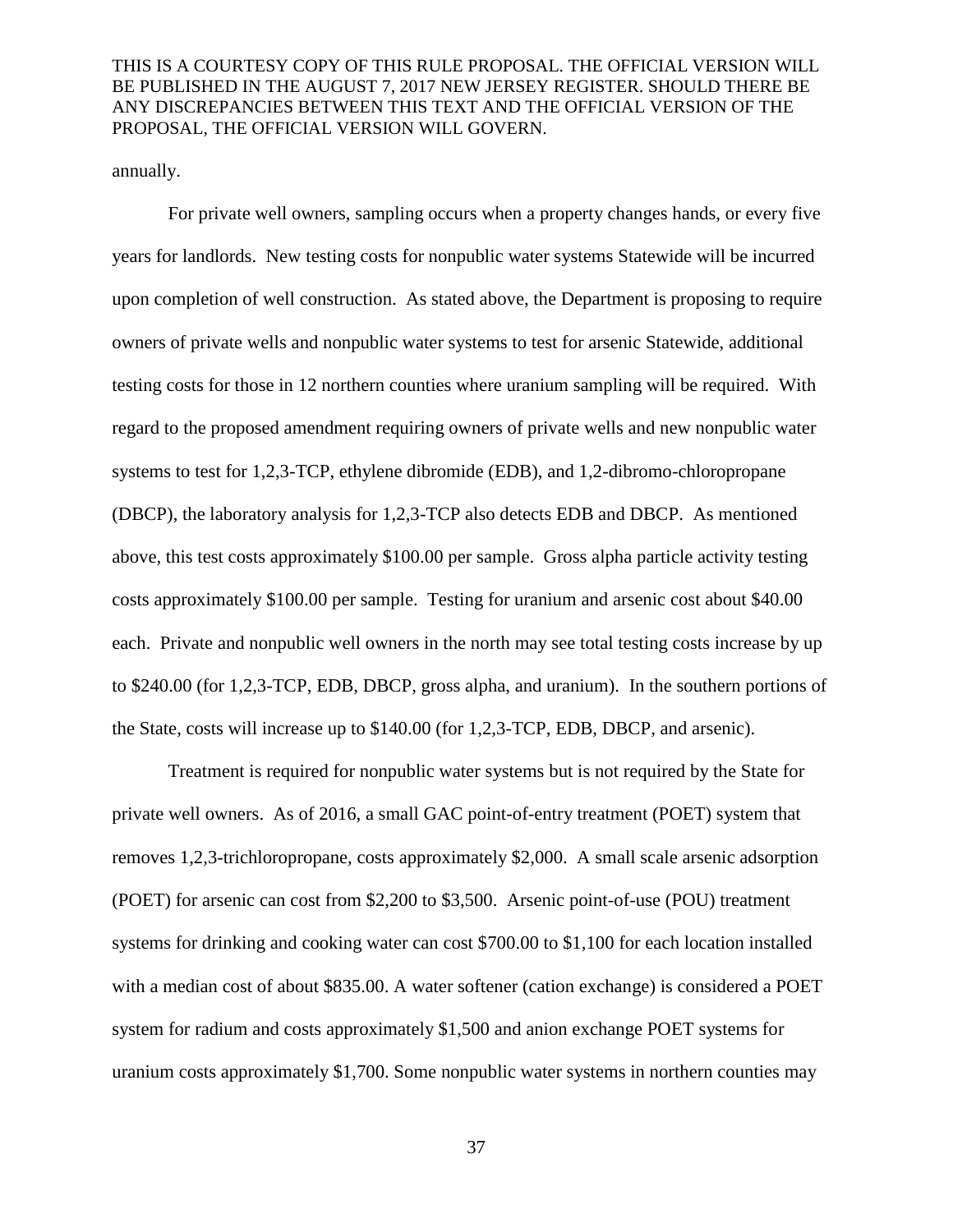annually.

For private well owners, sampling occurs when a property changes hands, or every five years for landlords. New testing costs for nonpublic water systems Statewide will be incurred upon completion of well construction. As stated above, the Department is proposing to require owners of private wells and nonpublic water systems to test for arsenic Statewide, additional testing costs for those in 12 northern counties where uranium sampling will be required. With regard to the proposed amendment requiring owners of private wells and new nonpublic water systems to test for 1,2,3-TCP, ethylene dibromide (EDB), and 1,2-dibromo-chloropropane (DBCP), the laboratory analysis for 1,2,3-TCP also detects EDB and DBCP. As mentioned above, this test costs approximately \$100.00 per sample. Gross alpha particle activity testing costs approximately \$100.00 per sample. Testing for uranium and arsenic cost about \$40.00 each. Private and nonpublic well owners in the north may see total testing costs increase by up to \$240.00 (for 1,2,3-TCP, EDB, DBCP, gross alpha, and uranium). In the southern portions of the State, costs will increase up to \$140.00 (for 1,2,3-TCP, EDB, DBCP, and arsenic).

Treatment is required for nonpublic water systems but is not required by the State for private well owners. As of 2016, a small GAC point-of-entry treatment (POET) system that removes 1,2,3-trichloropropane, costs approximately \$2,000. A small scale arsenic adsorption (POET) for arsenic can cost from \$2,200 to \$3,500. Arsenic point-of-use (POU) treatment systems for drinking and cooking water can cost \$700.00 to \$1,100 for each location installed with a median cost of about \$835.00. A water softener (cation exchange) is considered a POET system for radium and costs approximately \$1,500 and anion exchange POET systems for uranium costs approximately \$1,700. Some nonpublic water systems in northern counties may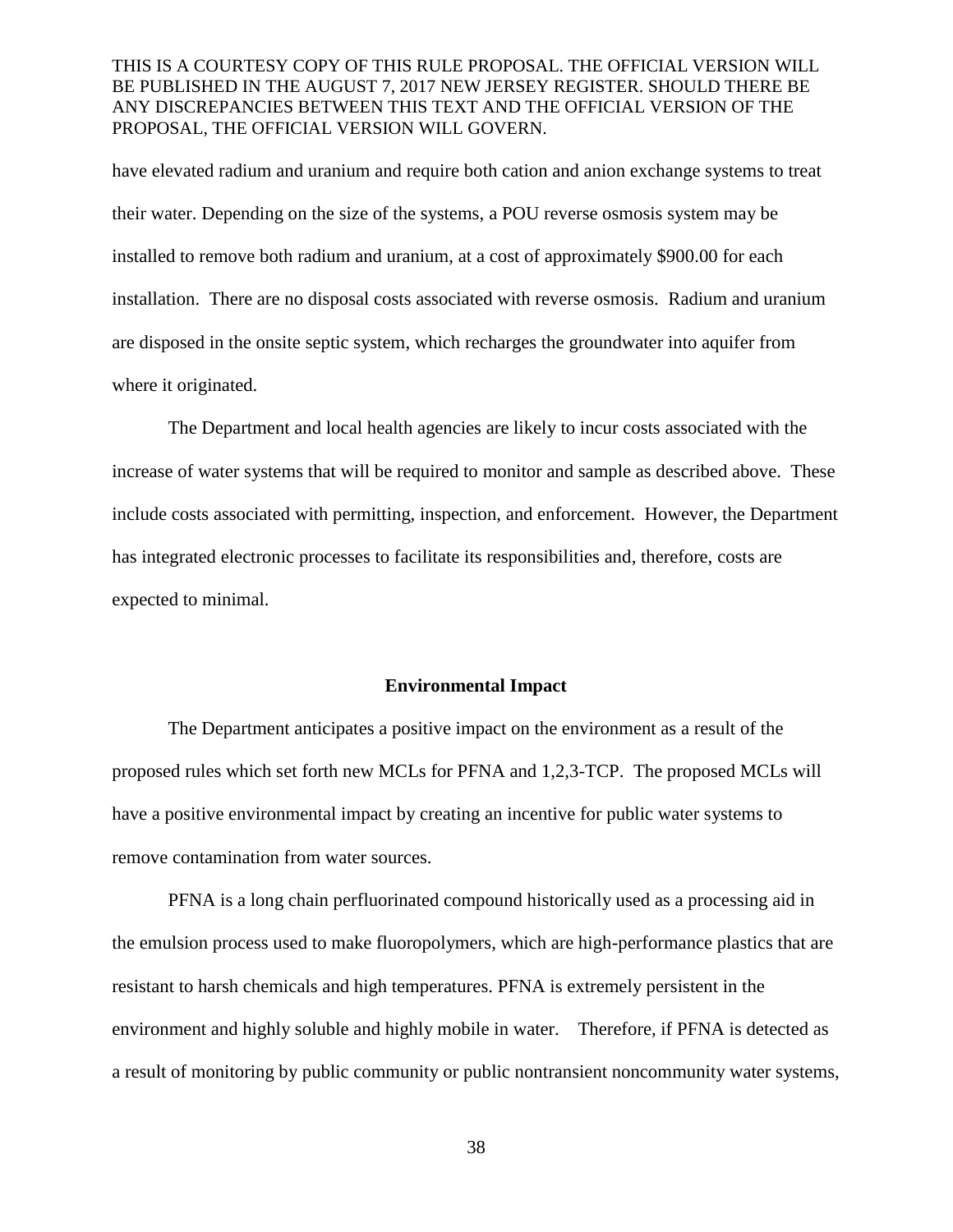have elevated radium and uranium and require both cation and anion exchange systems to treat their water. Depending on the size of the systems, a POU reverse osmosis system may be installed to remove both radium and uranium, at a cost of approximately \$900.00 for each installation. There are no disposal costs associated with reverse osmosis. Radium and uranium are disposed in the onsite septic system, which recharges the groundwater into aquifer from where it originated.

The Department and local health agencies are likely to incur costs associated with the increase of water systems that will be required to monitor and sample as described above. These include costs associated with permitting, inspection, and enforcement. However, the Department has integrated electronic processes to facilitate its responsibilities and, therefore, costs are expected to minimal.

#### **Environmental Impact**

The Department anticipates a positive impact on the environment as a result of the proposed rules which set forth new MCLs for PFNA and 1,2,3-TCP. The proposed MCLs will have a positive environmental impact by creating an incentive for public water systems to remove contamination from water sources.

PFNA is a long chain perfluorinated compound historically used as a processing aid in the emulsion process used to make fluoropolymers, which are high-performance plastics that are resistant to harsh chemicals and high temperatures. PFNA is extremely persistent in the environment and highly soluble and highly mobile in water. Therefore, if PFNA is detected as a result of monitoring by public community or public nontransient noncommunity water systems,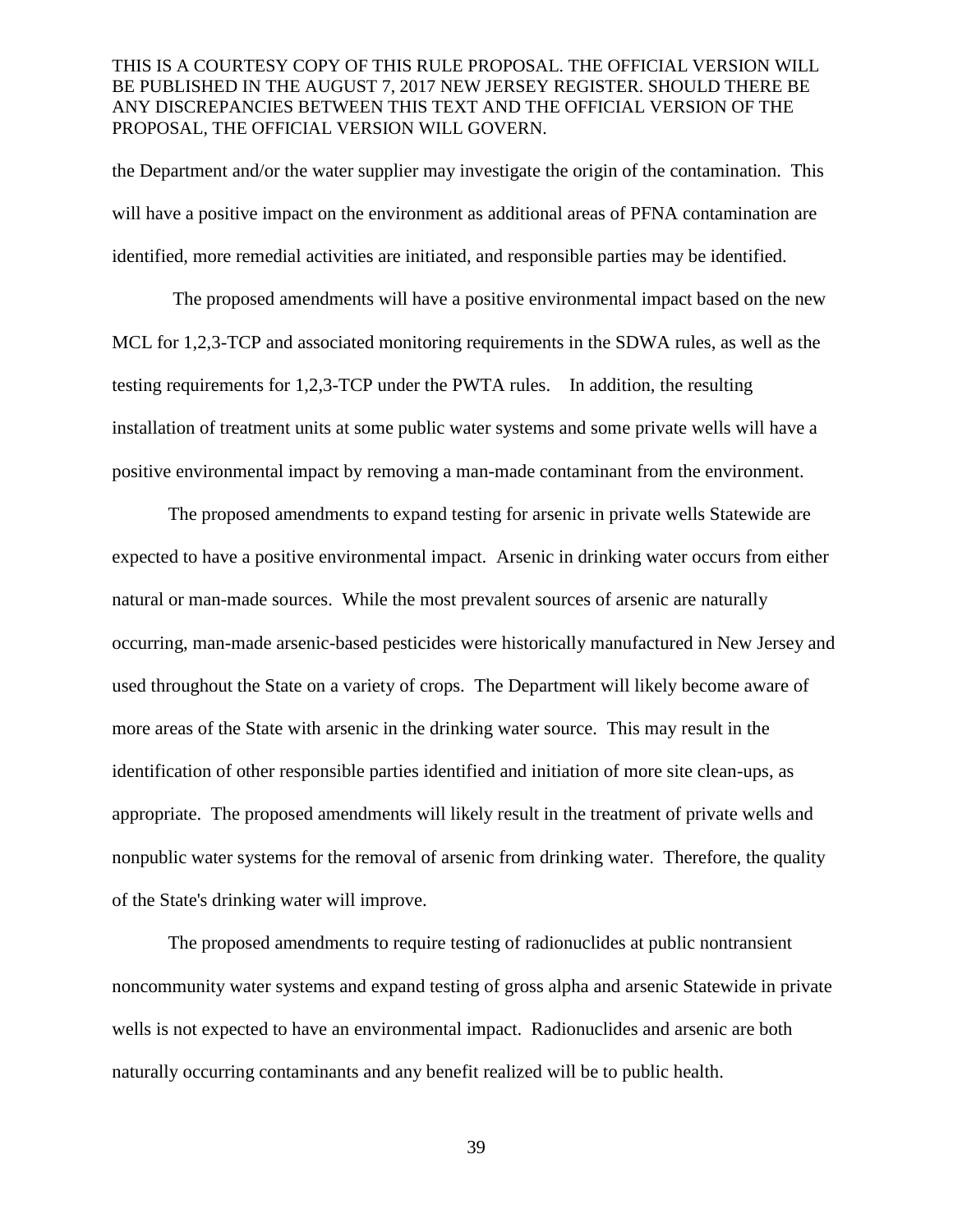the Department and/or the water supplier may investigate the origin of the contamination. This will have a positive impact on the environment as additional areas of PFNA contamination are identified, more remedial activities are initiated, and responsible parties may be identified.

The proposed amendments will have a positive environmental impact based on the new MCL for 1,2,3-TCP and associated monitoring requirements in the SDWA rules, as well as the testing requirements for 1,2,3-TCP under the PWTA rules. In addition, the resulting installation of treatment units at some public water systems and some private wells will have a positive environmental impact by removing a man-made contaminant from the environment.

The proposed amendments to expand testing for arsenic in private wells Statewide are expected to have a positive environmental impact. Arsenic in drinking water occurs from either natural or man-made sources. While the most prevalent sources of arsenic are naturally occurring, man-made arsenic-based pesticides were historically manufactured in New Jersey and used throughout the State on a variety of crops. The Department will likely become aware of more areas of the State with arsenic in the drinking water source. This may result in the identification of other responsible parties identified and initiation of more site clean-ups, as appropriate. The proposed amendments will likely result in the treatment of private wells and nonpublic water systems for the removal of arsenic from drinking water. Therefore, the quality of the State's drinking water will improve.

The proposed amendments to require testing of radionuclides at public nontransient noncommunity water systems and expand testing of gross alpha and arsenic Statewide in private wells is not expected to have an environmental impact. Radionuclides and arsenic are both naturally occurring contaminants and any benefit realized will be to public health.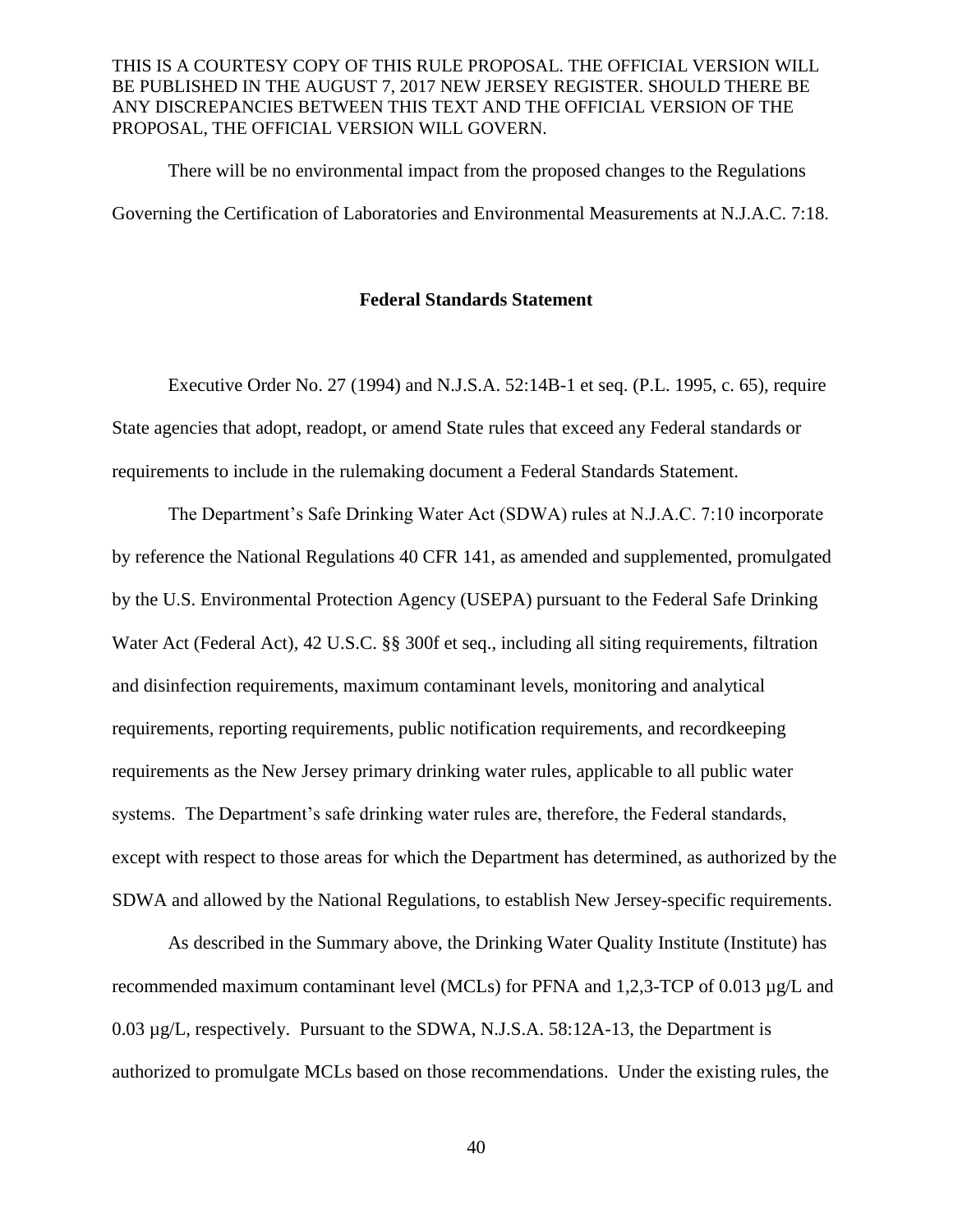There will be no environmental impact from the proposed changes to the Regulations Governing the Certification of Laboratories and Environmental Measurements at N.J.A.C. 7:18.

#### **Federal Standards Statement**

Executive Order No. 27 (1994) and N.J.S.A. 52:14B-1 et seq. (P.L. 1995, c. 65), require State agencies that adopt, readopt, or amend State rules that exceed any Federal standards or requirements to include in the rulemaking document a Federal Standards Statement.

The Department's Safe Drinking Water Act (SDWA) rules at N.J.A.C. 7:10 incorporate by reference the National Regulations 40 CFR 141, as amended and supplemented, promulgated by the U.S. Environmental Protection Agency (USEPA) pursuant to the Federal Safe Drinking Water Act (Federal Act), 42 U.S.C. §§ 300f et seq., including all siting requirements, filtration and disinfection requirements, maximum contaminant levels, monitoring and analytical requirements, reporting requirements, public notification requirements, and recordkeeping requirements as the New Jersey primary drinking water rules, applicable to all public water systems. The Department's safe drinking water rules are, therefore, the Federal standards, except with respect to those areas for which the Department has determined, as authorized by the SDWA and allowed by the National Regulations, to establish New Jersey-specific requirements.

As described in the Summary above, the Drinking Water Quality Institute (Institute) has recommended maximum contaminant level (MCLs) for PFNA and 1,2,3-TCP of 0.013 µg/L and 0.03 µg/L, respectively. Pursuant to the SDWA, N.J.S.A. 58:12A-13, the Department is authorized to promulgate MCLs based on those recommendations. Under the existing rules, the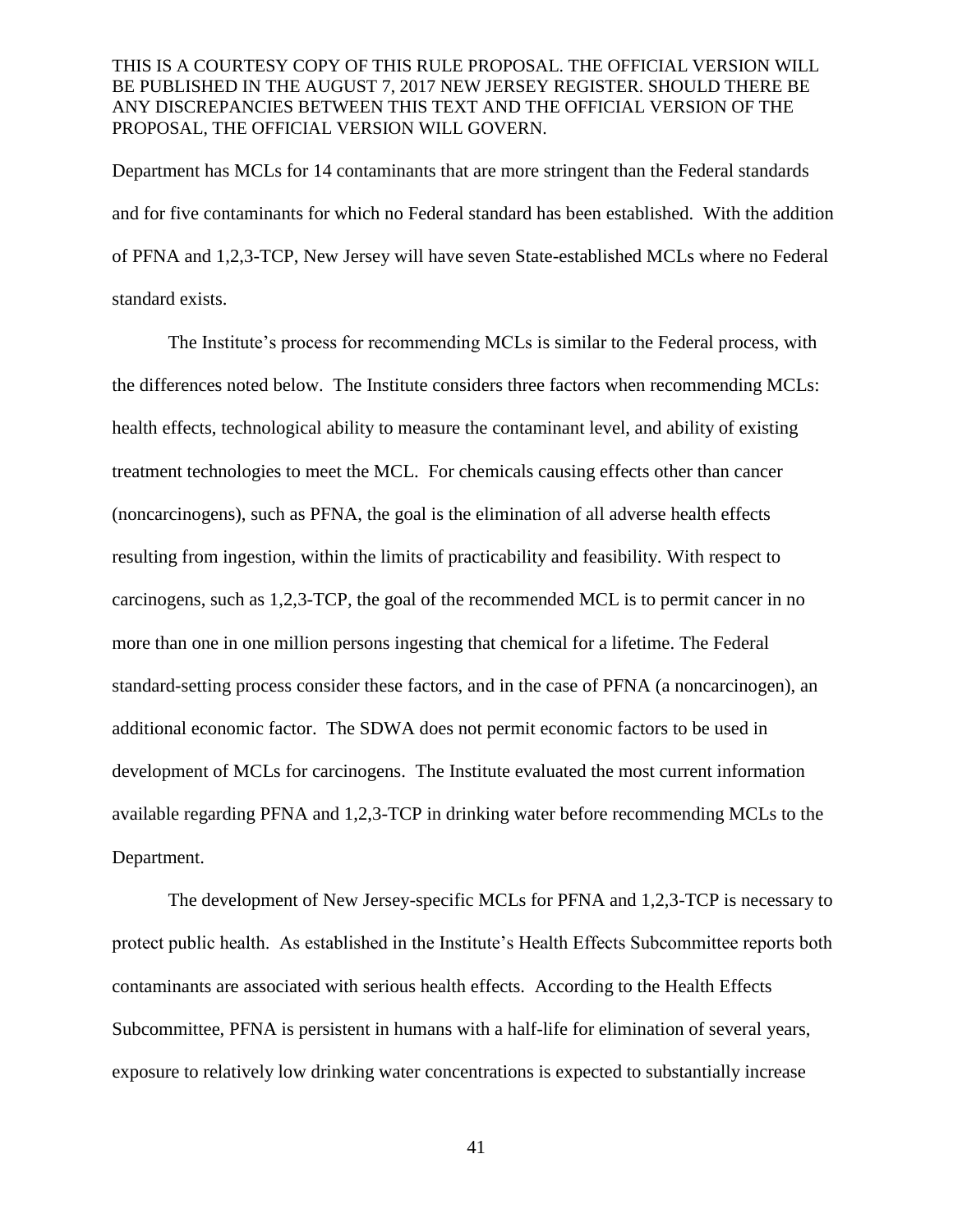Department has MCLs for 14 contaminants that are more stringent than the Federal standards and for five contaminants for which no Federal standard has been established. With the addition of PFNA and 1,2,3-TCP, New Jersey will have seven State-established MCLs where no Federal standard exists.

The Institute's process for recommending MCLs is similar to the Federal process, with the differences noted below. The Institute considers three factors when recommending MCLs: health effects, technological ability to measure the contaminant level, and ability of existing treatment technologies to meet the MCL. For chemicals causing effects other than cancer (noncarcinogens), such as PFNA, the goal is the elimination of all adverse health effects resulting from ingestion, within the limits of practicability and feasibility. With respect to carcinogens, such as 1,2,3-TCP, the goal of the recommended MCL is to permit cancer in no more than one in one million persons ingesting that chemical for a lifetime. The Federal standard-setting process consider these factors, and in the case of PFNA (a noncarcinogen), an additional economic factor. The SDWA does not permit economic factors to be used in development of MCLs for carcinogens. The Institute evaluated the most current information available regarding PFNA and 1,2,3-TCP in drinking water before recommending MCLs to the Department.

The development of New Jersey-specific MCLs for PFNA and 1,2,3-TCP is necessary to protect public health. As established in the Institute's Health Effects Subcommittee reports both contaminants are associated with serious health effects. According to the Health Effects Subcommittee, PFNA is persistent in humans with a half-life for elimination of several years, exposure to relatively low drinking water concentrations is expected to substantially increase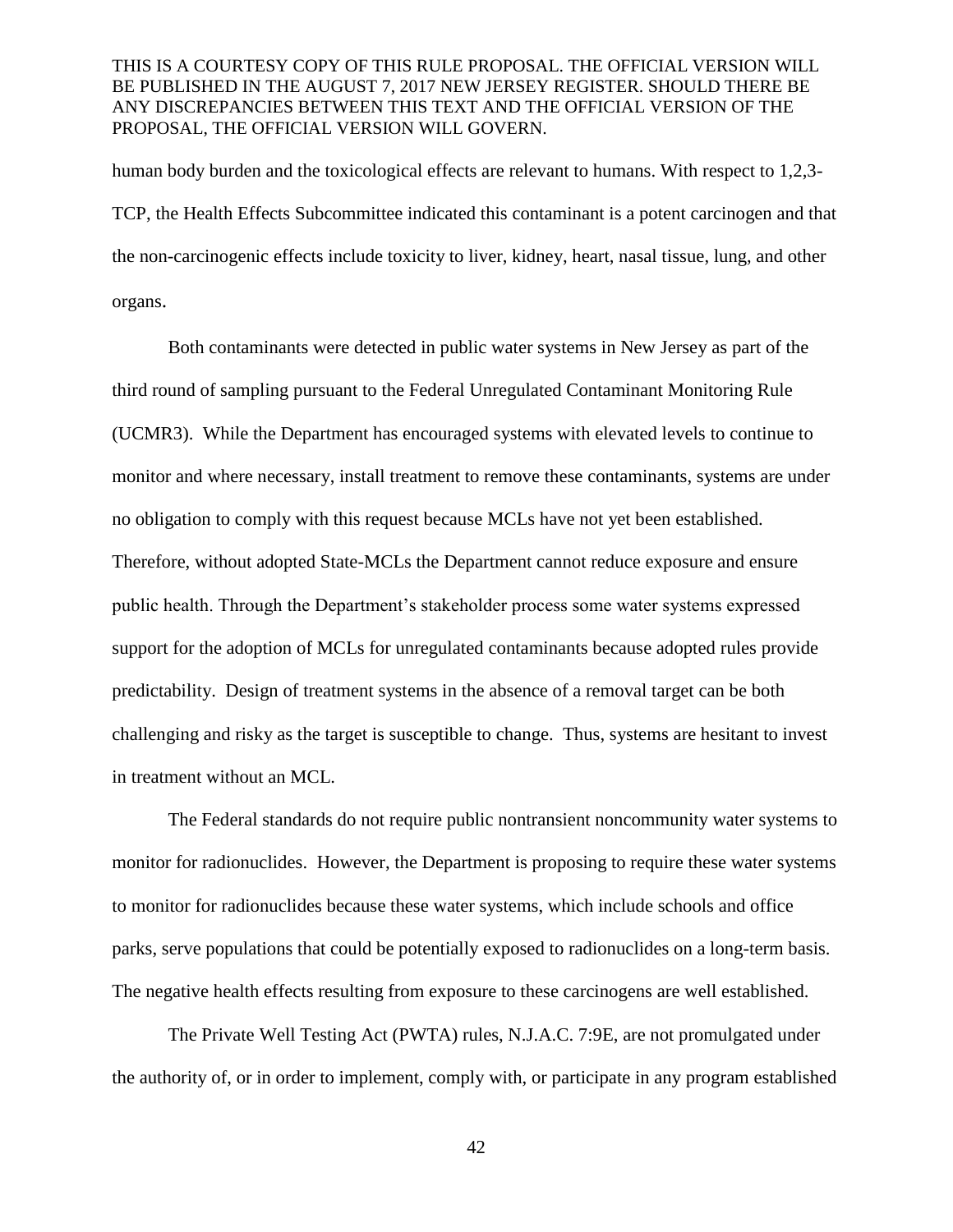human body burden and the toxicological effects are relevant to humans. With respect to 1,2,3- TCP, the Health Effects Subcommittee indicated this contaminant is a potent carcinogen and that the non-carcinogenic effects include toxicity to liver, kidney, heart, nasal tissue, lung, and other organs.

Both contaminants were detected in public water systems in New Jersey as part of the third round of sampling pursuant to the Federal Unregulated Contaminant Monitoring Rule (UCMR3). While the Department has encouraged systems with elevated levels to continue to monitor and where necessary, install treatment to remove these contaminants, systems are under no obligation to comply with this request because MCLs have not yet been established. Therefore, without adopted State-MCLs the Department cannot reduce exposure and ensure public health. Through the Department's stakeholder process some water systems expressed support for the adoption of MCLs for unregulated contaminants because adopted rules provide predictability. Design of treatment systems in the absence of a removal target can be both challenging and risky as the target is susceptible to change. Thus, systems are hesitant to invest in treatment without an MCL.

The Federal standards do not require public nontransient noncommunity water systems to monitor for radionuclides. However, the Department is proposing to require these water systems to monitor for radionuclides because these water systems, which include schools and office parks, serve populations that could be potentially exposed to radionuclides on a long-term basis. The negative health effects resulting from exposure to these carcinogens are well established.

The Private Well Testing Act (PWTA) rules, N.J.A.C. 7:9E, are not promulgated under the authority of, or in order to implement, comply with, or participate in any program established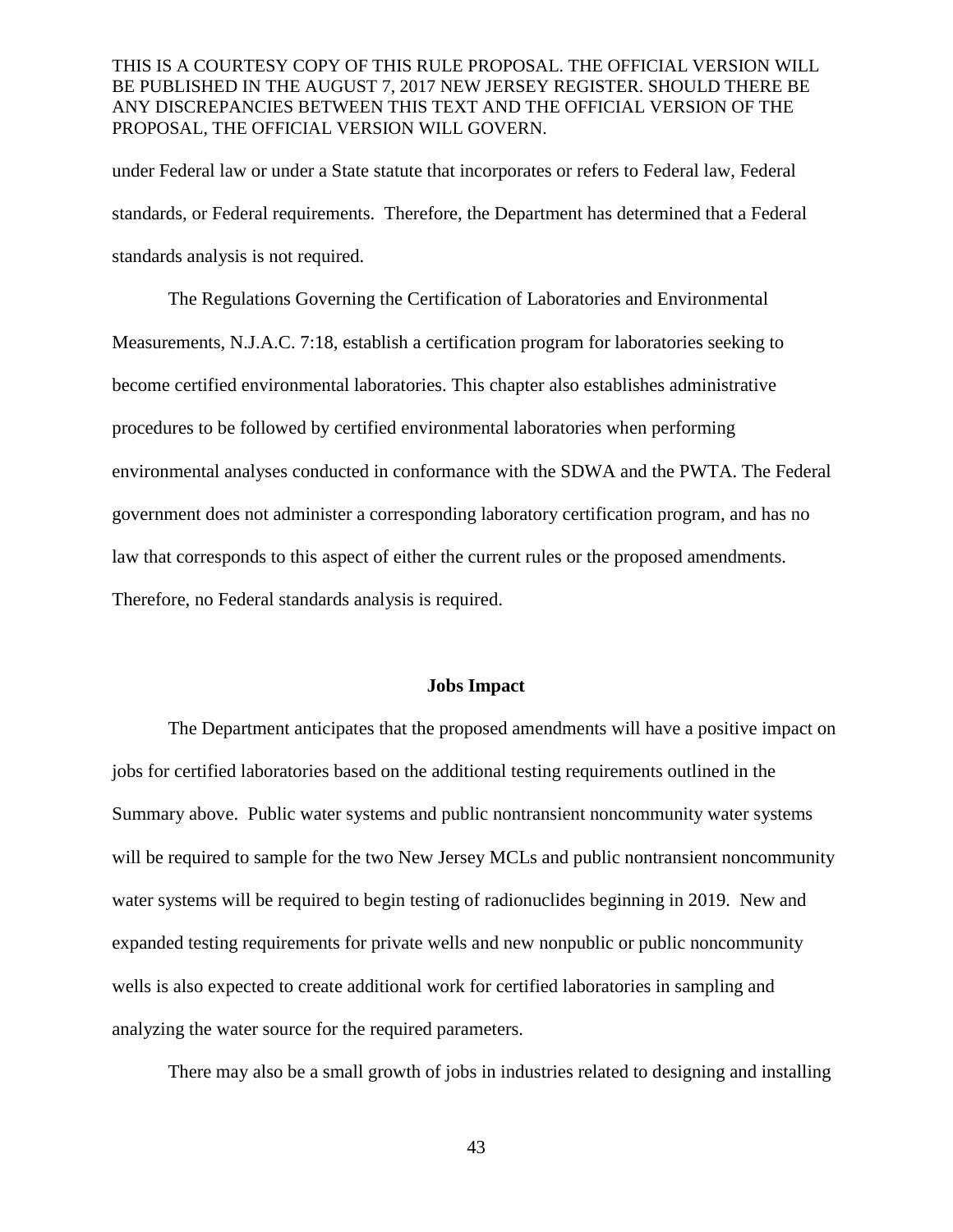under Federal law or under a State statute that incorporates or refers to Federal law, Federal standards, or Federal requirements. Therefore, the Department has determined that a Federal standards analysis is not required.

The Regulations Governing the Certification of Laboratories and Environmental Measurements, N.J.A.C. 7:18, establish a certification program for laboratories seeking to become certified environmental laboratories. This chapter also establishes administrative procedures to be followed by certified environmental laboratories when performing environmental analyses conducted in conformance with the SDWA and the PWTA. The Federal government does not administer a corresponding laboratory certification program, and has no law that corresponds to this aspect of either the current rules or the proposed amendments. Therefore, no Federal standards analysis is required.

#### **Jobs Impact**

The Department anticipates that the proposed amendments will have a positive impact on jobs for certified laboratories based on the additional testing requirements outlined in the Summary above. Public water systems and public nontransient noncommunity water systems will be required to sample for the two New Jersey MCLs and public nontransient noncommunity water systems will be required to begin testing of radionuclides beginning in 2019. New and expanded testing requirements for private wells and new nonpublic or public noncommunity wells is also expected to create additional work for certified laboratories in sampling and analyzing the water source for the required parameters.

There may also be a small growth of jobs in industries related to designing and installing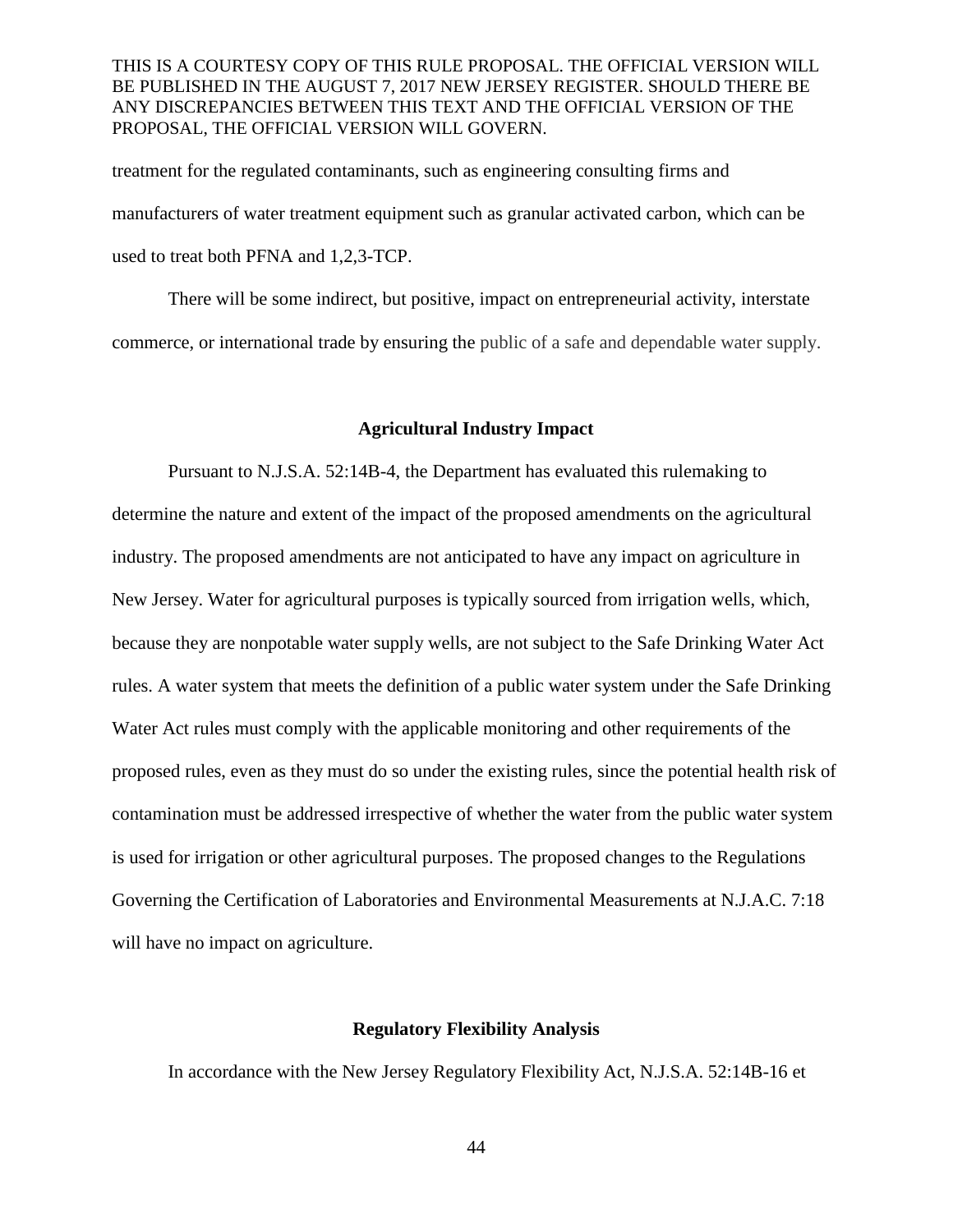treatment for the regulated contaminants, such as engineering consulting firms and manufacturers of water treatment equipment such as granular activated carbon, which can be used to treat both PFNA and 1,2,3-TCP.

There will be some indirect, but positive, impact on entrepreneurial activity, interstate commerce, or international trade by ensuring the public of a safe and dependable water supply.

#### **Agricultural Industry Impact**

Pursuant to N.J.S.A. 52:14B-4, the Department has evaluated this rulemaking to determine the nature and extent of the impact of the proposed amendments on the agricultural industry. The proposed amendments are not anticipated to have any impact on agriculture in New Jersey. Water for agricultural purposes is typically sourced from irrigation wells, which, because they are nonpotable water supply wells, are not subject to the Safe Drinking Water Act rules. A water system that meets the definition of a public water system under the Safe Drinking Water Act rules must comply with the applicable monitoring and other requirements of the proposed rules, even as they must do so under the existing rules, since the potential health risk of contamination must be addressed irrespective of whether the water from the public water system is used for irrigation or other agricultural purposes. The proposed changes to the Regulations Governing the Certification of Laboratories and Environmental Measurements at N.J.A.C. 7:18 will have no impact on agriculture.

# **Regulatory Flexibility Analysis**

In accordance with the New Jersey Regulatory Flexibility Act, N.J.S.A. 52:14B-16 et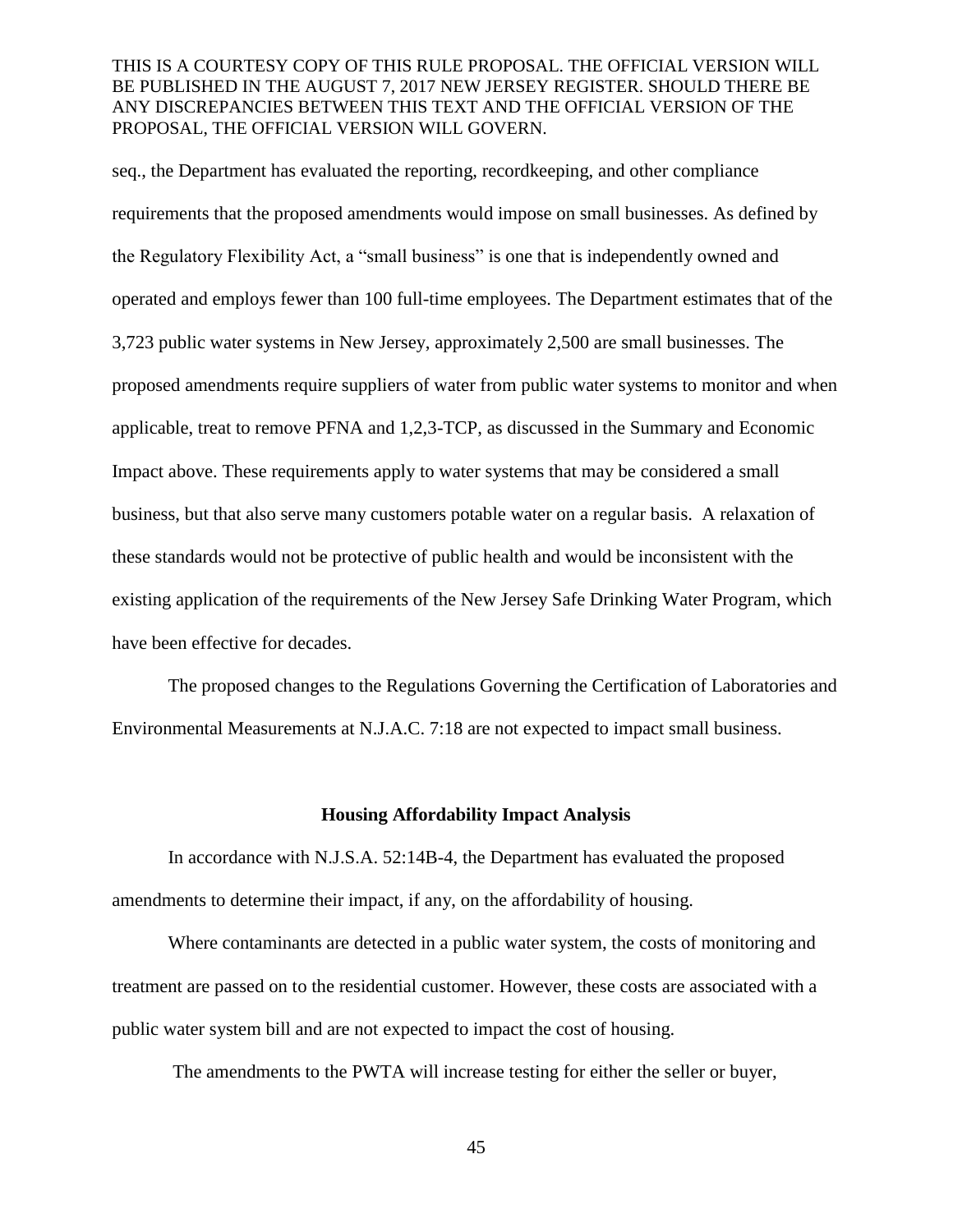seq., the Department has evaluated the reporting, recordkeeping, and other compliance requirements that the proposed amendments would impose on small businesses. As defined by the Regulatory Flexibility Act, a "small business" is one that is independently owned and operated and employs fewer than 100 full-time employees. The Department estimates that of the 3,723 public water systems in New Jersey, approximately 2,500 are small businesses. The proposed amendments require suppliers of water from public water systems to monitor and when applicable, treat to remove PFNA and 1,2,3-TCP, as discussed in the Summary and Economic Impact above. These requirements apply to water systems that may be considered a small business, but that also serve many customers potable water on a regular basis. A relaxation of these standards would not be protective of public health and would be inconsistent with the existing application of the requirements of the New Jersey Safe Drinking Water Program, which have been effective for decades.

The proposed changes to the Regulations Governing the Certification of Laboratories and Environmental Measurements at N.J.A.C. 7:18 are not expected to impact small business.

#### **Housing Affordability Impact Analysis**

In accordance with N.J.S.A. 52:14B-4, the Department has evaluated the proposed amendments to determine their impact, if any, on the affordability of housing.

Where contaminants are detected in a public water system, the costs of monitoring and treatment are passed on to the residential customer. However, these costs are associated with a public water system bill and are not expected to impact the cost of housing.

The amendments to the PWTA will increase testing for either the seller or buyer,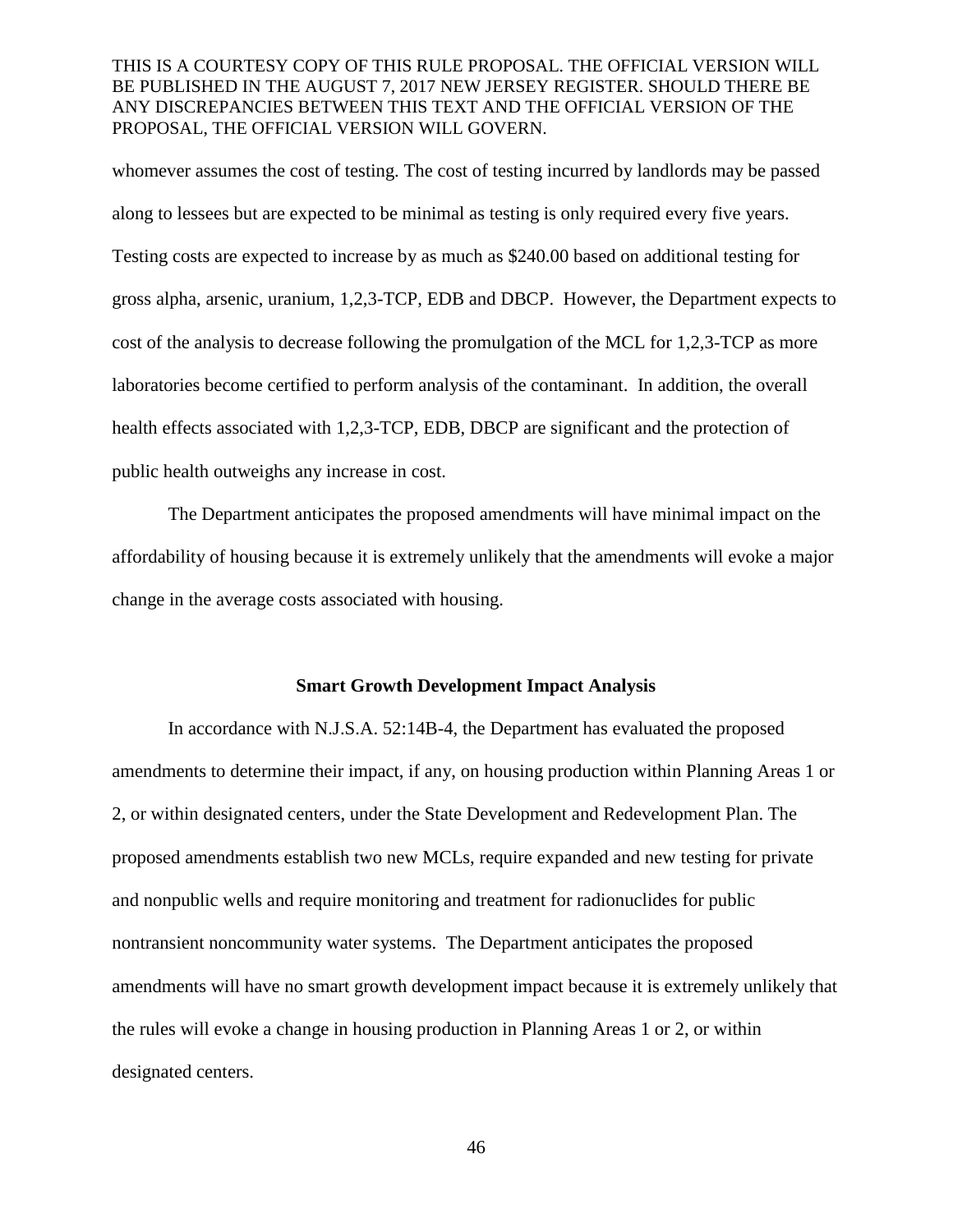whomever assumes the cost of testing. The cost of testing incurred by landlords may be passed along to lessees but are expected to be minimal as testing is only required every five years. Testing costs are expected to increase by as much as \$240.00 based on additional testing for gross alpha, arsenic, uranium, 1,2,3-TCP, EDB and DBCP. However, the Department expects to cost of the analysis to decrease following the promulgation of the MCL for 1,2,3-TCP as more laboratories become certified to perform analysis of the contaminant. In addition, the overall health effects associated with 1,2,3-TCP, EDB, DBCP are significant and the protection of public health outweighs any increase in cost.

The Department anticipates the proposed amendments will have minimal impact on the affordability of housing because it is extremely unlikely that the amendments will evoke a major change in the average costs associated with housing.

#### **Smart Growth Development Impact Analysis**

In accordance with N.J.S.A. 52:14B-4, the Department has evaluated the proposed amendments to determine their impact, if any, on housing production within Planning Areas 1 or 2, or within designated centers, under the State Development and Redevelopment Plan. The proposed amendments establish two new MCLs, require expanded and new testing for private and nonpublic wells and require monitoring and treatment for radionuclides for public nontransient noncommunity water systems. The Department anticipates the proposed amendments will have no smart growth development impact because it is extremely unlikely that the rules will evoke a change in housing production in Planning Areas 1 or 2, or within designated centers.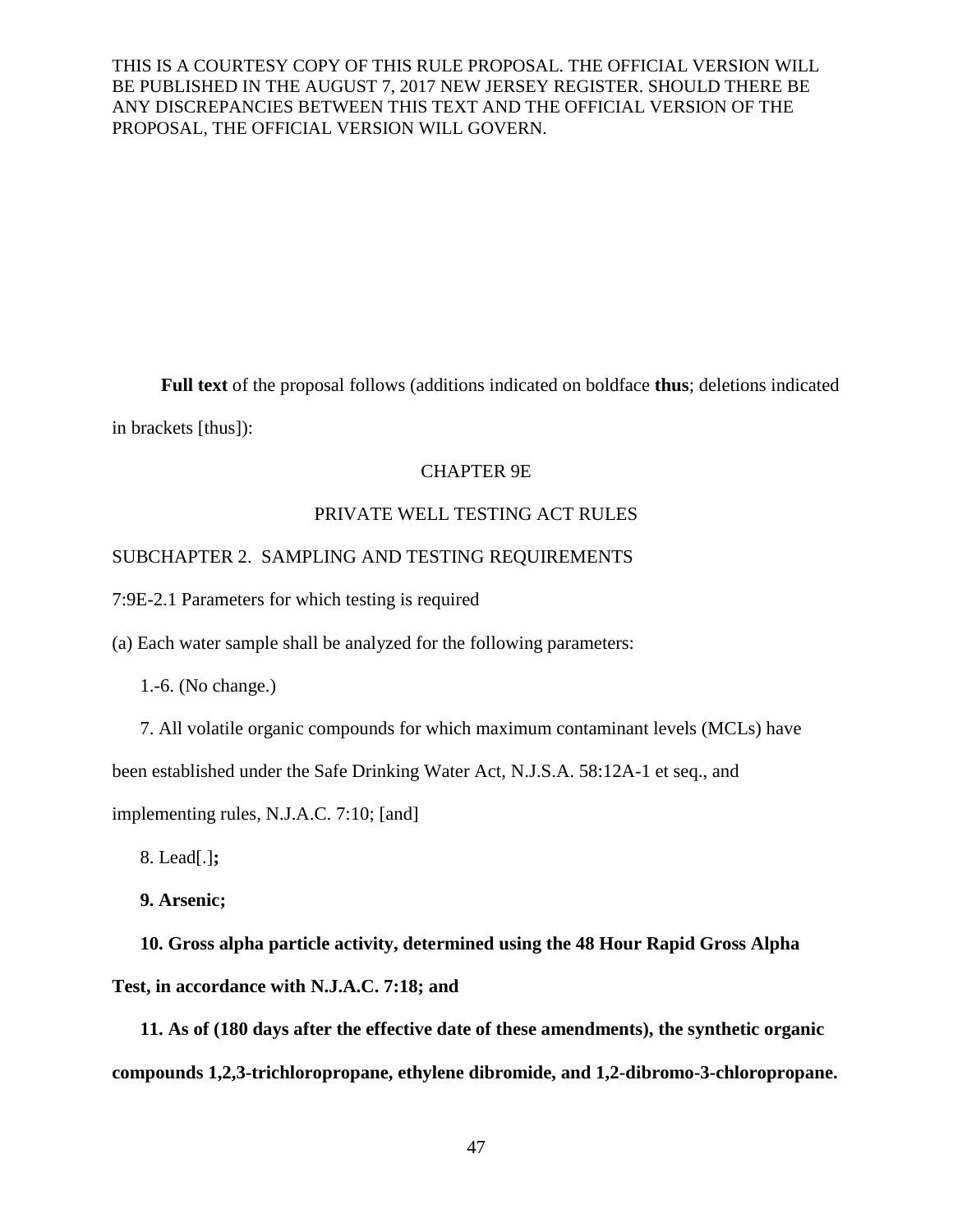**Full text** of the proposal follows (additions indicated on boldface **thus**; deletions indicated in brackets [thus]):

# CHAPTER 9E

# PRIVATE WELL TESTING ACT RULES

## SUBCHAPTER 2. SAMPLING AND TESTING REQUIREMENTS

7:9E-2.1 Parameters for which testing is required

(a) Each water sample shall be analyzed for the following parameters:

1.-6. (No change.)

7. All volatile organic compounds for which maximum contaminant levels (MCLs) have

been established under the Safe Drinking Water Act, N.J.S.A. 58:12A-1 et seq., and

implementing rules, N.J.A.C. 7:10; [and]

8. Lead[.]**;**

**9. Arsenic;**

**10. Gross alpha particle activity, determined using the 48 Hour Rapid Gross Alpha Test, in accordance with N.J.A.C. 7:18; and**

**11. As of (180 days after the effective date of these amendments), the synthetic organic compounds 1,2,3-trichloropropane, ethylene dibromide, and 1,2-dibromo-3-chloropropane.**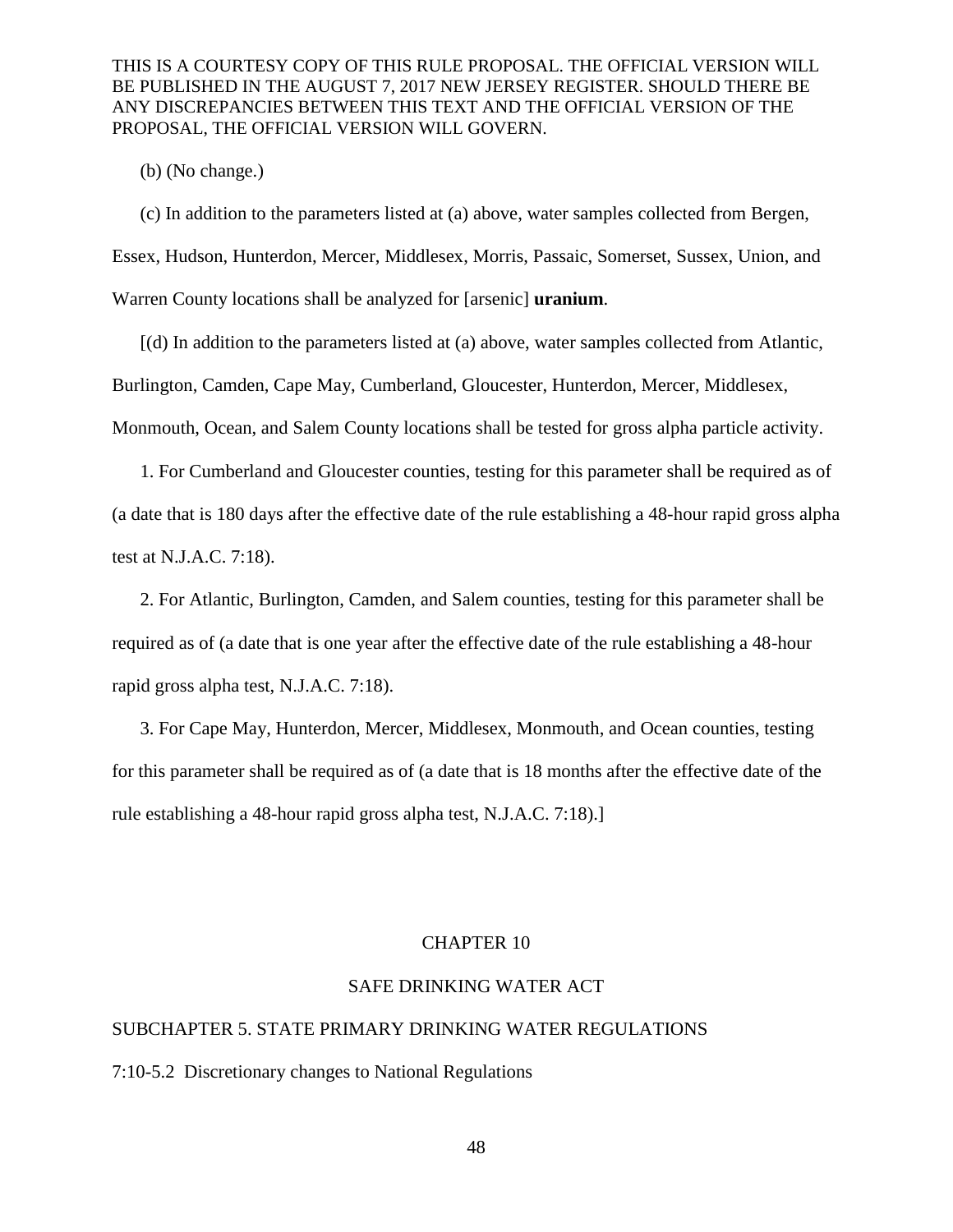(b) (No change.)

(c) In addition to the parameters listed at (a) above, water samples collected from Bergen, Essex, Hudson, Hunterdon, Mercer, Middlesex, Morris, Passaic, Somerset, Sussex, Union, and Warren County locations shall be analyzed for [arsenic] **uranium**.

[(d) In addition to the parameters listed at (a) above, water samples collected from Atlantic, Burlington, Camden, Cape May, Cumberland, Gloucester, Hunterdon, Mercer, Middlesex, Monmouth, Ocean, and Salem County locations shall be tested for gross alpha particle activity.

1. For Cumberland and Gloucester counties, testing for this parameter shall be required as of (a date that is 180 days after the effective date of the rule establishing a 48-hour rapid gross alpha test at N.J.A.C. 7:18).

2. For Atlantic, Burlington, Camden, and Salem counties, testing for this parameter shall be required as of (a date that is one year after the effective date of the rule establishing a 48-hour rapid gross alpha test, N.J.A.C. 7:18).

3. For Cape May, Hunterdon, Mercer, Middlesex, Monmouth, and Ocean counties, testing for this parameter shall be required as of (a date that is 18 months after the effective date of the rule establishing a 48-hour rapid gross alpha test, N.J.A.C. 7:18).]

## CHAPTER 10

# SAFE DRINKING WATER ACT

# SUBCHAPTER 5. STATE PRIMARY DRINKING WATER REGULATIONS

7:10-5.2 Discretionary changes to National Regulations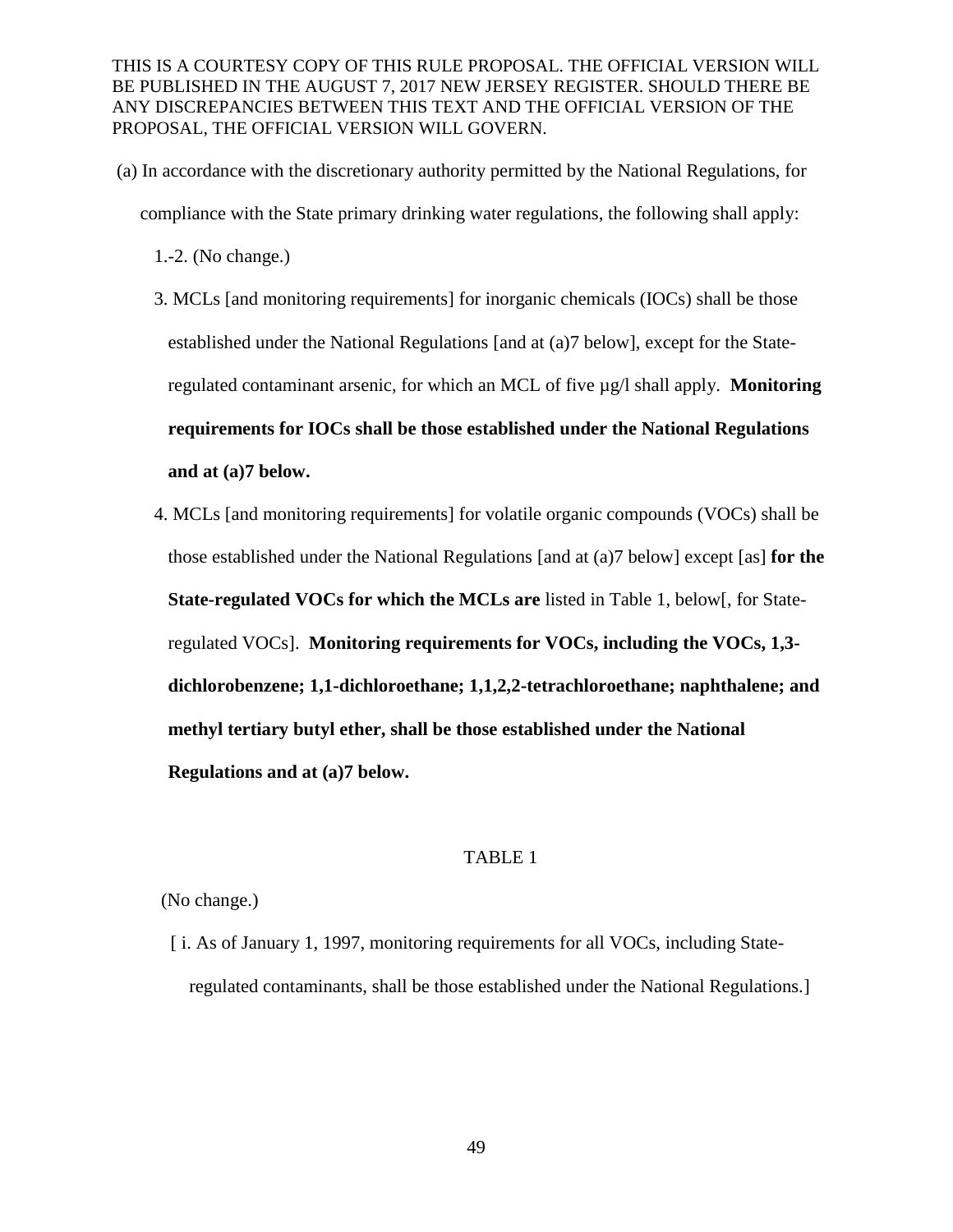(a) In accordance with the discretionary authority permitted by the National Regulations, for compliance with the State primary drinking water regulations, the following shall apply:

1.-2. (No change.)

- 3. MCLs [and monitoring requirements] for inorganic chemicals (IOCs) shall be those established under the National Regulations [and at (a)7 below], except for the Stateregulated contaminant arsenic, for which an MCL of five µg/l shall apply. **Monitoring requirements for IOCs shall be those established under the National Regulations and at (a)7 below.**
- 4. MCLs [and monitoring requirements] for volatile organic compounds (VOCs) shall be those established under the National Regulations [and at (a)7 below] except [as] **for the State-regulated VOCs for which the MCLs are** listed in Table 1, below[, for Stateregulated VOCs]. **Monitoring requirements for VOCs, including the VOCs, 1,3 dichlorobenzene; 1,1-dichloroethane; 1,1,2,2-tetrachloroethane; naphthalene; and methyl tertiary butyl ether, shall be those established under the National Regulations and at (a)7 below.**

# TABLE 1

#### (No change.)

 [ i. As of January 1, 1997, monitoring requirements for all VOCs, including Stateregulated contaminants, shall be those established under the National Regulations.]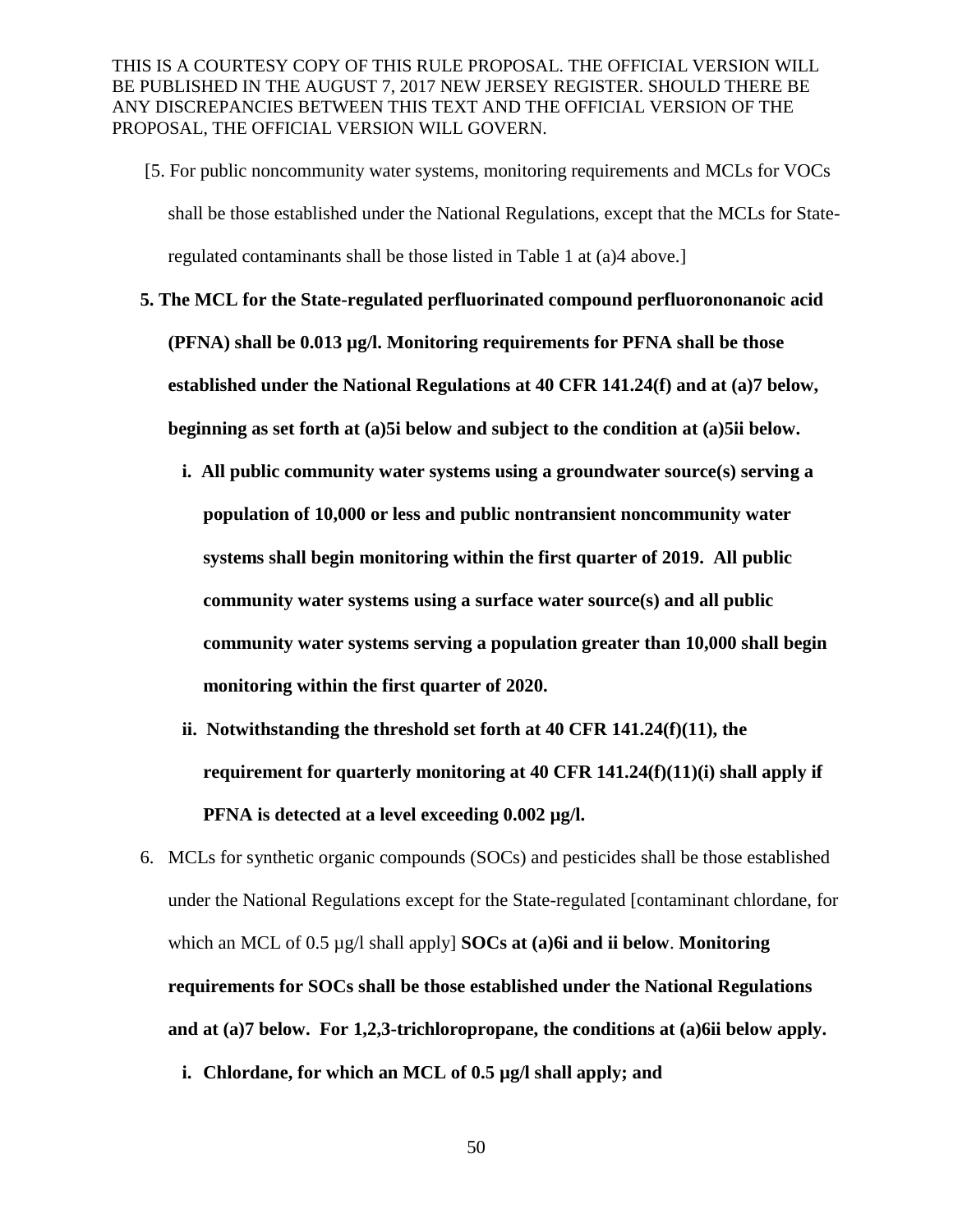- [5. For public noncommunity water systems, monitoring requirements and MCLs for VOCs shall be those established under the National Regulations, except that the MCLs for Stateregulated contaminants shall be those listed in Table 1 at (a)4 above.]
- **5. The MCL for the State-regulated perfluorinated compound perfluorononanoic acid (PFNA) shall be 0.013 µg/l. Monitoring requirements for PFNA shall be those established under the National Regulations at 40 CFR 141.24(f) and at (a)7 below, beginning as set forth at (a)5i below and subject to the condition at (a)5ii below.** 
	- **i. All public community water systems using a groundwater source(s) serving a population of 10,000 or less and public nontransient noncommunity water systems shall begin monitoring within the first quarter of 2019. All public community water systems using a surface water source(s) and all public community water systems serving a population greater than 10,000 shall begin monitoring within the first quarter of 2020.**
	- **ii. Notwithstanding the threshold set forth at 40 CFR 141.24(f)(11), the requirement for quarterly monitoring at 40 CFR 141.24(f)(11)(i) shall apply if PFNA is detected at a level exceeding 0.002 µg/l.**
- 6. MCLs for synthetic organic compounds (SOCs) and pesticides shall be those established under the National Regulations except for the State-regulated [contaminant chlordane, for which an MCL of 0.5 µg/l shall apply] **SOCs at (a)6i and ii below**. **Monitoring requirements for SOCs shall be those established under the National Regulations and at (a)7 below. For 1,2,3-trichloropropane, the conditions at (a)6ii below apply.**
	- **i. Chlordane, for which an MCL of 0.5 µg/l shall apply; and**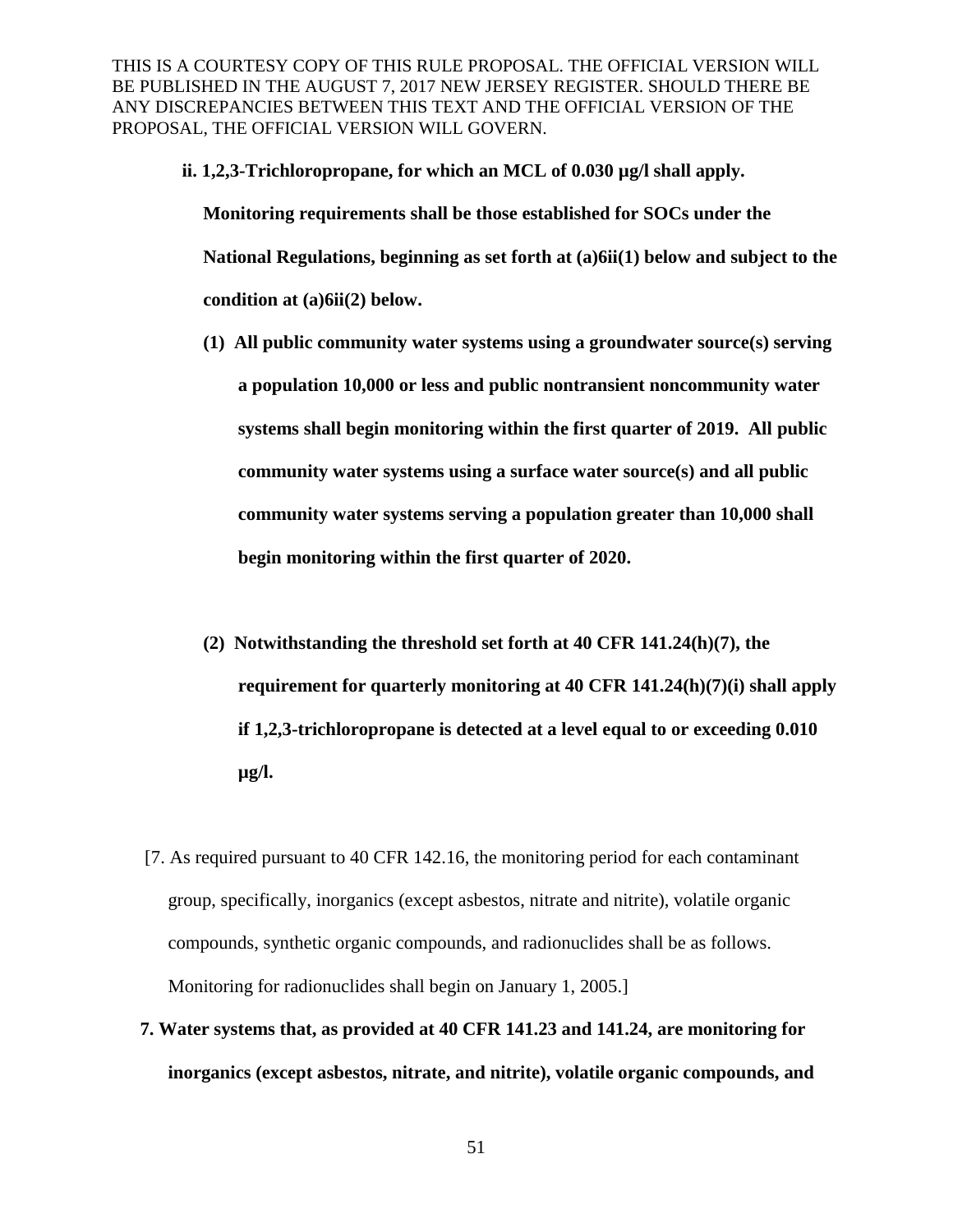**ii. 1,2,3-Trichloropropane, for which an MCL of 0.030 µg/l shall apply.** 

**Monitoring requirements shall be those established for SOCs under the National Regulations, beginning as set forth at (a)6ii(1) below and subject to the condition at (a)6ii(2) below.** 

- **(1) All public community water systems using a groundwater source(s) serving a population 10,000 or less and public nontransient noncommunity water systems shall begin monitoring within the first quarter of 2019. All public community water systems using a surface water source(s) and all public community water systems serving a population greater than 10,000 shall begin monitoring within the first quarter of 2020.**
- **(2) Notwithstanding the threshold set forth at 40 CFR 141.24(h)(7), the requirement for quarterly monitoring at 40 CFR 141.24(h)(7)(i) shall apply if 1,2,3-trichloropropane is detected at a level equal to or exceeding 0.010 µg/l.**
- [7. As required pursuant to 40 CFR 142.16, the monitoring period for each contaminant group, specifically, inorganics (except asbestos, nitrate and nitrite), volatile organic compounds, synthetic organic compounds, and radionuclides shall be as follows. Monitoring for radionuclides shall begin on January 1, 2005.]
- **7. Water systems that, as provided at 40 CFR 141.23 and 141.24, are monitoring for inorganics (except asbestos, nitrate, and nitrite), volatile organic compounds, and**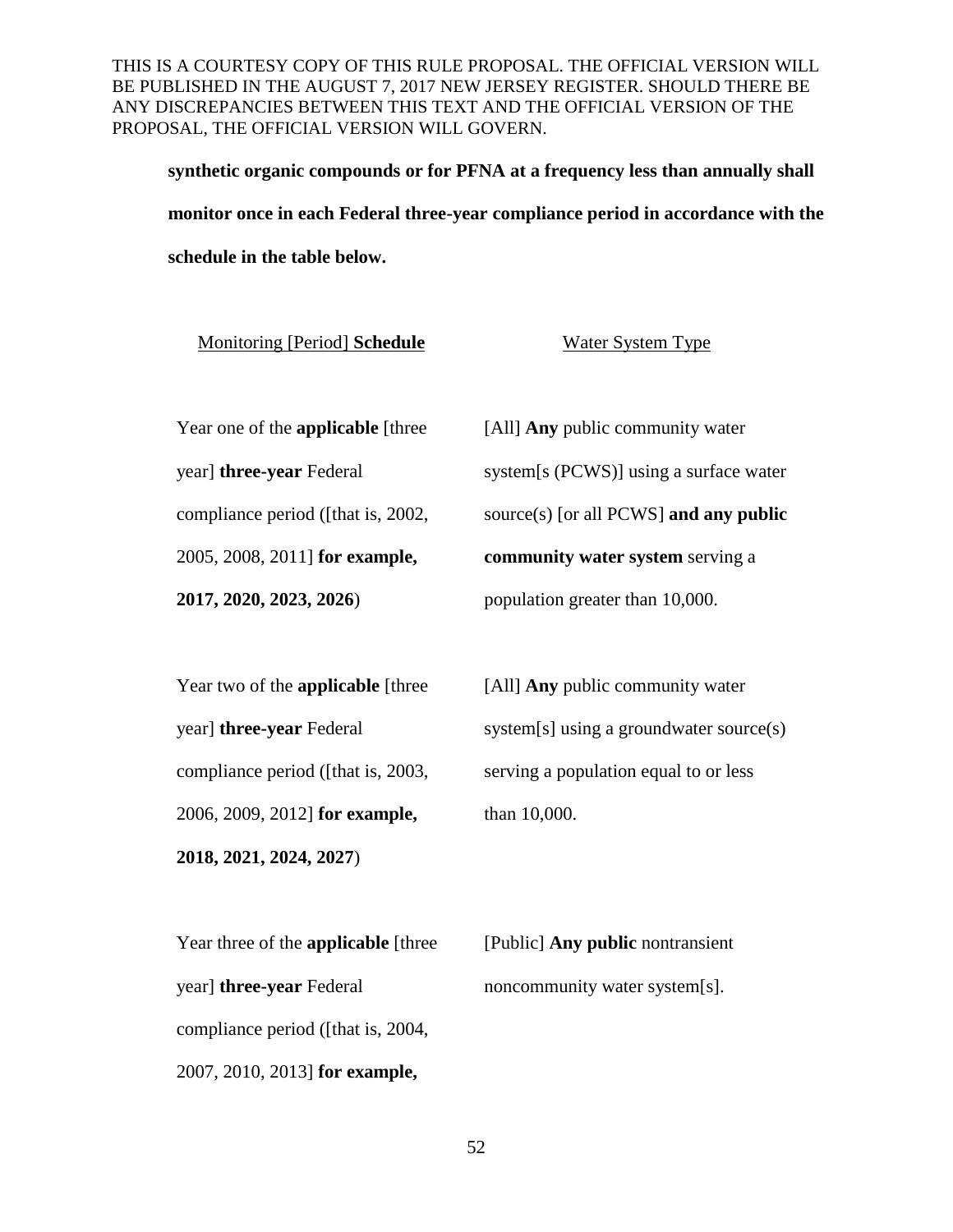**synthetic organic compounds or for PFNA at a frequency less than annually shall monitor once in each Federal three-year compliance period in accordance with the schedule in the table below.**

**Monitoring [Period] Schedule** Water System Type

Year one of the **applicable** [three

year] **three-year** Federal

compliance period ([that is, 2002,

2005, 2008, 2011] **for example,** 

**2017, 2020, 2023, 2026**)

[All] **Any** public community water system[s (PCWS)] using a surface water source(s) [or all PCWS] **and any public community water system** serving a population greater than 10,000.

| 2018, 2021, 2024, 2027)                  |                                         |
|------------------------------------------|-----------------------------------------|
| 2006, 2009, 2012] for example,           | than 10,000.                            |
| compliance period ([that is, 2003,       | serving a population equal to or less   |
| year] <b>three-year</b> Federal          | system[s] using a groundwater source(s) |
| Year two of the <b>applicable</b> [three | [All] <b>Any</b> public community water |

| Year three of the <b>applicable</b> [three] | [Public] <b>Any public</b> nontransient |
|---------------------------------------------|-----------------------------------------|
| year] <b>three-year</b> Federal             | noncommunity water system[s].           |
| compliance period ( <i>fthat is, 2004</i> , |                                         |
| 2007, 2010, 2013] for example,              |                                         |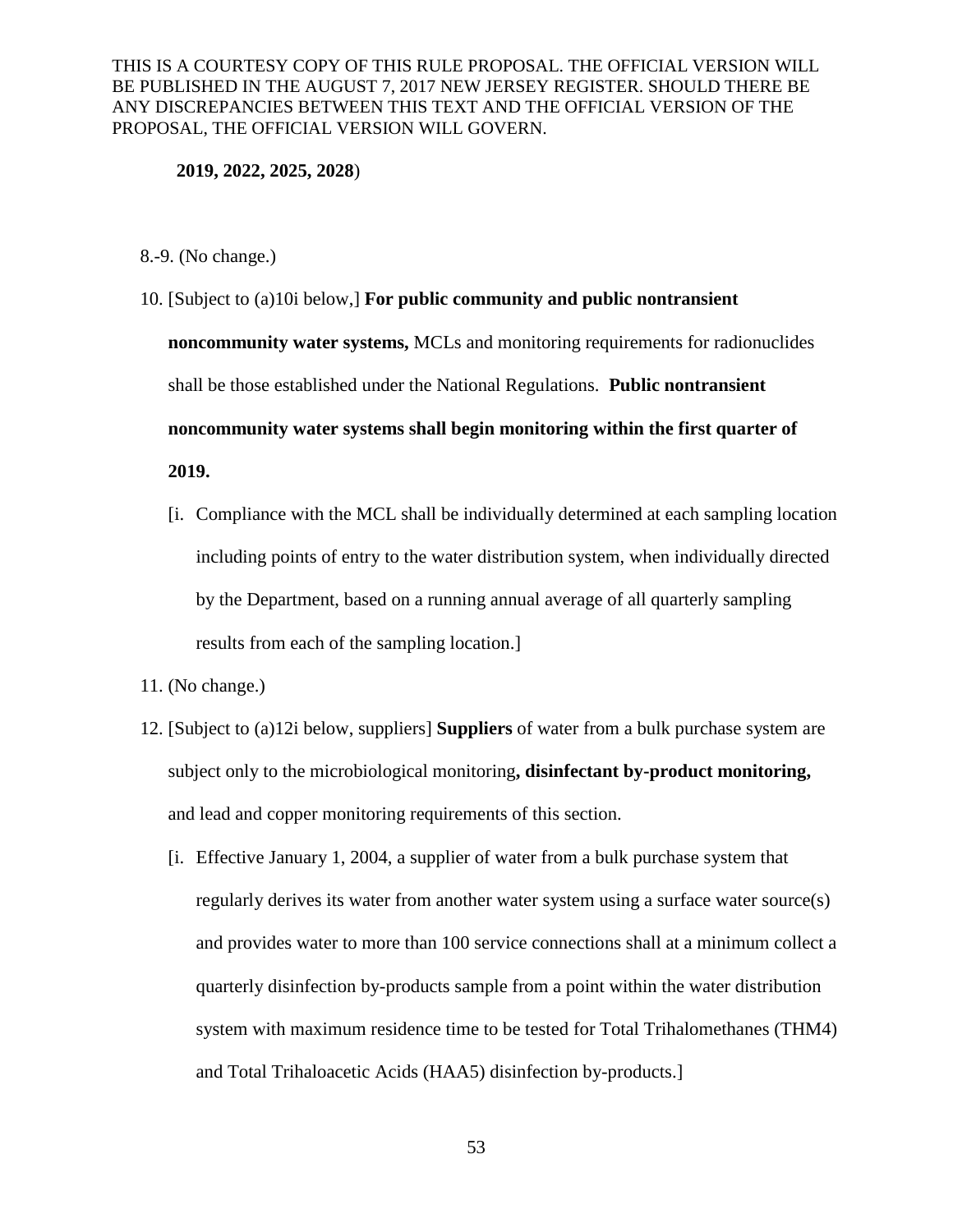#### **2019, 2022, 2025, 2028**)

- 8.-9. (No change.)
- 10. [Subject to (a)10i below,] **For public community and public nontransient noncommunity water systems,** MCLs and monitoring requirements for radionuclides shall be those established under the National Regulations. **Public nontransient noncommunity water systems shall begin monitoring within the first quarter of 2019.** 
	- [i. Compliance with the MCL shall be individually determined at each sampling location including points of entry to the water distribution system, when individually directed by the Department, based on a running annual average of all quarterly sampling results from each of the sampling location.]
- 11. (No change.)
- 12. [Subject to (a)12i below, suppliers] **Suppliers** of water from a bulk purchase system are subject only to the microbiological monitoring**, disinfectant by-product monitoring,** and lead and copper monitoring requirements of this section.
	- [i. Effective January 1, 2004, a supplier of water from a bulk purchase system that regularly derives its water from another water system using a surface water source(s) and provides water to more than 100 service connections shall at a minimum collect a quarterly disinfection by-products sample from a point within the water distribution system with maximum residence time to be tested for Total Trihalomethanes (THM4) and Total Trihaloacetic Acids (HAA5) disinfection by-products.]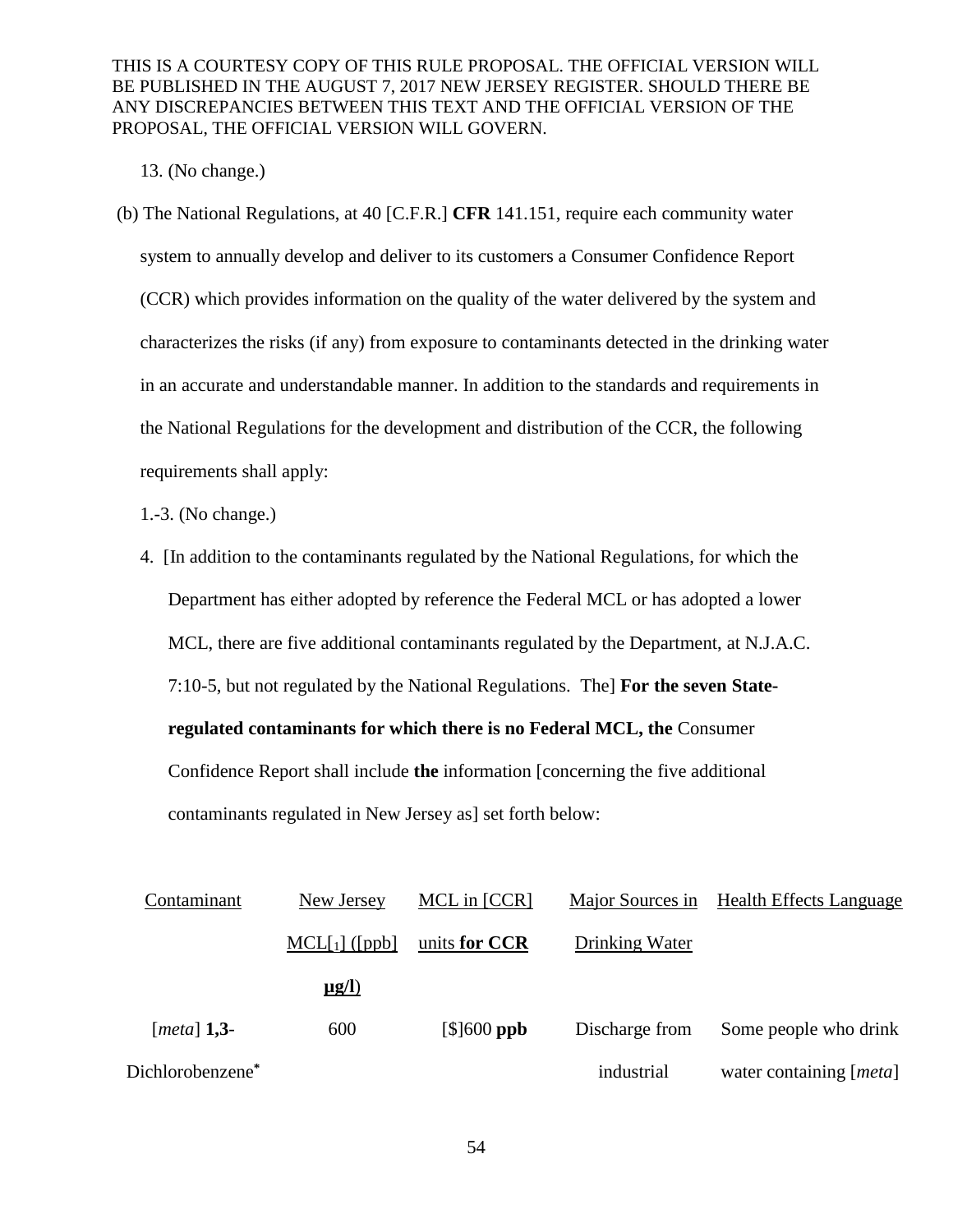13. (No change.)

(b) The National Regulations, at 40 [C.F.R.] **CFR** 141.151, require each community water system to annually develop and deliver to its customers a Consumer Confidence Report (CCR) which provides information on the quality of the water delivered by the system and characterizes the risks (if any) from exposure to contaminants detected in the drinking water in an accurate and understandable manner. In addition to the standards and requirements in the National Regulations for the development and distribution of the CCR, the following requirements shall apply:

1.-3. (No change.)

4. [In addition to the contaminants regulated by the National Regulations, for which the Department has either adopted by reference the Federal MCL or has adopted a lower MCL, there are five additional contaminants regulated by the Department, at N.J.A.C. 7:10-5, but not regulated by the National Regulations. The] **For the seven Stateregulated contaminants for which there is no Federal MCL, the** Consumer Confidence Report shall include **the** information [concerning the five additional

contaminants regulated in New Jersey as] set forth below:

| Contaminant      | New Jersey      | MCL in [CCR]  |                | Major Sources in Health Effects Language |
|------------------|-----------------|---------------|----------------|------------------------------------------|
|                  | $MCL[1]$ ([ppb] | units for CCR | Drinking Water |                                          |
|                  | $\mu$ g/l)      |               |                |                                          |
| [ $metal$ ] 1,3- | 600             | $[$]600$ ppb  | Discharge from | Some people who drink                    |
| Dichlorobenzene* |                 |               | industrial     | water containing [ <i>meta</i> ]         |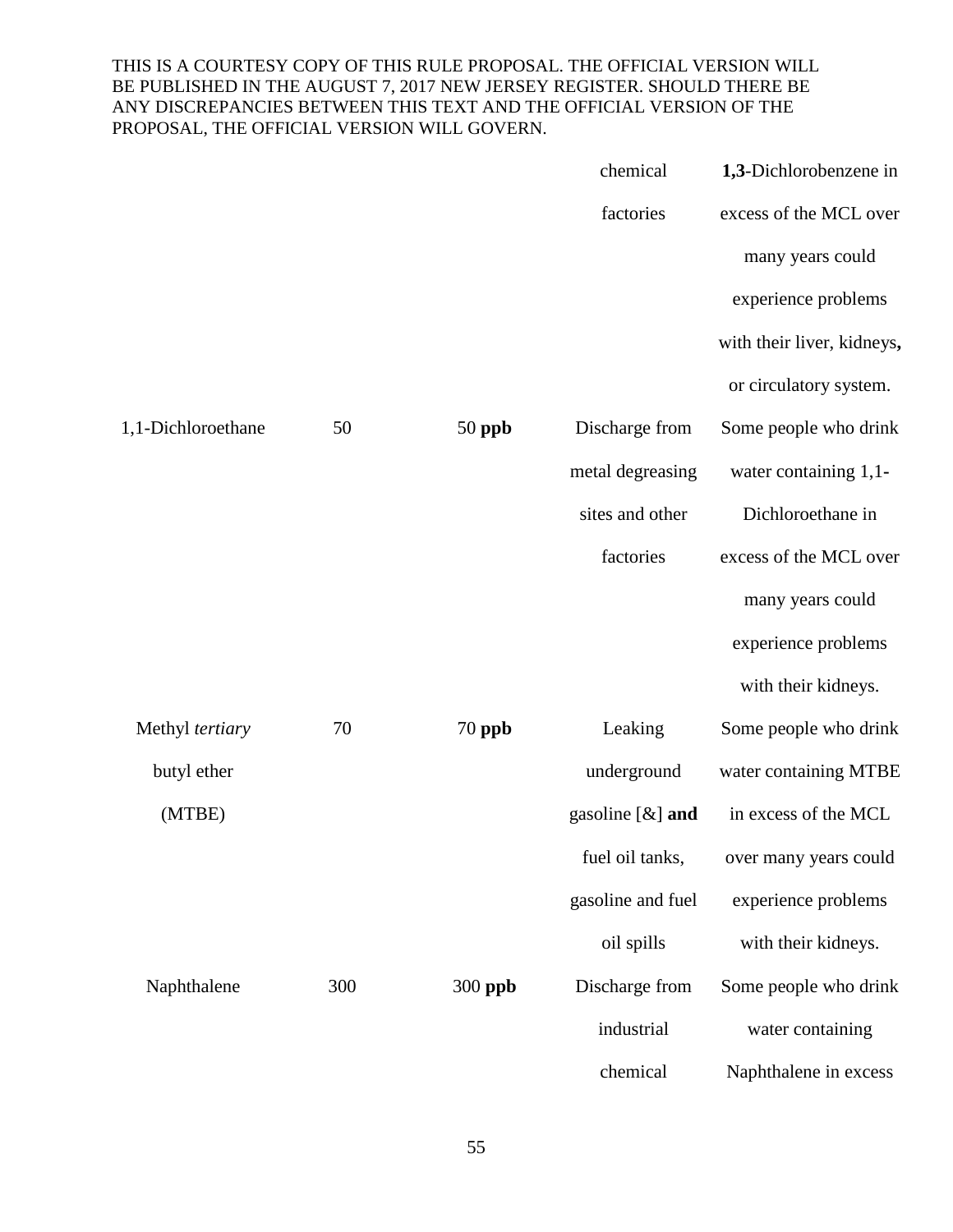|                    |     |          | chemical            | 1,3-Dichlorobenzene in     |
|--------------------|-----|----------|---------------------|----------------------------|
|                    |     |          | factories           | excess of the MCL over     |
|                    |     |          |                     | many years could           |
|                    |     |          |                     | experience problems        |
|                    |     |          |                     | with their liver, kidneys, |
|                    |     |          |                     | or circulatory system.     |
| 1,1-Dichloroethane | 50  | $50$ ppb | Discharge from      | Some people who drink      |
|                    |     |          | metal degreasing    | water containing 1,1-      |
|                    |     |          | sites and other     | Dichloroethane in          |
|                    |     |          | factories           | excess of the MCL over     |
|                    |     |          |                     | many years could           |
|                    |     |          |                     | experience problems        |
|                    |     |          |                     | with their kidneys.        |
| Methyl tertiary    | 70  | $70$ ppb | Leaking             | Some people who drink      |
| butyl ether        |     |          | underground         | water containing MTBE      |
| (MTBE)             |     |          | gasoline $[\&]$ and | in excess of the MCL       |
|                    |     |          | fuel oil tanks,     | over many years could      |
|                    |     |          | gasoline and fuel   | experience problems        |
|                    |     |          | oil spills          | with their kidneys.        |
| Naphthalene        | 300 | 300 ppb  | Discharge from      | Some people who drink      |
|                    |     |          | industrial          | water containing           |
|                    |     |          | chemical            | Naphthalene in excess      |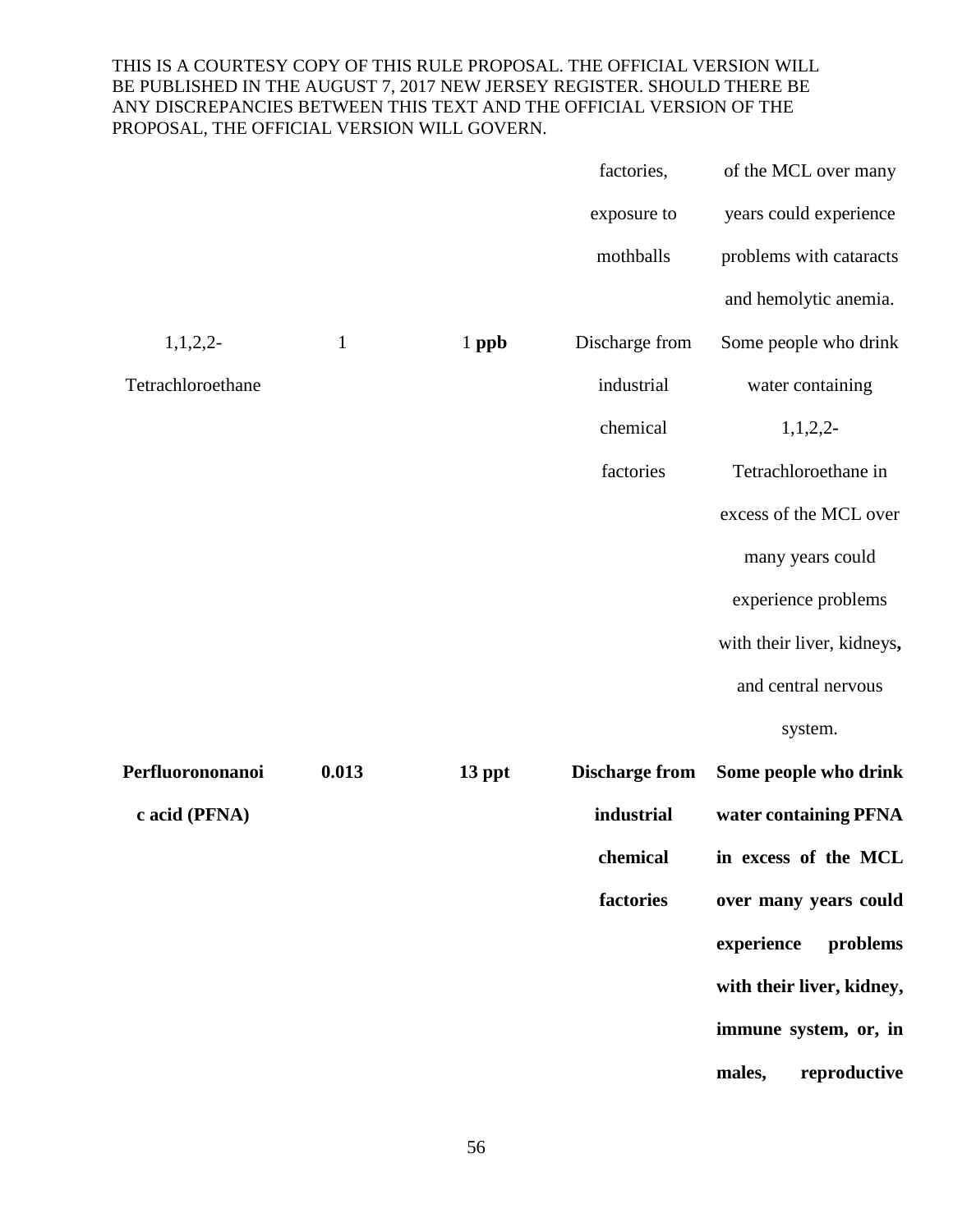|                   |              |         | factories,            | of the MCL over many       |
|-------------------|--------------|---------|-----------------------|----------------------------|
|                   |              |         | exposure to           | years could experience     |
|                   |              |         | mothballs             | problems with cataracts    |
|                   |              |         |                       | and hemolytic anemia.      |
| $1,1,2,2-$        | $\mathbf{1}$ | $1$ ppb | Discharge from        | Some people who drink      |
| Tetrachloroethane |              |         | industrial            | water containing           |
|                   |              |         | chemical              | $1,1,2,2$ -                |
|                   |              |         | factories             | Tetrachloroethane in       |
|                   |              |         |                       | excess of the MCL over     |
|                   |              |         |                       | many years could           |
|                   |              |         |                       | experience problems        |
|                   |              |         |                       | with their liver, kidneys, |
|                   |              |         |                       | and central nervous        |
|                   |              |         |                       | system.                    |
| Perfluorononanoi  | 0.013        | 13 ppt  | <b>Discharge from</b> | Some people who drink      |
| c acid (PFNA)     |              |         | industrial            | water containing PFNA      |
|                   |              |         | chemical              | in excess of the MCL       |
|                   |              |         | factories             | over many years could      |
|                   |              |         |                       | experience<br>problems     |
|                   |              |         |                       | with their liver, kidney,  |
|                   |              |         |                       | immune system, or, in      |
|                   |              |         |                       | males,<br>reproductive     |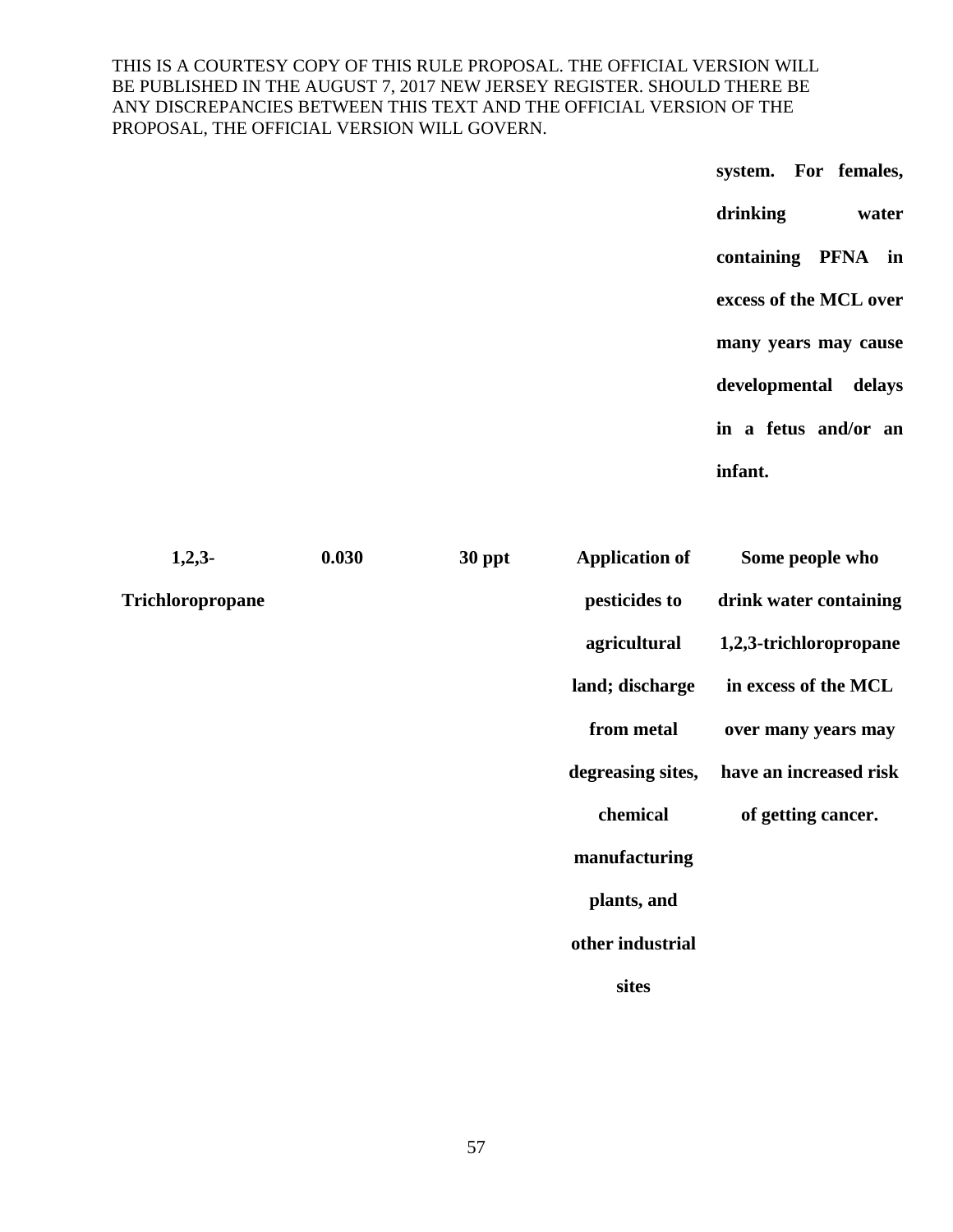> **system. For females, drinking water containing PFNA in excess of the MCL over many years may cause developmental delays in a fetus and/or an infant.**

| $1,2,3-$                | 0.030 | 30 ppt | <b>Application of</b> | Some people who        |
|-------------------------|-------|--------|-----------------------|------------------------|
| <b>Trichloropropane</b> |       |        | pesticides to         | drink water containing |
|                         |       |        | agricultural          | 1,2,3-trichloropropane |
|                         |       |        | land; discharge       | in excess of the MCL   |
|                         |       |        | from metal            | over many years may    |
|                         |       |        | degreasing sites,     | have an increased risk |
|                         |       |        | chemical              | of getting cancer.     |
|                         |       |        | manufacturing         |                        |
|                         |       |        | plants, and           |                        |
|                         |       |        | other industrial      |                        |
|                         |       |        | sites                 |                        |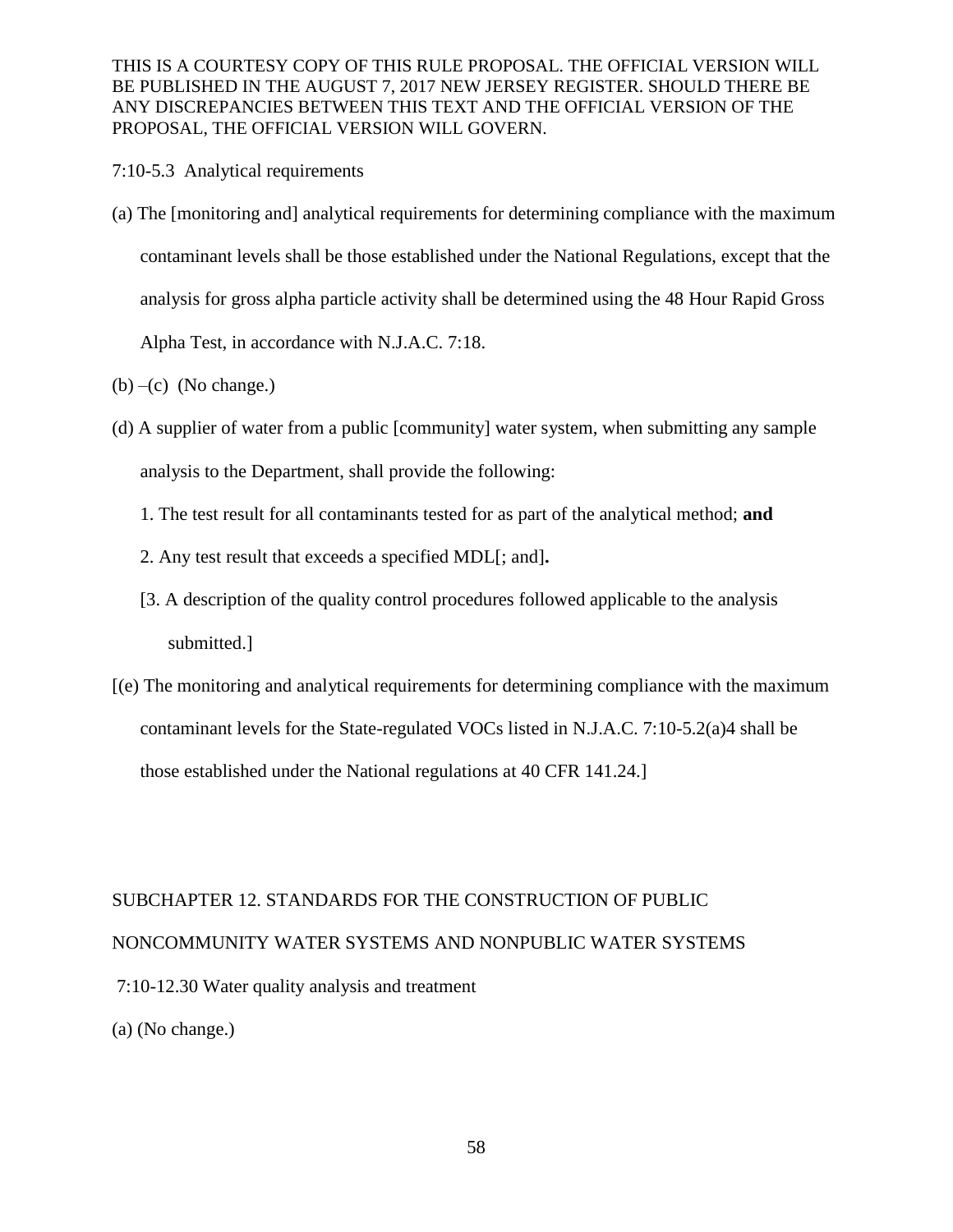- 7:10-5.3 Analytical requirements
- (a) The [monitoring and] analytical requirements for determining compliance with the maximum contaminant levels shall be those established under the National Regulations, except that the analysis for gross alpha particle activity shall be determined using the 48 Hour Rapid Gross Alpha Test, in accordance with N.J.A.C. 7:18.
- $(b)$  –(c) (No change.)
- (d) A supplier of water from a public [community] water system, when submitting any sample analysis to the Department, shall provide the following:
	- 1. The test result for all contaminants tested for as part of the analytical method; **and**
	- 2. Any test result that exceeds a specified MDL[; and]**.**
	- [3. A description of the quality control procedures followed applicable to the analysis submitted.]
- [(e) The monitoring and analytical requirements for determining compliance with the maximum contaminant levels for the State-regulated VOCs listed in N.J.A.C. 7:10-5.2(a)4 shall be those established under the National regulations at 40 CFR 141.24.]

# SUBCHAPTER 12. STANDARDS FOR THE CONSTRUCTION OF PUBLIC NONCOMMUNITY WATER SYSTEMS AND NONPUBLIC WATER SYSTEMS 7:10-12.30 Water quality analysis and treatment (a) (No change.)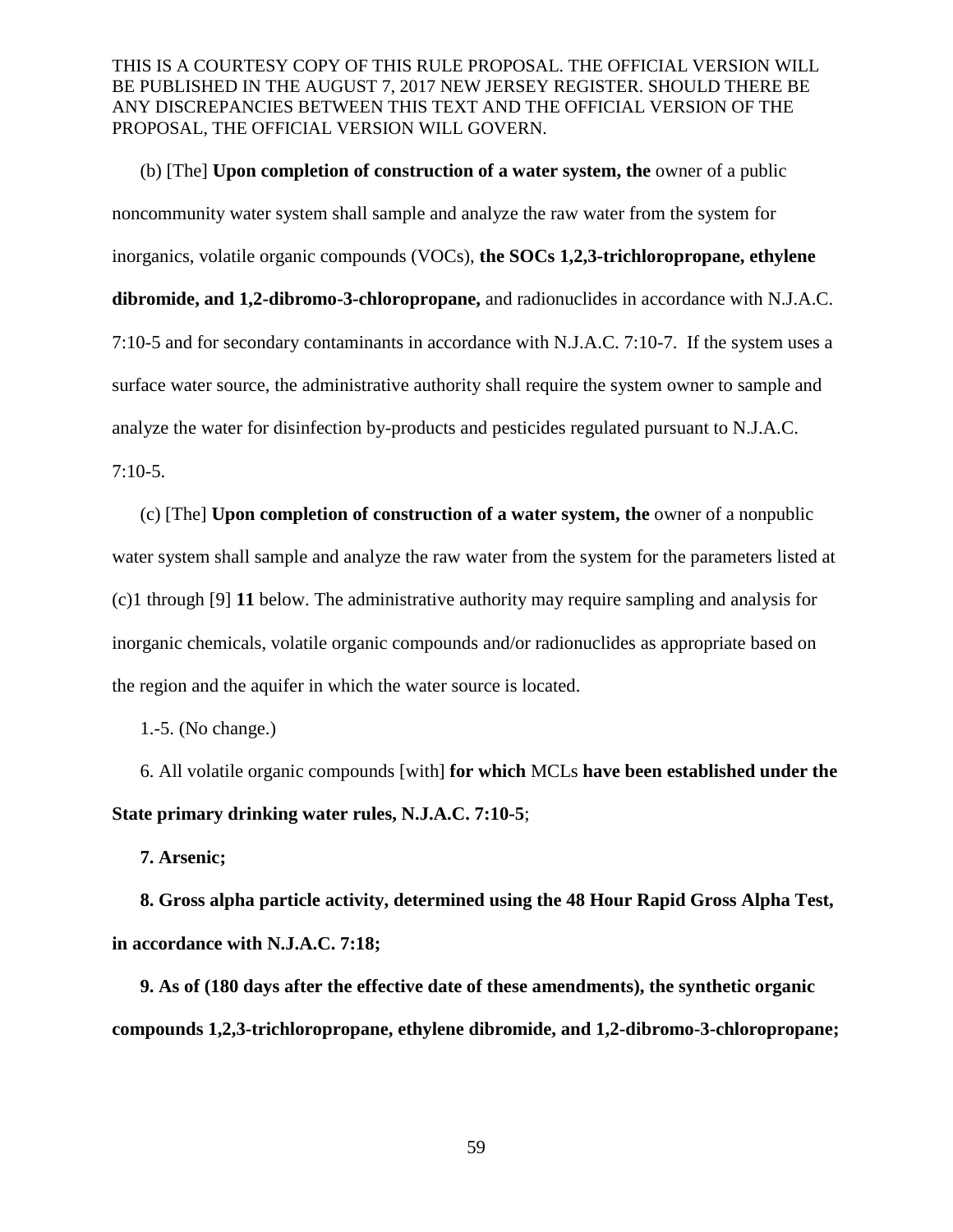(b) [The] **Upon completion of construction of a water system, the** owner of a public noncommunity water system shall sample and analyze the raw water from the system for inorganics, volatile organic compounds (VOCs), **the SOCs 1,2,3-trichloropropane, ethylene dibromide, and 1,2-dibromo-3-chloropropane,** and radionuclides in accordance with N.J.A.C. 7:10-5 and for secondary contaminants in accordance with N.J.A.C. 7:10-7. If the system uses a surface water source, the administrative authority shall require the system owner to sample and analyze the water for disinfection by-products and pesticides regulated pursuant to N.J.A.C. 7:10-5.

(c) [The] **Upon completion of construction of a water system, the** owner of a nonpublic water system shall sample and analyze the raw water from the system for the parameters listed at (c)1 through [9] **11** below. The administrative authority may require sampling and analysis for inorganic chemicals, volatile organic compounds and/or radionuclides as appropriate based on the region and the aquifer in which the water source is located.

1.-5. (No change.)

6. All volatile organic compounds [with] **for which** MCLs **have been established under the State primary drinking water rules, N.J.A.C. 7:10-5**;

**7. Arsenic;**

**8. Gross alpha particle activity, determined using the 48 Hour Rapid Gross Alpha Test, in accordance with N.J.A.C. 7:18;**

**9. As of (180 days after the effective date of these amendments), the synthetic organic compounds 1,2,3-trichloropropane, ethylene dibromide, and 1,2-dibromo-3-chloropropane;**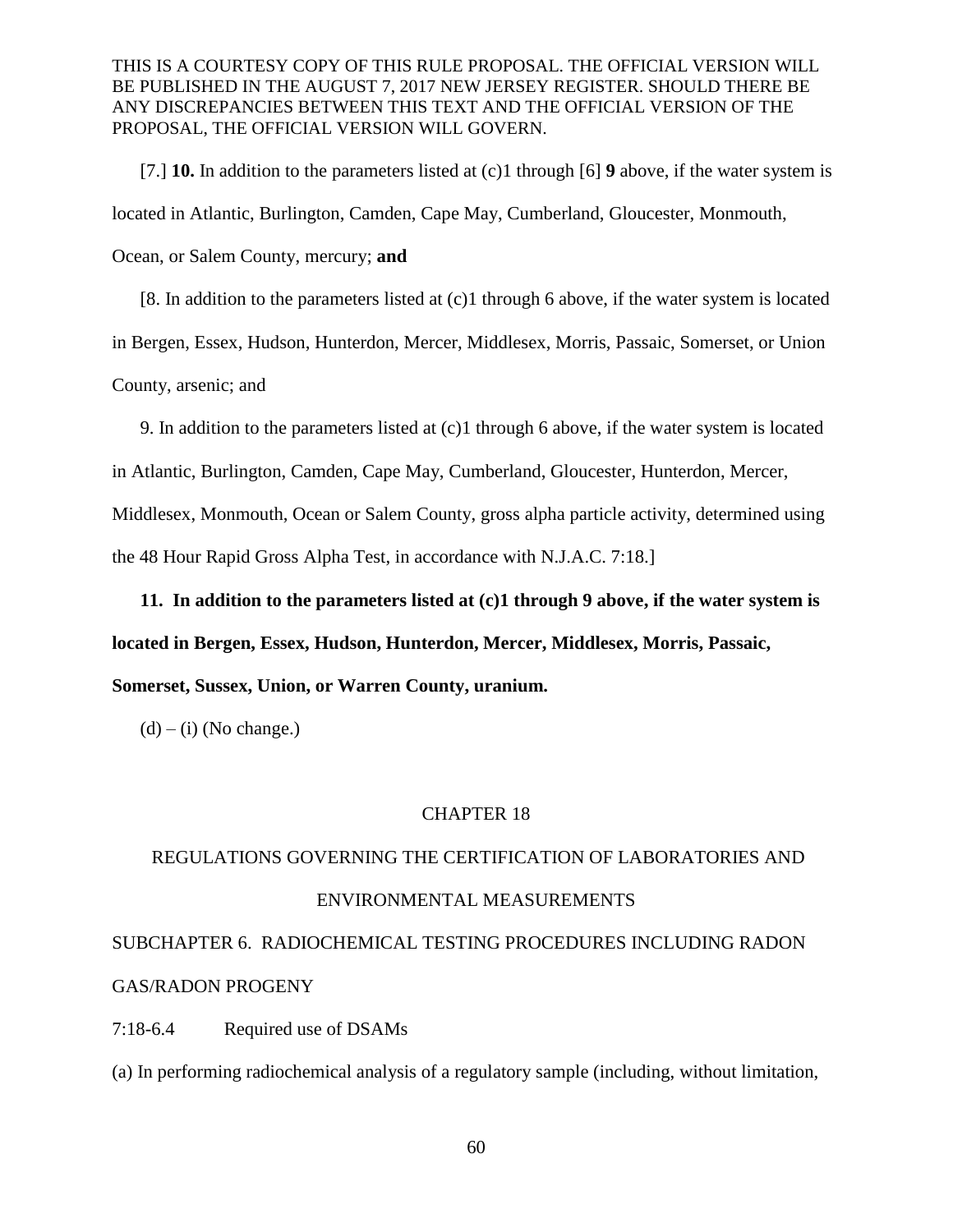[7.] **10.** In addition to the parameters listed at (c)1 through [6] **9** above, if the water system is located in Atlantic, Burlington, Camden, Cape May, Cumberland, Gloucester, Monmouth, Ocean, or Salem County, mercury; **and**

[8. In addition to the parameters listed at (c)1 through 6 above, if the water system is located in Bergen, Essex, Hudson, Hunterdon, Mercer, Middlesex, Morris, Passaic, Somerset, or Union County, arsenic; and

9. In addition to the parameters listed at (c)1 through 6 above, if the water system is located

in Atlantic, Burlington, Camden, Cape May, Cumberland, Gloucester, Hunterdon, Mercer,

Middlesex, Monmouth, Ocean or Salem County, gross alpha particle activity, determined using

the 48 Hour Rapid Gross Alpha Test, in accordance with N.J.A.C. 7:18.]

**11. In addition to the parameters listed at (c)1 through 9 above, if the water system is** 

**located in Bergen, Essex, Hudson, Hunterdon, Mercer, Middlesex, Morris, Passaic,** 

**Somerset, Sussex, Union, or Warren County, uranium.**

 $(d) - (i)$  (No change.)

#### CHAPTER 18

# REGULATIONS GOVERNING THE CERTIFICATION OF LABORATORIES AND ENVIRONMENTAL MEASUREMENTS

SUBCHAPTER 6. RADIOCHEMICAL TESTING PROCEDURES INCLUDING RADON GAS/RADON PROGENY

7:18-6.4 Required use of DSAMs

(a) In performing radiochemical analysis of a regulatory sample (including, without limitation,